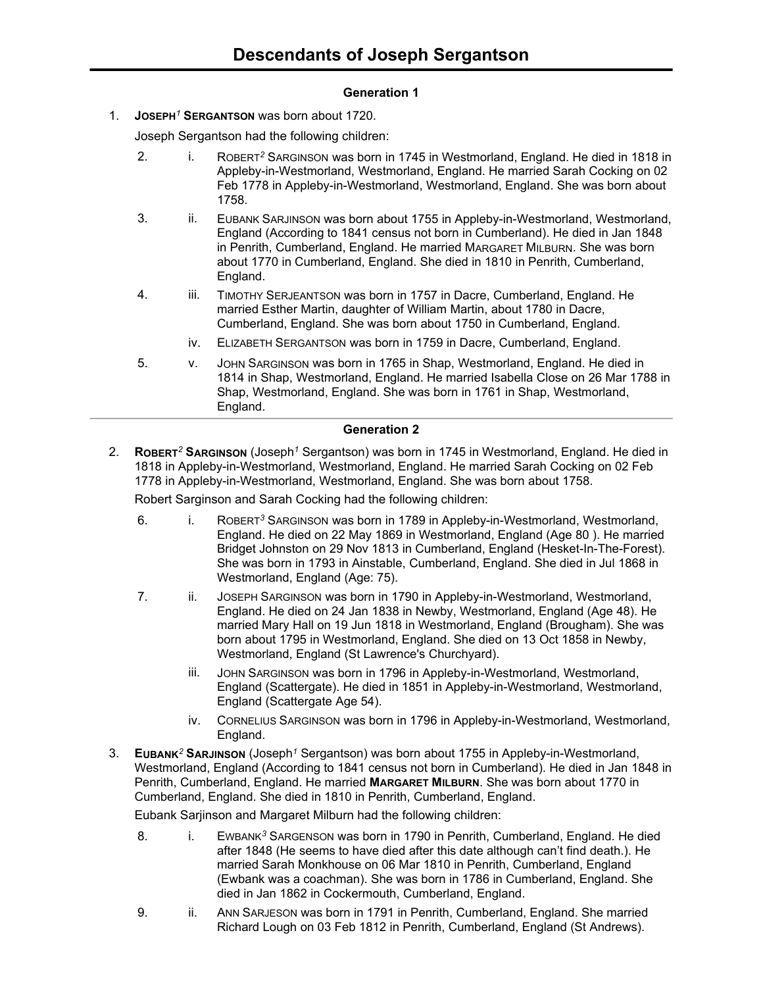# **Generation 1**

1. **JOSEPH***<sup>1</sup>* **SERGANTSON** was born about 1720.

Joseph Sergantson had the following children:

- 2. i. ROBERT*<sup>2</sup>* SARGINSON was born in 1745 in Westmorland, England. He died in 1818 in Appleby-in-Westmorland, Westmorland, England. He married Sarah Cocking on 02 Feb 1778 in Appleby-in-Westmorland, Westmorland, England. She was born about 1758.
- 3. ii. EUBANK SARJINSON was born about 1755 in Appleby-in-Westmorland, Westmorland, England (According to 1841 census not born in Cumberland). He died in Jan 1848 in Penrith, Cumberland, England. He married MARGARET MILBURN. She was born about 1770 in Cumberland, England. She died in 1810 in Penrith, Cumberland, England.
- 4. iii. TIMOTHY SERJEANTSON was born in 1757 in Dacre, Cumberland, England. He married Esther Martin, daughter of William Martin, about 1780 in Dacre, Cumberland, England. She was born about 1750 in Cumberland, England.
	- iv. ELIZABETH SERGANTSON was born in 1759 in Dacre, Cumberland, England.
- 5. v. JOHN SARGINSON was born in 1765 in Shap, Westmorland, England. He died in 1814 in Shap, Westmorland, England. He married Isabella Close on 26 Mar 1788 in Shap, Westmorland, England. She was born in 1761 in Shap, Westmorland, England.

#### **Generation 2**

2. **ROBERT***<sup>2</sup>* **SARGINSON** (Joseph*<sup>1</sup>* Sergantson) was born in 1745 in Westmorland, England. He died in 1818 in Appleby-in-Westmorland, Westmorland, England. He married Sarah Cocking on 02 Feb 1778 in Appleby-in-Westmorland, Westmorland, England. She was born about 1758.

Robert Sarginson and Sarah Cocking had the following children:

- 6. i. ROBERT*<sup>3</sup>* SARGINSON was born in 1789 in Appleby-in-Westmorland, Westmorland, England. He died on 22 May 1869 in Westmorland, England (Age 80 ). He married Bridget Johnston on 29 Nov 1813 in Cumberland, England (Hesket-In-The-Forest). She was born in 1793 in Ainstable, Cumberland, England. She died in Jul 1868 in Westmorland, England (Age: 75).
- 7. ii. JOSEPH SARGINSON was born in 1790 in Appleby-in-Westmorland, Westmorland, England. He died on 24 Jan 1838 in Newby, Westmorland, England (Age 48). He married Mary Hall on 19 Jun 1818 in Westmorland, England (Brougham). She was born about 1795 in Westmorland, England. She died on 13 Oct 1858 in Newby, Westmorland, England (St Lawrence's Churchyard).
	- iii. JOHN SARGINSON was born in 1796 in Appleby-in-Westmorland, Westmorland, England (Scattergate). He died in 1851 in Appleby-in-Westmorland, Westmorland, England (Scattergate Age 54).
	- iv. CORNELIUS SARGINSON was born in 1796 in Appleby-in-Westmorland, Westmorland, England.
- 3. **EUBANK***<sup>2</sup>* **SARJINSON** (Joseph*<sup>1</sup>* Sergantson) was born about 1755 in Appleby-in-Westmorland, Westmorland, England (According to 1841 census not born in Cumberland). He died in Jan 1848 in Penrith, Cumberland, England. He married **MARGARET MILBURN**. She was born about 1770 in Cumberland, England. She died in 1810 in Penrith, Cumberland, England.

Eubank Sarjinson and Margaret Milburn had the following children:

- 8. i. EWBANK*<sup>3</sup>* SARGENSON was born in 1790 in Penrith, Cumberland, England. He died after 1848 (He seems to have died after this date although can't find death.). He married Sarah Monkhouse on 06 Mar 1810 in Penrith, Cumberland, England (Ewbank was a coachman). She was born in 1786 in Cumberland, England. She died in Jan 1862 in Cockermouth, Cumberland, England.
- 9. ii. ANN SARJESON was born in 1791 in Penrith, Cumberland, England. She married Richard Lough on 03 Feb 1812 in Penrith, Cumberland, England (St Andrews).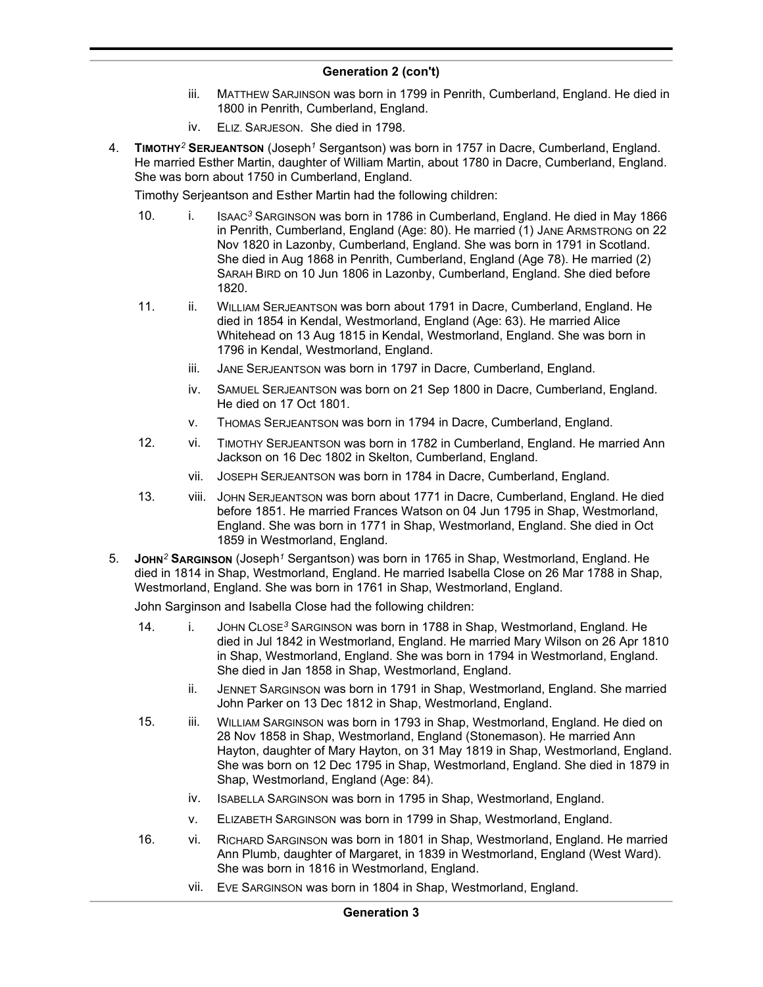- iii. MATTHEW SARJINSON was born in 1799 in Penrith, Cumberland, England. He died in 1800 in Penrith, Cumberland, England.
- iv. ELIZ. SARJESON. She died in 1798.
- 4. **TIMOTHY***<sup>2</sup>* **SERJEANTSON** (Joseph*<sup>1</sup>* Sergantson) was born in 1757 in Dacre, Cumberland, England. He married Esther Martin, daughter of William Martin, about 1780 in Dacre, Cumberland, England. She was born about 1750 in Cumberland, England.

Timothy Serjeantson and Esther Martin had the following children:

- 10. i. ISAAC*<sup>3</sup>* SARGINSON was born in 1786 in Cumberland, England. He died in May 1866 in Penrith, Cumberland, England (Age: 80). He married (1) JANE ARMSTRONG on 22 Nov 1820 in Lazonby, Cumberland, England. She was born in 1791 in Scotland. She died in Aug 1868 in Penrith, Cumberland, England (Age 78). He married (2) SARAH BIRD on 10 Jun 1806 in Lazonby, Cumberland, England. She died before 1820.
- 11. ii. WILLIAM SERJEANTSON was born about 1791 in Dacre, Cumberland, England. He died in 1854 in Kendal, Westmorland, England (Age: 63). He married Alice Whitehead on 13 Aug 1815 in Kendal, Westmorland, England. She was born in 1796 in Kendal, Westmorland, England.
	- iii. JANE SERJEANTSON was born in 1797 in Dacre, Cumberland, England.
	- iv. SAMUEL SERJEANTSON was born on 21 Sep 1800 in Dacre, Cumberland, England. He died on 17 Oct 1801.
	- v. THOMAS SERJEANTSON was born in 1794 in Dacre, Cumberland, England.
- 12. vi. TIMOTHY SERJEANTSON was born in 1782 in Cumberland, England. He married Ann Jackson on 16 Dec 1802 in Skelton, Cumberland, England.
	- vii. JOSEPH SERJEANTSON was born in 1784 in Dacre, Cumberland, England.
- 13. viii. JOHN SERJEANTSON was born about 1771 in Dacre, Cumberland, England. He died before 1851. He married Frances Watson on 04 Jun 1795 in Shap, Westmorland, England. She was born in 1771 in Shap, Westmorland, England. She died in Oct 1859 in Westmorland, England.
- 5. **JOHN***<sup>2</sup>* **SARGINSON** (Joseph*<sup>1</sup>* Sergantson) was born in 1765 in Shap, Westmorland, England. He died in 1814 in Shap, Westmorland, England. He married Isabella Close on 26 Mar 1788 in Shap, Westmorland, England. She was born in 1761 in Shap, Westmorland, England.

John Sarginson and Isabella Close had the following children:

- 14. i. JOHN CLOSE*<sup>3</sup>* SARGINSON was born in 1788 in Shap, Westmorland, England. He died in Jul 1842 in Westmorland, England. He married Mary Wilson on 26 Apr 1810 in Shap, Westmorland, England. She was born in 1794 in Westmorland, England. She died in Jan 1858 in Shap, Westmorland, England.
	- ii. JENNET SARGINSON was born in 1791 in Shap, Westmorland, England. She married John Parker on 13 Dec 1812 in Shap, Westmorland, England.
- 15. iii. WILLIAM SARGINSON was born in 1793 in Shap, Westmorland, England. He died on 28 Nov 1858 in Shap, Westmorland, England (Stonemason). He married Ann Hayton, daughter of Mary Hayton, on 31 May 1819 in Shap, Westmorland, England. She was born on 12 Dec 1795 in Shap, Westmorland, England. She died in 1879 in Shap, Westmorland, England (Age: 84).
	- iv. ISABELLA SARGINSON was born in 1795 in Shap, Westmorland, England.
	- v. ELIZABETH SARGINSON was born in 1799 in Shap, Westmorland, England.
- 16. vi. RICHARD SARGINSON was born in 1801 in Shap, Westmorland, England. He married Ann Plumb, daughter of Margaret, in 1839 in Westmorland, England (West Ward). She was born in 1816 in Westmorland, England.
	- vii. EVE SARGINSON was born in 1804 in Shap, Westmorland, England.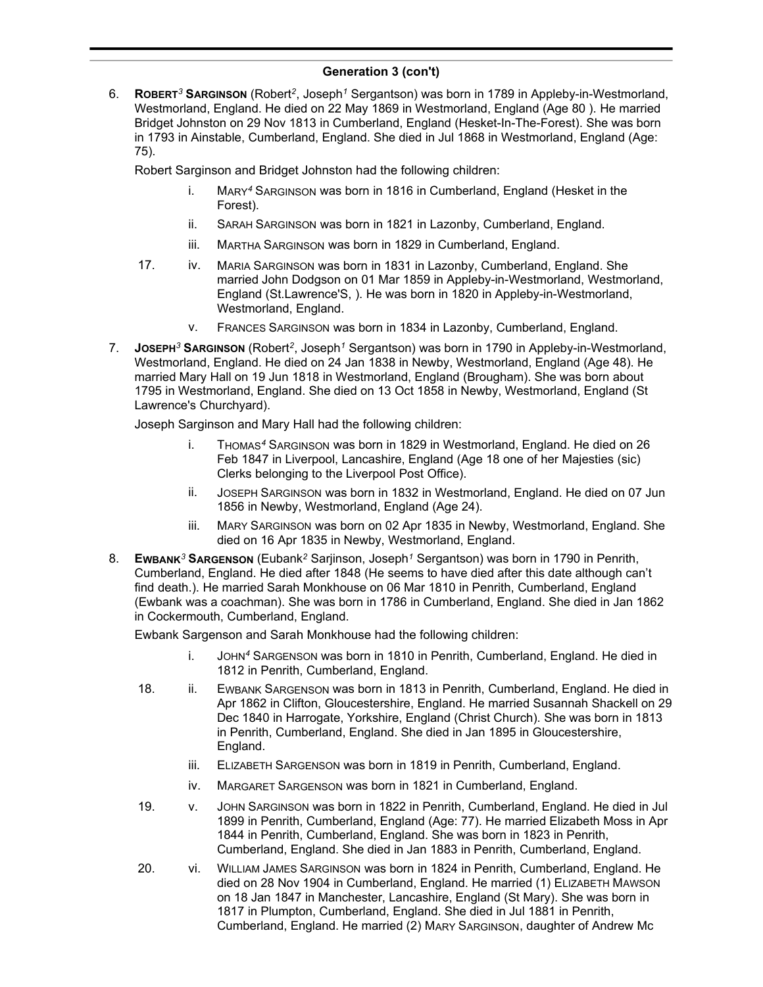6. **ROBERT***<sup>3</sup>* **SARGINSON** (Robert*<sup>2</sup>* , Joseph*<sup>1</sup>* Sergantson) was born in 1789 in Appleby-in-Westmorland, Westmorland, England. He died on 22 May 1869 in Westmorland, England (Age 80 ). He married Bridget Johnston on 29 Nov 1813 in Cumberland, England (Hesket-In-The-Forest). She was born in 1793 in Ainstable, Cumberland, England. She died in Jul 1868 in Westmorland, England (Age: 75).

Robert Sarginson and Bridget Johnston had the following children:

- i. MARY*<sup>4</sup>* SARGINSON was born in 1816 in Cumberland, England (Hesket in the Forest).
- ii. SARAH SARGINSON was born in 1821 in Lazonby, Cumberland, England.
- iii. MARTHA SARGINSON was born in 1829 in Cumberland, England.
- 17. iv. MARIA SARGINSON was born in 1831 in Lazonby, Cumberland, England. She married John Dodgson on 01 Mar 1859 in Appleby-in-Westmorland, Westmorland, England (St.Lawrence'S, ). He was born in 1820 in Appleby-in-Westmorland, Westmorland, England.
	- v. FRANCES SARGINSON was born in 1834 in Lazonby, Cumberland, England.
- 7. **JOSEPH***<sup>3</sup>* **SARGINSON** (Robert*<sup>2</sup>* , Joseph*<sup>1</sup>* Sergantson) was born in 1790 in Appleby-in-Westmorland, Westmorland, England. He died on 24 Jan 1838 in Newby, Westmorland, England (Age 48). He married Mary Hall on 19 Jun 1818 in Westmorland, England (Brougham). She was born about 1795 in Westmorland, England. She died on 13 Oct 1858 in Newby, Westmorland, England (St Lawrence's Churchyard).

Joseph Sarginson and Mary Hall had the following children:

- i. THOMAS*<sup>4</sup>* SARGINSON was born in 1829 in Westmorland, England. He died on 26 Feb 1847 in Liverpool, Lancashire, England (Age 18 one of her Majesties (sic) Clerks belonging to the Liverpool Post Office).
- ii. JOSEPH SARGINSON was born in 1832 in Westmorland, England. He died on 07 Jun 1856 in Newby, Westmorland, England (Age 24).
- iii. MARY SARGINSON was born on 02 Apr 1835 in Newby, Westmorland, England. She died on 16 Apr 1835 in Newby, Westmorland, England.
- 8. **EWBANK***<sup>3</sup>* **SARGENSON** (Eubank*<sup>2</sup>* Sarjinson, Joseph*<sup>1</sup>* Sergantson) was born in 1790 in Penrith, Cumberland, England. He died after 1848 (He seems to have died after this date although can't find death.). He married Sarah Monkhouse on 06 Mar 1810 in Penrith, Cumberland, England (Ewbank was a coachman). She was born in 1786 in Cumberland, England. She died in Jan 1862 in Cockermouth, Cumberland, England.

Ewbank Sargenson and Sarah Monkhouse had the following children:

- i. JOHN*<sup>4</sup>* SARGENSON was born in 1810 in Penrith, Cumberland, England. He died in 1812 in Penrith, Cumberland, England.
- 18. ii. EWBANK SARGENSON was born in 1813 in Penrith, Cumberland, England. He died in Apr 1862 in Clifton, Gloucestershire, England. He married Susannah Shackell on 29 Dec 1840 in Harrogate, Yorkshire, England (Christ Church). She was born in 1813 in Penrith, Cumberland, England. She died in Jan 1895 in Gloucestershire, England.
	- iii. ELIZABETH SARGENSON was born in 1819 in Penrith, Cumberland, England.
	- iv. MARGARET SARGENSON was born in 1821 in Cumberland, England.
- 19. v. JOHN SARGINSON was born in 1822 in Penrith, Cumberland, England. He died in Jul 1899 in Penrith, Cumberland, England (Age: 77). He married Elizabeth Moss in Apr 1844 in Penrith, Cumberland, England. She was born in 1823 in Penrith, Cumberland, England. She died in Jan 1883 in Penrith, Cumberland, England.
- 20. vi. WILLIAM JAMES SARGINSON was born in 1824 in Penrith, Cumberland, England. He died on 28 Nov 1904 in Cumberland, England. He married (1) ELIZABETH MAWSON on 18 Jan 1847 in Manchester, Lancashire, England (St Mary). She was born in 1817 in Plumpton, Cumberland, England. She died in Jul 1881 in Penrith, Cumberland, England. He married (2) MARY SARGINSON, daughter of Andrew Mc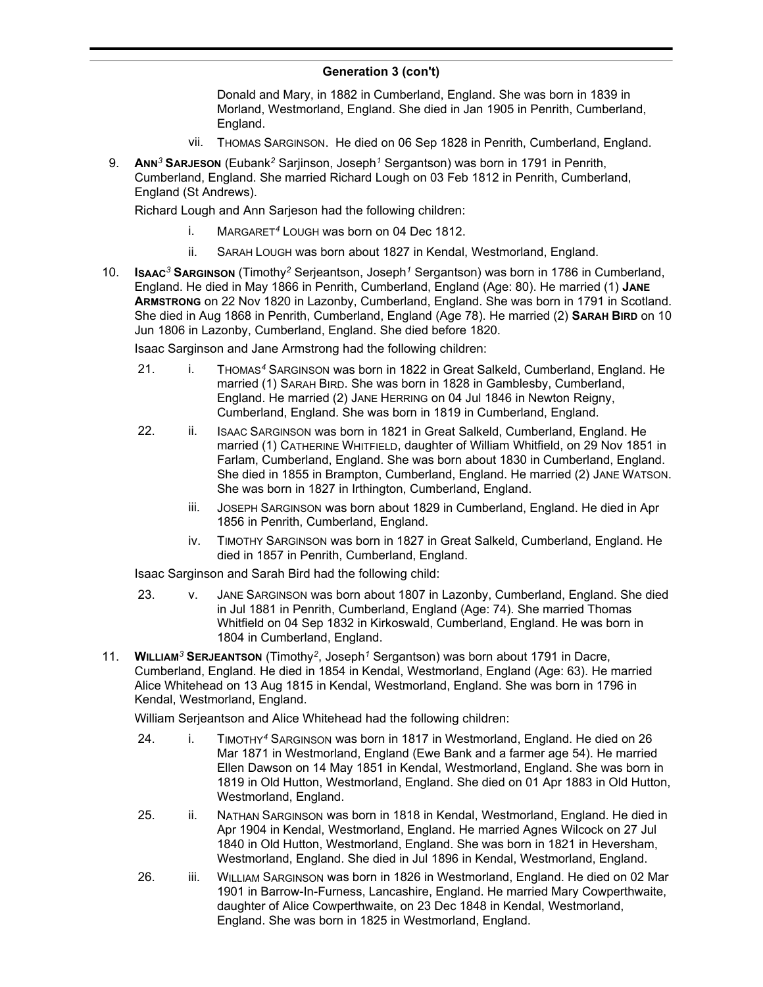Donald and Mary, in 1882 in Cumberland, England. She was born in 1839 in Morland, Westmorland, England. She died in Jan 1905 in Penrith, Cumberland, England.

- vii. THOMAS SARGINSON. He died on 06 Sep 1828 in Penrith, Cumberland, England.
- 9. **ANN***<sup>3</sup>* **SARJESON** (Eubank*<sup>2</sup>* Sarjinson, Joseph*<sup>1</sup>* Sergantson) was born in 1791 in Penrith, Cumberland, England. She married Richard Lough on 03 Feb 1812 in Penrith, Cumberland, England (St Andrews).

Richard Lough and Ann Sarjeson had the following children:

- i. MARGARET*<sup>4</sup>* LOUGH was born on 04 Dec 1812.
- ii. SARAH LOUGH was born about 1827 in Kendal, Westmorland, England.
- 10. **ISAAC***<sup>3</sup>* **SARGINSON** (Timothy*<sup>2</sup>* Serjeantson, Joseph*<sup>1</sup>* Sergantson) was born in 1786 in Cumberland, England. He died in May 1866 in Penrith, Cumberland, England (Age: 80). He married (1) **JANE ARMSTRONG** on 22 Nov 1820 in Lazonby, Cumberland, England. She was born in 1791 in Scotland. She died in Aug 1868 in Penrith, Cumberland, England (Age 78). He married (2) **SARAH BIRD** on 10 Jun 1806 in Lazonby, Cumberland, England. She died before 1820.

Isaac Sarginson and Jane Armstrong had the following children:

- 21. i. THOMAS*<sup>4</sup>* SARGINSON was born in 1822 in Great Salkeld, Cumberland, England. He married (1) SARAH BIRD. She was born in 1828 in Gamblesby, Cumberland, England. He married (2) JANE HERRING on 04 Jul 1846 in Newton Reigny, Cumberland, England. She was born in 1819 in Cumberland, England.
- 22. ii. ISAAC SARGINSON was born in 1821 in Great Salkeld, Cumberland, England. He married (1) CATHERINE WHITFIELD, daughter of William Whitfield, on 29 Nov 1851 in Farlam, Cumberland, England. She was born about 1830 in Cumberland, England. She died in 1855 in Brampton, Cumberland, England. He married (2) JANE WATSON. She was born in 1827 in Irthington, Cumberland, England.
	- iii. JOSEPH SARGINSON was born about 1829 in Cumberland, England. He died in Apr 1856 in Penrith, Cumberland, England.
	- iv. TIMOTHY SARGINSON was born in 1827 in Great Salkeld, Cumberland, England. He died in 1857 in Penrith, Cumberland, England.

Isaac Sarginson and Sarah Bird had the following child:

- 23. v. JANE SARGINSON was born about 1807 in Lazonby, Cumberland, England. She died in Jul 1881 in Penrith, Cumberland, England (Age: 74). She married Thomas Whitfield on 04 Sep 1832 in Kirkoswald, Cumberland, England. He was born in 1804 in Cumberland, England.
- 11. **WILLIAM***<sup>3</sup>* **SERJEANTSON** (Timothy*<sup>2</sup>* , Joseph*<sup>1</sup>* Sergantson) was born about 1791 in Dacre, Cumberland, England. He died in 1854 in Kendal, Westmorland, England (Age: 63). He married Alice Whitehead on 13 Aug 1815 in Kendal, Westmorland, England. She was born in 1796 in Kendal, Westmorland, England.

William Serjeantson and Alice Whitehead had the following children:

- 24. i. TIMOTHY*<sup>4</sup>* SARGINSON was born in 1817 in Westmorland, England. He died on 26 Mar 1871 in Westmorland, England (Ewe Bank and a farmer age 54). He married Ellen Dawson on 14 May 1851 in Kendal, Westmorland, England. She was born in 1819 in Old Hutton, Westmorland, England. She died on 01 Apr 1883 in Old Hutton, Westmorland, England.
- 25. ii. NATHAN SARGINSON was born in 1818 in Kendal, Westmorland, England. He died in Apr 1904 in Kendal, Westmorland, England. He married Agnes Wilcock on 27 Jul 1840 in Old Hutton, Westmorland, England. She was born in 1821 in Heversham, Westmorland, England. She died in Jul 1896 in Kendal, Westmorland, England.
- 26. iii. WILLIAM SARGINSON was born in 1826 in Westmorland, England. He died on 02 Mar 1901 in Barrow-In-Furness, Lancashire, England. He married Mary Cowperthwaite, daughter of Alice Cowperthwaite, on 23 Dec 1848 in Kendal, Westmorland, England. She was born in 1825 in Westmorland, England.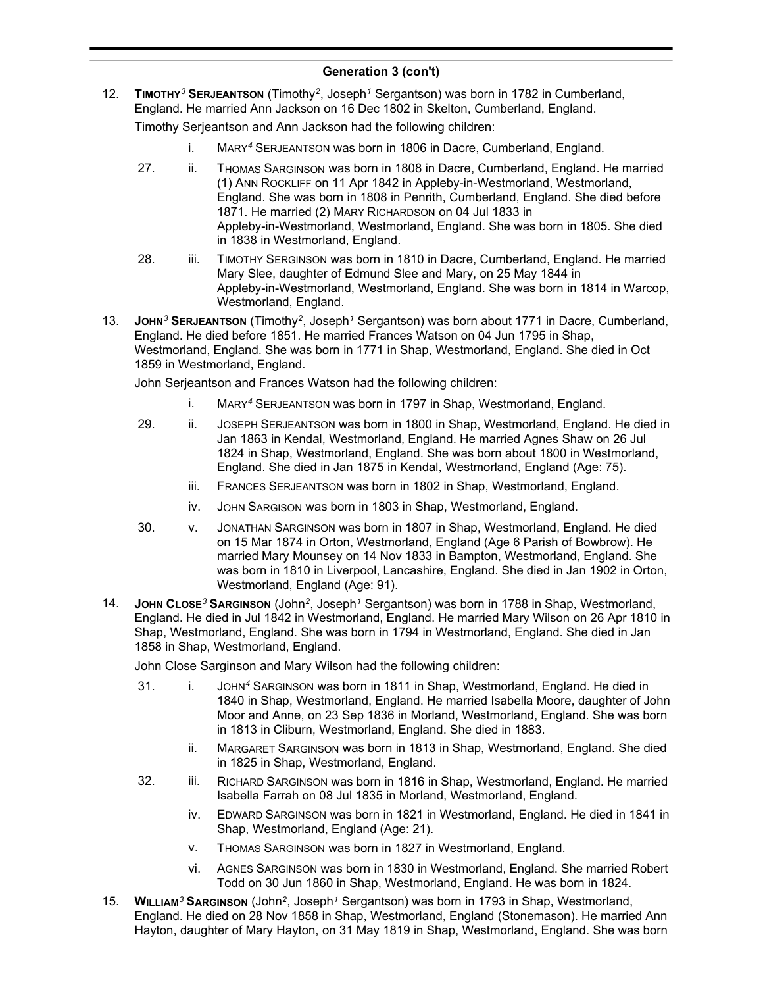12. **TIMOTHY***<sup>3</sup>* **SERJEANTSON** (Timothy*<sup>2</sup>* , Joseph*<sup>1</sup>* Sergantson) was born in 1782 in Cumberland, England. He married Ann Jackson on 16 Dec 1802 in Skelton, Cumberland, England.

Timothy Serjeantson and Ann Jackson had the following children:

- i. MARY*<sup>4</sup>* SERJEANTSON was born in 1806 in Dacre, Cumberland, England.
- 27. ii. THOMAS SARGINSON was born in 1808 in Dacre, Cumberland, England. He married (1) ANN ROCKLIFF on 11 Apr 1842 in Appleby-in-Westmorland, Westmorland, England. She was born in 1808 in Penrith, Cumberland, England. She died before 1871. He married (2) MARY RICHARDSON on 04 Jul 1833 in Appleby-in-Westmorland, Westmorland, England. She was born in 1805. She died in 1838 in Westmorland, England.
- 28. iii. TIMOTHY SERGINSON was born in 1810 in Dacre, Cumberland, England. He married Mary Slee, daughter of Edmund Slee and Mary, on 25 May 1844 in Appleby-in-Westmorland, Westmorland, England. She was born in 1814 in Warcop, Westmorland, England.
- 13. **JOHN<sup>3</sup> SERJEANTSON** (Timothy<sup>2</sup>, Joseph<sup>1</sup> Sergantson) was born about 1771 in Dacre, Cumberland, England. He died before 1851. He married Frances Watson on 04 Jun 1795 in Shap, Westmorland, England. She was born in 1771 in Shap, Westmorland, England. She died in Oct 1859 in Westmorland, England.

John Serjeantson and Frances Watson had the following children:

- i. MARY*<sup>4</sup>* SERJEANTSON was born in 1797 in Shap, Westmorland, England.
- 29. ii. JOSEPH SERJEANTSON was born in 1800 in Shap, Westmorland, England. He died in Jan 1863 in Kendal, Westmorland, England. He married Agnes Shaw on 26 Jul 1824 in Shap, Westmorland, England. She was born about 1800 in Westmorland, England. She died in Jan 1875 in Kendal, Westmorland, England (Age: 75).
	- iii. FRANCES SERJEANTSON was born in 1802 in Shap, Westmorland, England.
	- iv. JOHN SARGISON was born in 1803 in Shap, Westmorland, England.
- 30. v. JONATHAN SARGINSON was born in 1807 in Shap, Westmorland, England. He died on 15 Mar 1874 in Orton, Westmorland, England (Age 6 Parish of Bowbrow). He married Mary Mounsey on 14 Nov 1833 in Bampton, Westmorland, England. She was born in 1810 in Liverpool, Lancashire, England. She died in Jan 1902 in Orton, Westmorland, England (Age: 91).
- 14. **JOHN CLOSE***<sup>3</sup>* **SARGINSON** (John*<sup>2</sup>* , Joseph*<sup>1</sup>* Sergantson) was born in 1788 in Shap, Westmorland, England. He died in Jul 1842 in Westmorland, England. He married Mary Wilson on 26 Apr 1810 in Shap, Westmorland, England. She was born in 1794 in Westmorland, England. She died in Jan 1858 in Shap, Westmorland, England.

John Close Sarginson and Mary Wilson had the following children:

- 31. i. JOHN*<sup>4</sup>* SARGINSON was born in 1811 in Shap, Westmorland, England. He died in 1840 in Shap, Westmorland, England. He married Isabella Moore, daughter of John Moor and Anne, on 23 Sep 1836 in Morland, Westmorland, England. She was born in 1813 in Cliburn, Westmorland, England. She died in 1883.
	- ii. MARGARET SARGINSON was born in 1813 in Shap, Westmorland, England. She died in 1825 in Shap, Westmorland, England.
- 32. iii. RICHARD SARGINSON was born in 1816 in Shap, Westmorland, England. He married Isabella Farrah on 08 Jul 1835 in Morland, Westmorland, England.
	- iv. EDWARD SARGINSON was born in 1821 in Westmorland, England. He died in 1841 in Shap, Westmorland, England (Age: 21).
	- v. THOMAS SARGINSON was born in 1827 in Westmorland, England.
	- vi. AGNES SARGINSON was born in 1830 in Westmorland, England. She married Robert Todd on 30 Jun 1860 in Shap, Westmorland, England. He was born in 1824.
- 15. **WILLIAM***<sup>3</sup>* **SARGINSON** (John*<sup>2</sup>* , Joseph*<sup>1</sup>* Sergantson) was born in 1793 in Shap, Westmorland, England. He died on 28 Nov 1858 in Shap, Westmorland, England (Stonemason). He married Ann Hayton, daughter of Mary Hayton, on 31 May 1819 in Shap, Westmorland, England. She was born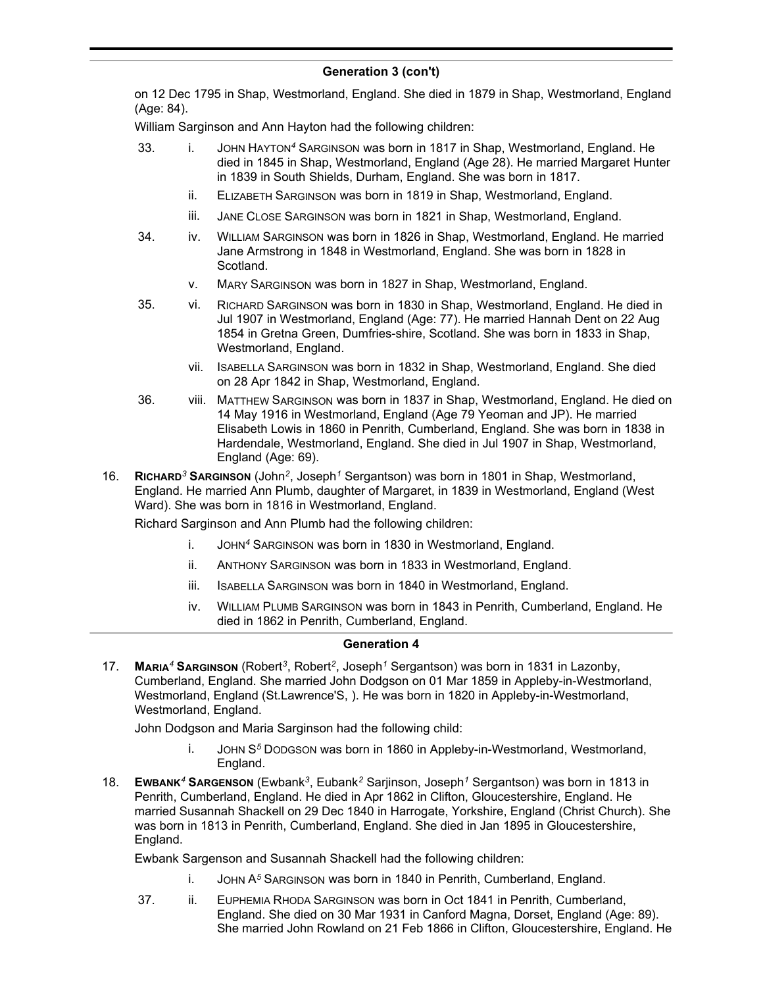on 12 Dec 1795 in Shap, Westmorland, England. She died in 1879 in Shap, Westmorland, England (Age: 84).

William Sarginson and Ann Hayton had the following children:

- 33. i. JOHN HAYTON*<sup>4</sup>* SARGINSON was born in 1817 in Shap, Westmorland, England. He died in 1845 in Shap, Westmorland, England (Age 28). He married Margaret Hunter in 1839 in South Shields, Durham, England. She was born in 1817.
	- ii. ELIZABETH SARGINSON was born in 1819 in Shap, Westmorland, England.
	- iii. JANE CLOSE SARGINSON was born in 1821 in Shap, Westmorland, England.
- 34. iv. WILLIAM SARGINSON was born in 1826 in Shap, Westmorland, England. He married Jane Armstrong in 1848 in Westmorland, England. She was born in 1828 in Scotland.
	- v. MARY SARGINSON was born in 1827 in Shap, Westmorland, England.
- 35. vi. RICHARD SARGINSON was born in 1830 in Shap, Westmorland, England. He died in Jul 1907 in Westmorland, England (Age: 77). He married Hannah Dent on 22 Aug 1854 in Gretna Green, Dumfries-shire, Scotland. She was born in 1833 in Shap, Westmorland, England.
	- vii. ISABELLA SARGINSON was born in 1832 in Shap, Westmorland, England. She died on 28 Apr 1842 in Shap, Westmorland, England.
- 36. viii. MATTHEW SARGINSON was born in 1837 in Shap, Westmorland, England. He died on 14 May 1916 in Westmorland, England (Age 79 Yeoman and JP). He married Elisabeth Lowis in 1860 in Penrith, Cumberland, England. She was born in 1838 in Hardendale, Westmorland, England. She died in Jul 1907 in Shap, Westmorland, England (Age: 69).
- 16. **RICHARD***<sup>3</sup>* **SARGINSON** (John*<sup>2</sup>* , Joseph*<sup>1</sup>* Sergantson) was born in 1801 in Shap, Westmorland, England. He married Ann Plumb, daughter of Margaret, in 1839 in Westmorland, England (West Ward). She was born in 1816 in Westmorland, England.

Richard Sarginson and Ann Plumb had the following children:

- i. JOHN*<sup>4</sup>* SARGINSON was born in 1830 in Westmorland, England.
- ii. ANTHONY SARGINSON was born in 1833 in Westmorland, England.
- iii. ISABELLA SARGINSON was born in 1840 in Westmorland, England.
- iv. WILLIAM PLUMB SARGINSON was born in 1843 in Penrith, Cumberland, England. He died in 1862 in Penrith, Cumberland, England.

### **Generation 4**

17. **MARIA***<sup>4</sup>* **SARGINSON** (Robert*<sup>3</sup>* , Robert*<sup>2</sup>* , Joseph*<sup>1</sup>* Sergantson) was born in 1831 in Lazonby, Cumberland, England. She married John Dodgson on 01 Mar 1859 in Appleby-in-Westmorland, Westmorland, England (St.Lawrence'S, ). He was born in 1820 in Appleby-in-Westmorland, Westmorland, England.

John Dodgson and Maria Sarginson had the following child:

- JOHN S<sup>5</sup> DODGSON was born in 1860 in Appleby-in-Westmorland, Westmorland, England.
- 18. **EWBANK***<sup>4</sup>* **SARGENSON** (Ewbank*<sup>3</sup>* , Eubank*<sup>2</sup>* Sarjinson, Joseph*<sup>1</sup>* Sergantson) was born in 1813 in Penrith, Cumberland, England. He died in Apr 1862 in Clifton, Gloucestershire, England. He married Susannah Shackell on 29 Dec 1840 in Harrogate, Yorkshire, England (Christ Church). She was born in 1813 in Penrith, Cumberland, England. She died in Jan 1895 in Gloucestershire, England.

Ewbank Sargenson and Susannah Shackell had the following children:

- i. JOHN A*<sup>5</sup>* SARGINSON was born in 1840 in Penrith, Cumberland, England.
- 37. ii. EUPHEMIA RHODA SARGINSON was born in Oct 1841 in Penrith, Cumberland, England. She died on 30 Mar 1931 in Canford Magna, Dorset, England (Age: 89). She married John Rowland on 21 Feb 1866 in Clifton, Gloucestershire, England. He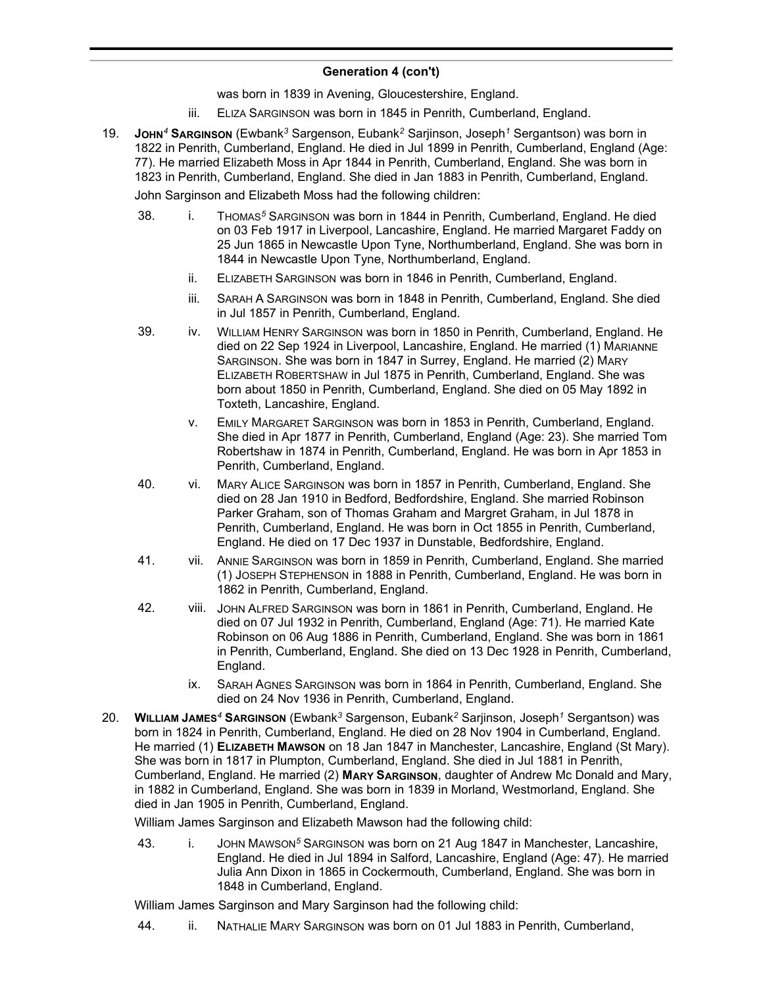was born in 1839 in Avening, Gloucestershire, England.

- iii. ELIZA SARGINSON was born in 1845 in Penrith, Cumberland, England.
- 19. **JOHN***<sup>4</sup>* **SARGINSON** (Ewbank*<sup>3</sup>* Sargenson, Eubank*<sup>2</sup>* Sarjinson, Joseph*<sup>1</sup>* Sergantson) was born in 1822 in Penrith, Cumberland, England. He died in Jul 1899 in Penrith, Cumberland, England (Age: 77). He married Elizabeth Moss in Apr 1844 in Penrith, Cumberland, England. She was born in 1823 in Penrith, Cumberland, England. She died in Jan 1883 in Penrith, Cumberland, England.

John Sarginson and Elizabeth Moss had the following children:

- 38. i. THOMAS*<sup>5</sup>* SARGINSON was born in 1844 in Penrith, Cumberland, England. He died on 03 Feb 1917 in Liverpool, Lancashire, England. He married Margaret Faddy on 25 Jun 1865 in Newcastle Upon Tyne, Northumberland, England. She was born in 1844 in Newcastle Upon Tyne, Northumberland, England.
	- ii. ELIZABETH SARGINSON was born in 1846 in Penrith, Cumberland, England.
	- iii. SARAH A SARGINSON was born in 1848 in Penrith, Cumberland, England. She died in Jul 1857 in Penrith, Cumberland, England.
- 39. iv. WILLIAM HENRY SARGINSON was born in 1850 in Penrith, Cumberland, England. He died on 22 Sep 1924 in Liverpool, Lancashire, England. He married (1) MARIANNE SARGINSON. She was born in 1847 in Surrey, England. He married (2) MARY ELIZABETH ROBERTSHAW in Jul 1875 in Penrith, Cumberland, England. She was born about 1850 in Penrith, Cumberland, England. She died on 05 May 1892 in Toxteth, Lancashire, England.
	- v. EMILY MARGARET SARGINSON was born in 1853 in Penrith, Cumberland, England. She died in Apr 1877 in Penrith, Cumberland, England (Age: 23). She married Tom Robertshaw in 1874 in Penrith, Cumberland, England. He was born in Apr 1853 in Penrith, Cumberland, England.
- 40. vi. MARY ALICE SARGINSON was born in 1857 in Penrith, Cumberland, England. She died on 28 Jan 1910 in Bedford, Bedfordshire, England. She married Robinson Parker Graham, son of Thomas Graham and Margret Graham, in Jul 1878 in Penrith, Cumberland, England. He was born in Oct 1855 in Penrith, Cumberland, England. He died on 17 Dec 1937 in Dunstable, Bedfordshire, England.
- 41. vii. ANNIE SARGINSON was born in 1859 in Penrith, Cumberland, England. She married (1) JOSEPH STEPHENSON in 1888 in Penrith, Cumberland, England. He was born in 1862 in Penrith, Cumberland, England.
- 42. viii. JOHN ALFRED SARGINSON was born in 1861 in Penrith, Cumberland, England. He died on 07 Jul 1932 in Penrith, Cumberland, England (Age: 71). He married Kate Robinson on 06 Aug 1886 in Penrith, Cumberland, England. She was born in 1861 in Penrith, Cumberland, England. She died on 13 Dec 1928 in Penrith, Cumberland, England.
	- ix. SARAH AGNES SARGINSON was born in 1864 in Penrith, Cumberland, England. She died on 24 Nov 1936 in Penrith, Cumberland, England.
- 20. **WILLIAM JAMES***<sup>4</sup>* **SARGINSON** (Ewbank*<sup>3</sup>* Sargenson, Eubank*<sup>2</sup>* Sarjinson, Joseph*<sup>1</sup>* Sergantson) was born in 1824 in Penrith, Cumberland, England. He died on 28 Nov 1904 in Cumberland, England. He married (1) **ELIZABETH MAWSON** on 18 Jan 1847 in Manchester, Lancashire, England (St Mary). She was born in 1817 in Plumpton, Cumberland, England. She died in Jul 1881 in Penrith, Cumberland, England. He married (2) **MARY SARGINSON**, daughter of Andrew Mc Donald and Mary, in 1882 in Cumberland, England. She was born in 1839 in Morland, Westmorland, England. She died in Jan 1905 in Penrith, Cumberland, England.

William James Sarginson and Elizabeth Mawson had the following child:

43. i. JOHN MAWSON*<sup>5</sup>* SARGINSON was born on 21 Aug 1847 in Manchester, Lancashire, England. He died in Jul 1894 in Salford, Lancashire, England (Age: 47). He married Julia Ann Dixon in 1865 in Cockermouth, Cumberland, England. She was born in 1848 in Cumberland, England.

William James Sarginson and Mary Sarginson had the following child:

44. ii. NATHALIE MARY SARGINSON was born on 01 Jul 1883 in Penrith, Cumberland,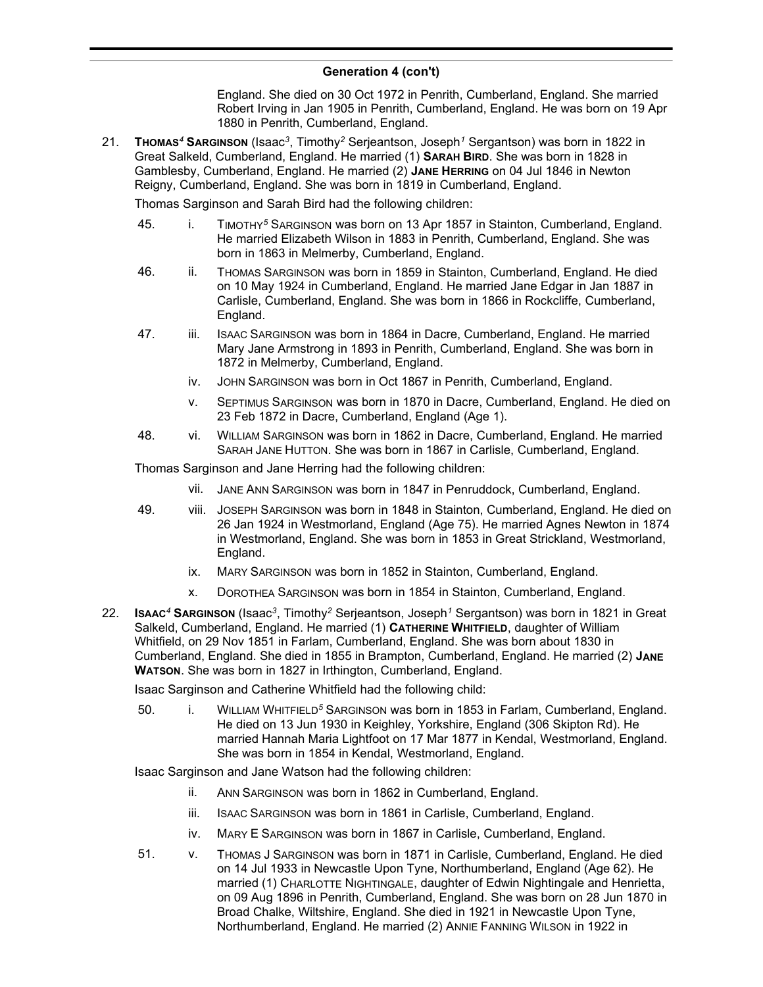England. She died on 30 Oct 1972 in Penrith, Cumberland, England. She married Robert Irving in Jan 1905 in Penrith, Cumberland, England. He was born on 19 Apr 1880 in Penrith, Cumberland, England.

21. **THOMAS***<sup>4</sup>* **SARGINSON** (Isaac*<sup>3</sup>* , Timothy*<sup>2</sup>* Serjeantson, Joseph*<sup>1</sup>* Sergantson) was born in 1822 in Great Salkeld, Cumberland, England. He married (1) **SARAH BIRD**. She was born in 1828 in Gamblesby, Cumberland, England. He married (2) **JANE HERRING** on 04 Jul 1846 in Newton Reigny, Cumberland, England. She was born in 1819 in Cumberland, England.

Thomas Sarginson and Sarah Bird had the following children:

- 45. i. TIMOTHY*<sup>5</sup>* SARGINSON was born on 13 Apr 1857 in Stainton, Cumberland, England. He married Elizabeth Wilson in 1883 in Penrith, Cumberland, England. She was born in 1863 in Melmerby, Cumberland, England.
- 46. ii. THOMAS SARGINSON was born in 1859 in Stainton, Cumberland, England. He died on 10 May 1924 in Cumberland, England. He married Jane Edgar in Jan 1887 in Carlisle, Cumberland, England. She was born in 1866 in Rockcliffe, Cumberland, England.
- 47. iii. ISAAC SARGINSON was born in 1864 in Dacre, Cumberland, England. He married Mary Jane Armstrong in 1893 in Penrith, Cumberland, England. She was born in 1872 in Melmerby, Cumberland, England.
	- iv. JOHN SARGINSON was born in Oct 1867 in Penrith, Cumberland, England.
	- v. SEPTIMUS SARGINSON was born in 1870 in Dacre, Cumberland, England. He died on 23 Feb 1872 in Dacre, Cumberland, England (Age 1).
- 48. vi. WILLIAM SARGINSON was born in 1862 in Dacre, Cumberland, England. He married SARAH JANE HUTTON. She was born in 1867 in Carlisle, Cumberland, England.

Thomas Sarginson and Jane Herring had the following children:

- vii. JANE ANN SARGINSON was born in 1847 in Penruddock, Cumberland, England.
- 49. viii. JOSEPH SARGINSON was born in 1848 in Stainton, Cumberland, England. He died on 26 Jan 1924 in Westmorland, England (Age 75). He married Agnes Newton in 1874 in Westmorland, England. She was born in 1853 in Great Strickland, Westmorland, England.
	- ix. MARY SARGINSON was born in 1852 in Stainton, Cumberland, England.
	- x. DOROTHEA SARGINSON was born in 1854 in Stainton, Cumberland, England.
- 22. **ISAAC***<sup>4</sup>* **SARGINSON** (Isaac*<sup>3</sup>* , Timothy*<sup>2</sup>* Serjeantson, Joseph*<sup>1</sup>* Sergantson) was born in 1821 in Great Salkeld, Cumberland, England. He married (1) **CATHERINE WHITFIELD**, daughter of William Whitfield, on 29 Nov 1851 in Farlam, Cumberland, England. She was born about 1830 in Cumberland, England. She died in 1855 in Brampton, Cumberland, England. He married (2) **JANE WATSON**. She was born in 1827 in Irthington, Cumberland, England.

Isaac Sarginson and Catherine Whitfield had the following child:

50. i. WILLIAM WHITFIELD*<sup>5</sup>* SARGINSON was born in 1853 in Farlam, Cumberland, England. He died on 13 Jun 1930 in Keighley, Yorkshire, England (306 Skipton Rd). He married Hannah Maria Lightfoot on 17 Mar 1877 in Kendal, Westmorland, England. She was born in 1854 in Kendal, Westmorland, England.

Isaac Sarginson and Jane Watson had the following children:

- ii. ANN SARGINSON was born in 1862 in Cumberland, England.
- iii. ISAAC SARGINSON was born in 1861 in Carlisle, Cumberland, England.
- iv. MARY E SARGINSON was born in 1867 in Carlisle, Cumberland, England.
- 51. v. THOMAS J SARGINSON was born in 1871 in Carlisle, Cumberland, England. He died on 14 Jul 1933 in Newcastle Upon Tyne, Northumberland, England (Age 62). He married (1) CHARLOTTE NIGHTINGALE, daughter of Edwin Nightingale and Henrietta, on 09 Aug 1896 in Penrith, Cumberland, England. She was born on 28 Jun 1870 in Broad Chalke, Wiltshire, England. She died in 1921 in Newcastle Upon Tyne, Northumberland, England. He married (2) ANNIE FANNING WILSON in 1922 in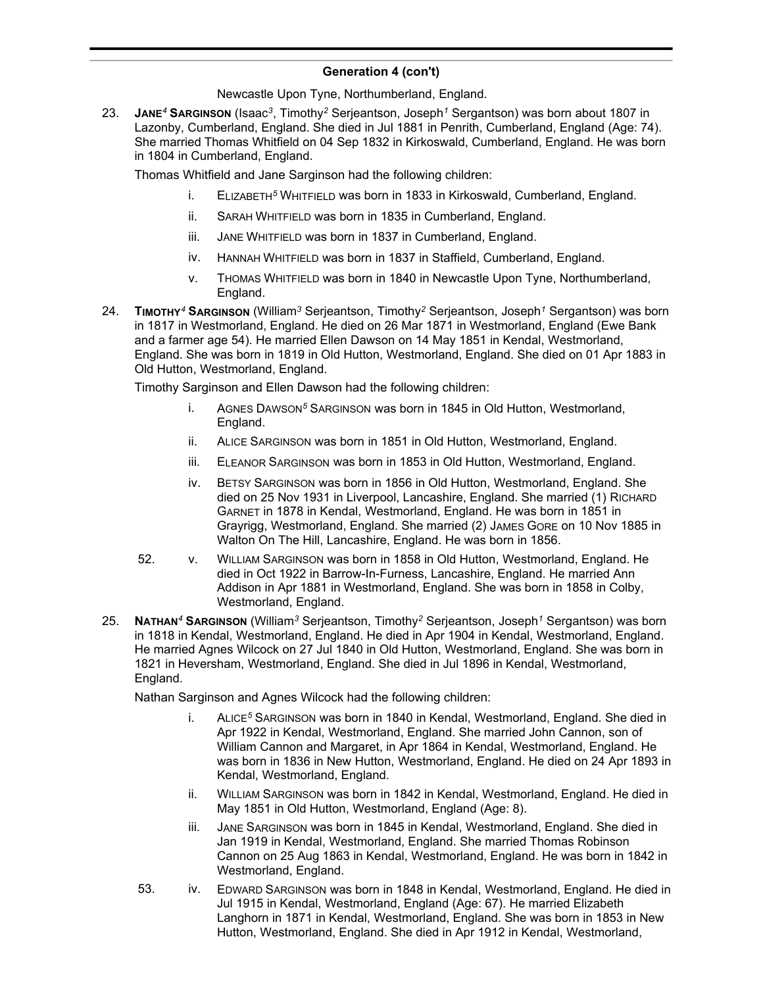Newcastle Upon Tyne, Northumberland, England.

23. **JANE***<sup>4</sup>* **SARGINSON** (Isaac*<sup>3</sup>* , Timothy*<sup>2</sup>* Serjeantson, Joseph*<sup>1</sup>* Sergantson) was born about 1807 in Lazonby, Cumberland, England. She died in Jul 1881 in Penrith, Cumberland, England (Age: 74). She married Thomas Whitfield on 04 Sep 1832 in Kirkoswald, Cumberland, England. He was born in 1804 in Cumberland, England.

Thomas Whitfield and Jane Sarginson had the following children:

- i. ELIZABETH*<sup>5</sup>* WHITFIELD was born in 1833 in Kirkoswald, Cumberland, England.
- ii. SARAH WHITFIELD was born in 1835 in Cumberland, England.
- iii. JANE WHITFIELD was born in 1837 in Cumberland, England.
- iv. HANNAH WHITFIELD was born in 1837 in Staffield, Cumberland, England.
- v. THOMAS WHITFIELD was born in 1840 in Newcastle Upon Tyne, Northumberland, England.
- 24. **TIMOTHY***<sup>4</sup>* **SARGINSON** (William*<sup>3</sup>* Serjeantson, Timothy*<sup>2</sup>* Serjeantson, Joseph*<sup>1</sup>* Sergantson) was born in 1817 in Westmorland, England. He died on 26 Mar 1871 in Westmorland, England (Ewe Bank and a farmer age 54). He married Ellen Dawson on 14 May 1851 in Kendal, Westmorland, England. She was born in 1819 in Old Hutton, Westmorland, England. She died on 01 Apr 1883 in Old Hutton, Westmorland, England.

Timothy Sarginson and Ellen Dawson had the following children:

- i. AGNES DAWSON*<sup>5</sup>* SARGINSON was born in 1845 in Old Hutton, Westmorland, England.
- ii. ALICE SARGINSON was born in 1851 in Old Hutton, Westmorland, England.
- iii. ELEANOR SARGINSON was born in 1853 in Old Hutton, Westmorland, England.
- iv. BETSY SARGINSON was born in 1856 in Old Hutton, Westmorland, England. She died on 25 Nov 1931 in Liverpool, Lancashire, England. She married (1) RICHARD GARNET in 1878 in Kendal, Westmorland, England. He was born in 1851 in Grayrigg, Westmorland, England. She married (2) JAMES GORE on 10 Nov 1885 in Walton On The Hill, Lancashire, England. He was born in 1856.
- 52. v. WILLIAM SARGINSON was born in 1858 in Old Hutton, Westmorland, England. He died in Oct 1922 in Barrow-In-Furness, Lancashire, England. He married Ann Addison in Apr 1881 in Westmorland, England. She was born in 1858 in Colby, Westmorland, England.
- 25. **NATHAN***<sup>4</sup>* **SARGINSON** (William*<sup>3</sup>* Serjeantson, Timothy*<sup>2</sup>* Serjeantson, Joseph*<sup>1</sup>* Sergantson) was born in 1818 in Kendal, Westmorland, England. He died in Apr 1904 in Kendal, Westmorland, England. He married Agnes Wilcock on 27 Jul 1840 in Old Hutton, Westmorland, England. She was born in 1821 in Heversham, Westmorland, England. She died in Jul 1896 in Kendal, Westmorland, England.

Nathan Sarginson and Agnes Wilcock had the following children:

- i. ALICE*<sup>5</sup>* SARGINSON was born in 1840 in Kendal, Westmorland, England. She died in Apr 1922 in Kendal, Westmorland, England. She married John Cannon, son of William Cannon and Margaret, in Apr 1864 in Kendal, Westmorland, England. He was born in 1836 in New Hutton, Westmorland, England. He died on 24 Apr 1893 in Kendal, Westmorland, England.
- ii. WILLIAM SARGINSON was born in 1842 in Kendal, Westmorland, England. He died in May 1851 in Old Hutton, Westmorland, England (Age: 8).
- iii. JANE SARGINSON was born in 1845 in Kendal, Westmorland, England. She died in Jan 1919 in Kendal, Westmorland, England. She married Thomas Robinson Cannon on 25 Aug 1863 in Kendal, Westmorland, England. He was born in 1842 in Westmorland, England.
- 53. iv. EDWARD SARGINSON was born in 1848 in Kendal, Westmorland, England. He died in Jul 1915 in Kendal, Westmorland, England (Age: 67). He married Elizabeth Langhorn in 1871 in Kendal, Westmorland, England. She was born in 1853 in New Hutton, Westmorland, England. She died in Apr 1912 in Kendal, Westmorland,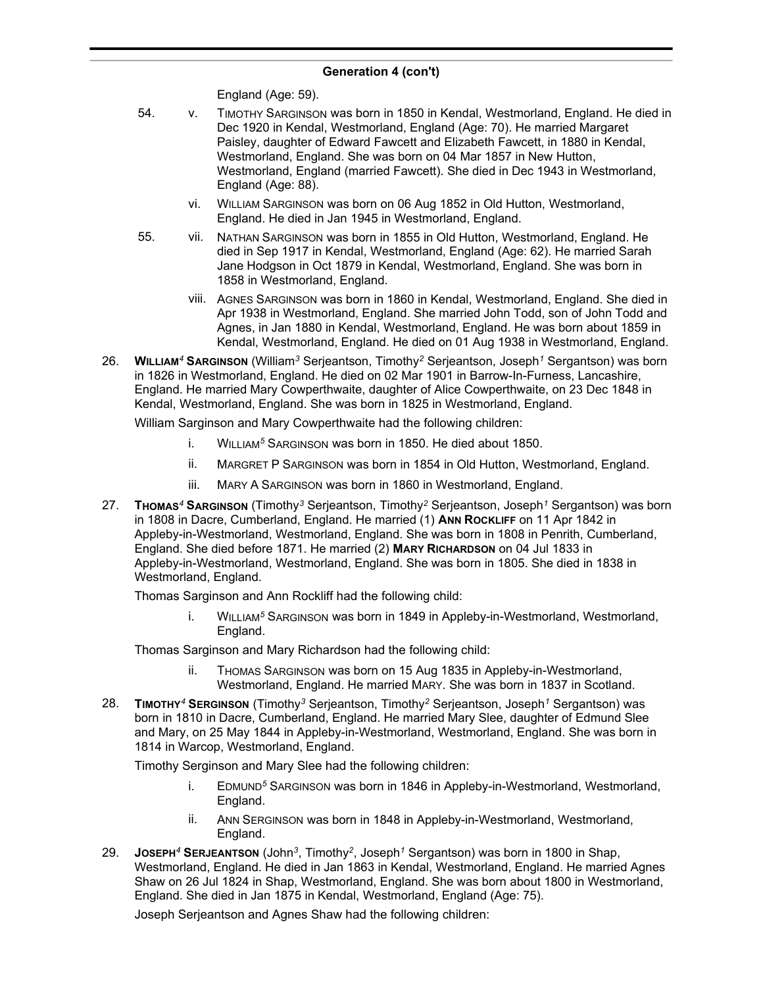England (Age: 59).

- 54. v. TIMOTHY SARGINSON was born in 1850 in Kendal, Westmorland, England. He died in Dec 1920 in Kendal, Westmorland, England (Age: 70). He married Margaret Paisley, daughter of Edward Fawcett and Elizabeth Fawcett, in 1880 in Kendal, Westmorland, England. She was born on 04 Mar 1857 in New Hutton, Westmorland, England (married Fawcett). She died in Dec 1943 in Westmorland, England (Age: 88).
	- vi. WILLIAM SARGINSON was born on 06 Aug 1852 in Old Hutton, Westmorland, England. He died in Jan 1945 in Westmorland, England.
- 55. vii. NATHAN SARGINSON was born in 1855 in Old Hutton, Westmorland, England. He died in Sep 1917 in Kendal, Westmorland, England (Age: 62). He married Sarah Jane Hodgson in Oct 1879 in Kendal, Westmorland, England. She was born in 1858 in Westmorland, England.
	- viii. AGNES SARGINSON was born in 1860 in Kendal, Westmorland, England. She died in Apr 1938 in Westmorland, England. She married John Todd, son of John Todd and Agnes, in Jan 1880 in Kendal, Westmorland, England. He was born about 1859 in Kendal, Westmorland, England. He died on 01 Aug 1938 in Westmorland, England.
- 26. **WILLIAM***<sup>4</sup>* **SARGINSON** (William*<sup>3</sup>* Serjeantson, Timothy*<sup>2</sup>* Serjeantson, Joseph*<sup>1</sup>* Sergantson) was born in 1826 in Westmorland, England. He died on 02 Mar 1901 in Barrow-In-Furness, Lancashire, England. He married Mary Cowperthwaite, daughter of Alice Cowperthwaite, on 23 Dec 1848 in Kendal, Westmorland, England. She was born in 1825 in Westmorland, England.

William Sarginson and Mary Cowperthwaite had the following children:

- i. WILLIAM*<sup>5</sup>* SARGINSON was born in 1850. He died about 1850.
- ii. MARGRET P SARGINSON was born in 1854 in Old Hutton, Westmorland, England.
- iii. MARY A SARGINSON was born in 1860 in Westmorland, England.
- 27. **THOMAS***<sup>4</sup>* **SARGINSON** (Timothy*<sup>3</sup>* Serjeantson, Timothy*<sup>2</sup>* Serjeantson, Joseph*<sup>1</sup>* Sergantson) was born in 1808 in Dacre, Cumberland, England. He married (1) ANN ROCKLIFF on 11 Apr 1842 in Appleby-in-Westmorland, Westmorland, England. She was born in 1808 in Penrith, Cumberland, England. She died before 1871. He married (2) **MARY RICHARDSON** on 04 Jul 1833 in Appleby-in-Westmorland, Westmorland, England. She was born in 1805. She died in 1838 in Westmorland, England.

Thomas Sarginson and Ann Rockliff had the following child:

i. WILLIAM*<sup>5</sup>* SARGINSON was born in 1849 in Appleby-in-Westmorland, Westmorland, England.

Thomas Sarginson and Mary Richardson had the following child:

- ii. THOMAS SARGINSON was born on 15 Aug 1835 in Appleby-in-Westmorland, Westmorland, England. He married MARY. She was born in 1837 in Scotland.
- 28. **TIMOTHY***<sup>4</sup>* **SERGINSON** (Timothy*<sup>3</sup>* Serjeantson, Timothy*<sup>2</sup>* Serjeantson, Joseph*<sup>1</sup>* Sergantson) was born in 1810 in Dacre, Cumberland, England. He married Mary Slee, daughter of Edmund Slee and Mary, on 25 May 1844 in Appleby-in-Westmorland, Westmorland, England. She was born in 1814 in Warcop, Westmorland, England.

Timothy Serginson and Mary Slee had the following children:

- i. EDMUND*<sup>5</sup>* SARGINSON was born in 1846 in Appleby-in-Westmorland, Westmorland, England.
- ii. ANN SERGINSON was born in 1848 in Appleby-in-Westmorland, Westmorland, England.
- 29. **JOSEPH***<sup>4</sup>* **SERJEANTSON** (John*<sup>3</sup>* , Timothy*<sup>2</sup>* , Joseph*<sup>1</sup>* Sergantson) was born in 1800 in Shap, Westmorland, England. He died in Jan 1863 in Kendal, Westmorland, England. He married Agnes Shaw on 26 Jul 1824 in Shap, Westmorland, England. She was born about 1800 in Westmorland, England. She died in Jan 1875 in Kendal, Westmorland, England (Age: 75).

Joseph Serjeantson and Agnes Shaw had the following children: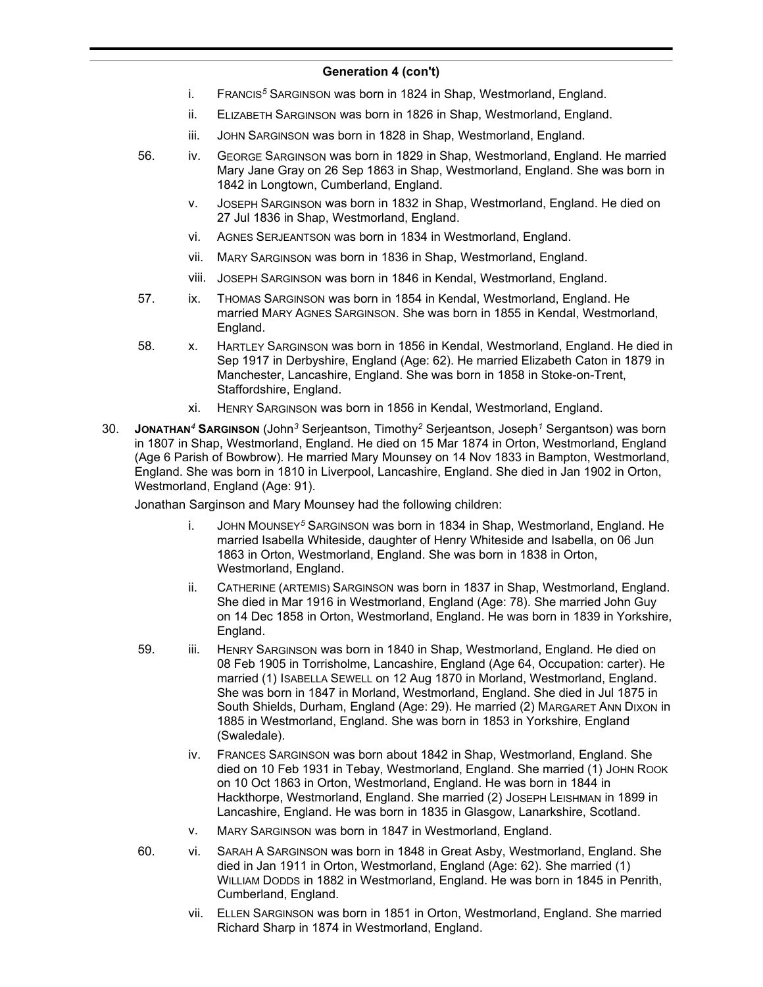- i. FRANCIS*<sup>5</sup>* SARGINSON was born in 1824 in Shap, Westmorland, England.
- ii. ELIZABETH SARGINSON was born in 1826 in Shap, Westmorland, England.
- iii. JOHN SARGINSON was born in 1828 in Shap, Westmorland, England.
- 56. iv. GEORGE SARGINSON was born in 1829 in Shap, Westmorland, England. He married Mary Jane Gray on 26 Sep 1863 in Shap, Westmorland, England. She was born in 1842 in Longtown, Cumberland, England.
	- v. JOSEPH SARGINSON was born in 1832 in Shap, Westmorland, England. He died on 27 Jul 1836 in Shap, Westmorland, England.
	- vi. AGNES SERJEANTSON was born in 1834 in Westmorland, England.
	- vii. MARY SARGINSON was born in 1836 in Shap, Westmorland, England.
	- viii. JOSEPH SARGINSON was born in 1846 in Kendal, Westmorland, England.
- 57. ix. THOMAS SARGINSON was born in 1854 in Kendal, Westmorland, England. He married MARY AGNES SARGINSON. She was born in 1855 in Kendal, Westmorland, England.
- 58. x. HARTLEY SARGINSON was born in 1856 in Kendal, Westmorland, England. He died in Sep 1917 in Derbyshire, England (Age: 62). He married Elizabeth Caton in 1879 in Manchester, Lancashire, England. She was born in 1858 in Stoke-on-Trent, Staffordshire, England.
	- xi. HENRY SARGINSON was born in 1856 in Kendal, Westmorland, England.
- 30. **JONATHAN***<sup>4</sup>* **SARGINSON** (John*<sup>3</sup>* Serjeantson, Timothy*<sup>2</sup>* Serjeantson, Joseph*<sup>1</sup>* Sergantson) was born in 1807 in Shap, Westmorland, England. He died on 15 Mar 1874 in Orton, Westmorland, England (Age 6 Parish of Bowbrow). He married Mary Mounsey on 14 Nov 1833 in Bampton, Westmorland, England. She was born in 1810 in Liverpool, Lancashire, England. She died in Jan 1902 in Orton, Westmorland, England (Age: 91).

Jonathan Sarginson and Mary Mounsey had the following children:

- i. JOHN MOUNSEY*<sup>5</sup>* SARGINSON was born in 1834 in Shap, Westmorland, England. He married Isabella Whiteside, daughter of Henry Whiteside and Isabella, on 06 Jun 1863 in Orton, Westmorland, England. She was born in 1838 in Orton, Westmorland, England.
- ii. CATHERINE (ARTEMIS) SARGINSON was born in 1837 in Shap, Westmorland, England. She died in Mar 1916 in Westmorland, England (Age: 78). She married John Guy on 14 Dec 1858 in Orton, Westmorland, England. He was born in 1839 in Yorkshire, England.
- 59. iii. HENRY SARGINSON was born in 1840 in Shap, Westmorland, England. He died on 08 Feb 1905 in Torrisholme, Lancashire, England (Age 64, Occupation: carter). He married (1) ISABELLA SEWELL on 12 Aug 1870 in Morland, Westmorland, England. She was born in 1847 in Morland, Westmorland, England. She died in Jul 1875 in South Shields, Durham, England (Age: 29). He married (2) MARGARET ANN DIXON in 1885 in Westmorland, England. She was born in 1853 in Yorkshire, England (Swaledale).
	- iv. FRANCES SARGINSON was born about 1842 in Shap, Westmorland, England. She died on 10 Feb 1931 in Tebay, Westmorland, England. She married (1) JOHN ROOK on 10 Oct 1863 in Orton, Westmorland, England. He was born in 1844 in Hackthorpe, Westmorland, England. She married (2) JOSEPH LEISHMAN in 1899 in Lancashire, England. He was born in 1835 in Glasgow, Lanarkshire, Scotland.
	- v. MARY SARGINSON was born in 1847 in Westmorland, England.
- 60. vi. SARAH A SARGINSON was born in 1848 in Great Asby, Westmorland, England. She died in Jan 1911 in Orton, Westmorland, England (Age: 62). She married (1) WILLIAM DODDS in 1882 in Westmorland, England. He was born in 1845 in Penrith, Cumberland, England.
	- vii. ELLEN SARGINSON was born in 1851 in Orton, Westmorland, England. She married Richard Sharp in 1874 in Westmorland, England.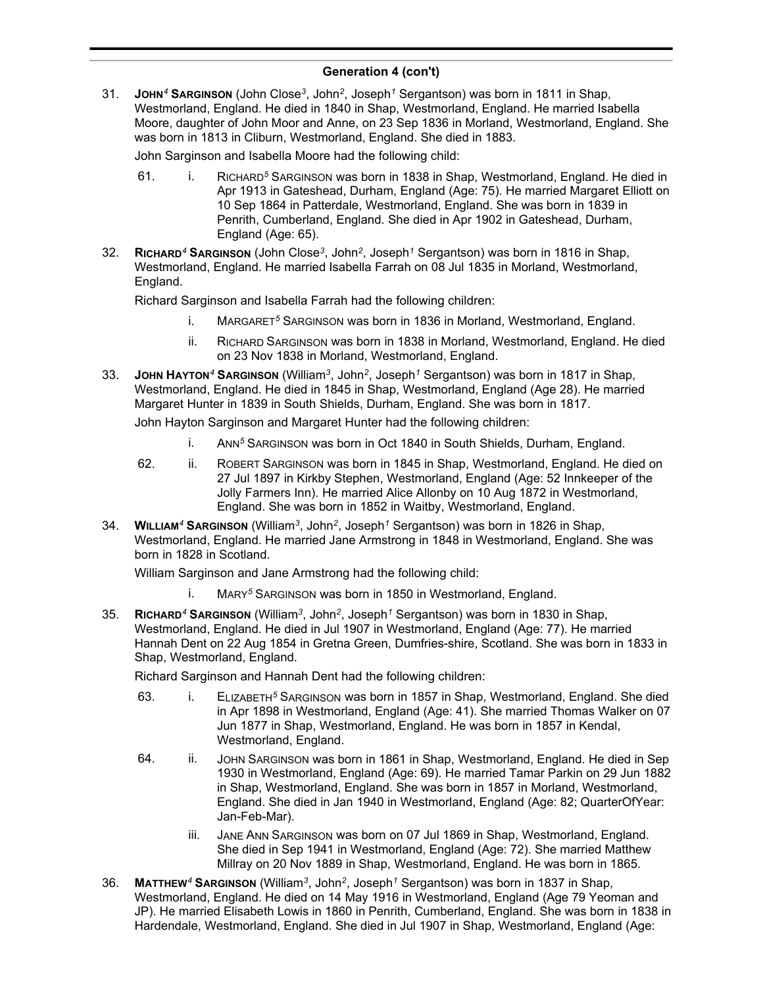31. **JOHN***<sup>4</sup>* **SARGINSON** (John Close*<sup>3</sup>* , John*<sup>2</sup>* , Joseph*<sup>1</sup>* Sergantson) was born in 1811 in Shap, Westmorland, England. He died in 1840 in Shap, Westmorland, England. He married Isabella Moore, daughter of John Moor and Anne, on 23 Sep 1836 in Morland, Westmorland, England. She was born in 1813 in Cliburn, Westmorland, England. She died in 1883.

John Sarginson and Isabella Moore had the following child:

- 61. i. RICHARD*<sup>5</sup>* SARGINSON was born in 1838 in Shap, Westmorland, England. He died in Apr 1913 in Gateshead, Durham, England (Age: 75). He married Margaret Elliott on 10 Sep 1864 in Patterdale, Westmorland, England. She was born in 1839 in Penrith, Cumberland, England. She died in Apr 1902 in Gateshead, Durham, England (Age: 65).
- 32. **RICHARD***<sup>4</sup>* **SARGINSON** (John Close*<sup>3</sup>* , John*<sup>2</sup>* , Joseph*<sup>1</sup>* Sergantson) was born in 1816 in Shap, Westmorland, England. He married Isabella Farrah on 08 Jul 1835 in Morland, Westmorland, England.

Richard Sarginson and Isabella Farrah had the following children:

- i. MARGARET*<sup>5</sup>* SARGINSON was born in 1836 in Morland, Westmorland, England.
- ii. RICHARD SARGINSON was born in 1838 in Morland, Westmorland, England. He died on 23 Nov 1838 in Morland, Westmorland, England.
- 33. **JOHN HAYTON***<sup>4</sup>* **SARGINSON** (William*<sup>3</sup>* , John*<sup>2</sup>* , Joseph*<sup>1</sup>* Sergantson) was born in 1817 in Shap, Westmorland, England. He died in 1845 in Shap, Westmorland, England (Age 28). He married Margaret Hunter in 1839 in South Shields, Durham, England. She was born in 1817.

John Hayton Sarginson and Margaret Hunter had the following children:

- i. ANN*<sup>5</sup>* SARGINSON was born in Oct 1840 in South Shields, Durham, England.
- 62. ii. ROBERT SARGINSON was born in 1845 in Shap, Westmorland, England. He died on 27 Jul 1897 in Kirkby Stephen, Westmorland, England (Age: 52 Innkeeper of the Jolly Farmers Inn). He married Alice Allonby on 10 Aug 1872 in Westmorland, England. She was born in 1852 in Waitby, Westmorland, England.
- 34. **WILLIAM***<sup>4</sup>* **SARGINSON** (William*<sup>3</sup>* , John*<sup>2</sup>* , Joseph*<sup>1</sup>* Sergantson) was born in 1826 in Shap, Westmorland, England. He married Jane Armstrong in 1848 in Westmorland, England. She was born in 1828 in Scotland.

William Sarginson and Jane Armstrong had the following child:

- i. MARY*<sup>5</sup>* SARGINSON was born in 1850 in Westmorland, England.
- 35. **RICHARD***<sup>4</sup>* **SARGINSON** (William*<sup>3</sup>* , John*<sup>2</sup>* , Joseph*<sup>1</sup>* Sergantson) was born in 1830 in Shap, Westmorland, England. He died in Jul 1907 in Westmorland, England (Age: 77). He married Hannah Dent on 22 Aug 1854 in Gretna Green, Dumfries-shire, Scotland. She was born in 1833 in Shap, Westmorland, England.

Richard Sarginson and Hannah Dent had the following children:

- 63. i. ELIZABETH*<sup>5</sup>* SARGINSON was born in 1857 in Shap, Westmorland, England. She died in Apr 1898 in Westmorland, England (Age: 41). She married Thomas Walker on 07 Jun 1877 in Shap, Westmorland, England. He was born in 1857 in Kendal, Westmorland, England.
- 64. ii. JOHN SARGINSON was born in 1861 in Shap, Westmorland, England. He died in Sep 1930 in Westmorland, England (Age: 69). He married Tamar Parkin on 29 Jun 1882 in Shap, Westmorland, England. She was born in 1857 in Morland, Westmorland, England. She died in Jan 1940 in Westmorland, England (Age: 82; QuarterOfYear: Jan-Feb-Mar).
	- iii. JANE ANN SARGINSON was born on 07 Jul 1869 in Shap, Westmorland, England. She died in Sep 1941 in Westmorland, England (Age: 72). She married Matthew Millray on 20 Nov 1889 in Shap, Westmorland, England. He was born in 1865.
- 36. **MATTHEW***<sup>4</sup>* **SARGINSON** (William*<sup>3</sup>* , John*<sup>2</sup>* , Joseph*<sup>1</sup>* Sergantson) was born in 1837 in Shap, Westmorland, England. He died on 14 May 1916 in Westmorland, England (Age 79 Yeoman and JP). He married Elisabeth Lowis in 1860 in Penrith, Cumberland, England. She was born in 1838 in Hardendale, Westmorland, England. She died in Jul 1907 in Shap, Westmorland, England (Age: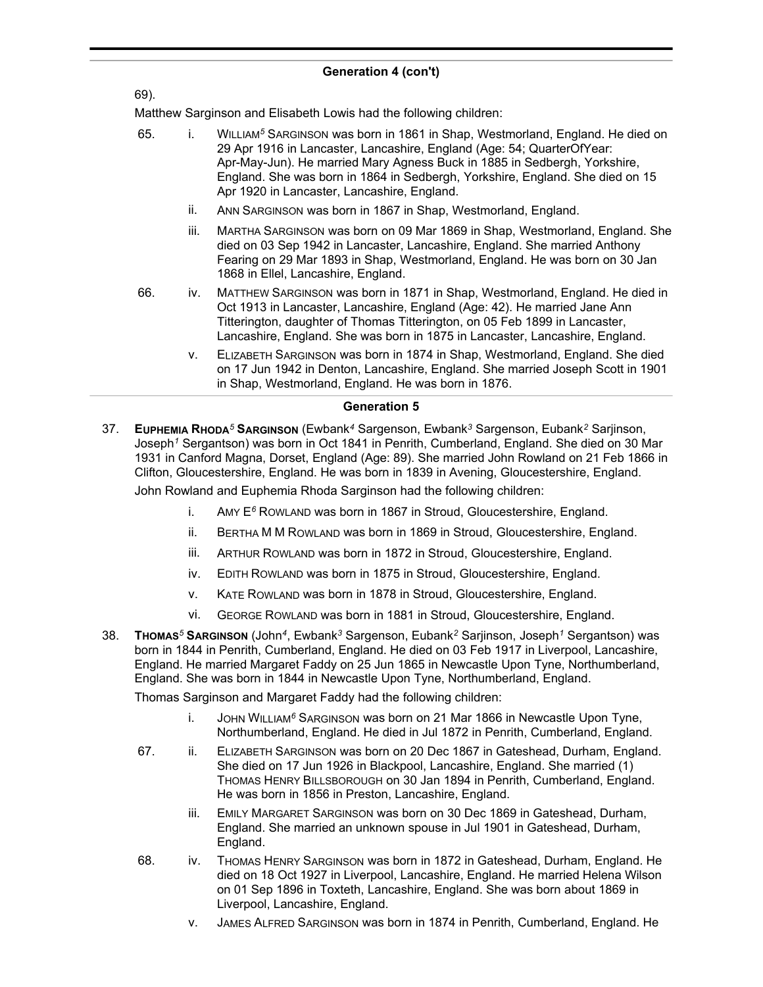#### 69).

Matthew Sarginson and Elisabeth Lowis had the following children:

- 65. i. WILLIAM*<sup>5</sup>* SARGINSON was born in 1861 in Shap, Westmorland, England. He died on 29 Apr 1916 in Lancaster, Lancashire, England (Age: 54; QuarterOfYear: Apr-May-Jun). He married Mary Agness Buck in 1885 in Sedbergh, Yorkshire, England. She was born in 1864 in Sedbergh, Yorkshire, England. She died on 15 Apr 1920 in Lancaster, Lancashire, England.
	- ii. ANN SARGINSON was born in 1867 in Shap, Westmorland, England.
	- iii. MARTHA SARGINSON was born on 09 Mar 1869 in Shap, Westmorland, England. She died on 03 Sep 1942 in Lancaster, Lancashire, England. She married Anthony Fearing on 29 Mar 1893 in Shap, Westmorland, England. He was born on 30 Jan 1868 in Ellel, Lancashire, England.
- 66. iv. MATTHEW SARGINSON was born in 1871 in Shap, Westmorland, England. He died in Oct 1913 in Lancaster, Lancashire, England (Age: 42). He married Jane Ann Titterington, daughter of Thomas Titterington, on 05 Feb 1899 in Lancaster, Lancashire, England. She was born in 1875 in Lancaster, Lancashire, England.
	- v. ELIZABETH SARGINSON was born in 1874 in Shap, Westmorland, England. She died on 17 Jun 1942 in Denton, Lancashire, England. She married Joseph Scott in 1901 in Shap, Westmorland, England. He was born in 1876.

#### **Generation 5**

37. **EUPHEMIA RHODA***<sup>5</sup>* **SARGINSON** (Ewbank*<sup>4</sup>* Sargenson, Ewbank*<sup>3</sup>* Sargenson, Eubank*<sup>2</sup>* Sarjinson, Joseph*<sup>1</sup>* Sergantson) was born in Oct 1841 in Penrith, Cumberland, England. She died on 30 Mar 1931 in Canford Magna, Dorset, England (Age: 89). She married John Rowland on 21 Feb 1866 in Clifton, Gloucestershire, England. He was born in 1839 in Avening, Gloucestershire, England.

John Rowland and Euphemia Rhoda Sarginson had the following children:

- i. AMY E*<sup>6</sup>* ROWLAND was born in 1867 in Stroud, Gloucestershire, England.
- ii. BERTHA M M ROWLAND was born in 1869 in Stroud, Gloucestershire, England.
- iii. ARTHUR ROWLAND was born in 1872 in Stroud, Gloucestershire, England.
- iv. EDITH ROWLAND was born in 1875 in Stroud, Gloucestershire, England.
- v. KATE ROWLAND was born in 1878 in Stroud, Gloucestershire, England.
- vi. GEORGE ROWLAND was born in 1881 in Stroud, Gloucestershire, England.
- 38. **THOMAS***<sup>5</sup>* **SARGINSON** (John*<sup>4</sup>* , Ewbank*<sup>3</sup>* Sargenson, Eubank*<sup>2</sup>* Sarjinson, Joseph*<sup>1</sup>* Sergantson) was born in 1844 in Penrith, Cumberland, England. He died on 03 Feb 1917 in Liverpool, Lancashire, England. He married Margaret Faddy on 25 Jun 1865 in Newcastle Upon Tyne, Northumberland, England. She was born in 1844 in Newcastle Upon Tyne, Northumberland, England.

Thomas Sarginson and Margaret Faddy had the following children:

- i. JOHN WILLIAM*<sup>6</sup>* SARGINSON was born on 21 Mar 1866 in Newcastle Upon Tyne, Northumberland, England. He died in Jul 1872 in Penrith, Cumberland, England.
- 67. ii. ELIZABETH SARGINSON was born on 20 Dec 1867 in Gateshead, Durham, England. She died on 17 Jun 1926 in Blackpool, Lancashire, England. She married (1) THOMAS HENRY BILLSBOROUGH on 30 Jan 1894 in Penrith, Cumberland, England. He was born in 1856 in Preston, Lancashire, England.
	- iii. EMILY MARGARET SARGINSON was born on 30 Dec 1869 in Gateshead, Durham, England. She married an unknown spouse in Jul 1901 in Gateshead, Durham, England.
- 68. iv. THOMAS HENRY SARGINSON was born in 1872 in Gateshead, Durham, England. He died on 18 Oct 1927 in Liverpool, Lancashire, England. He married Helena Wilson on 01 Sep 1896 in Toxteth, Lancashire, England. She was born about 1869 in Liverpool, Lancashire, England.
	- v. JAMES ALFRED SARGINSON was born in 1874 in Penrith, Cumberland, England. He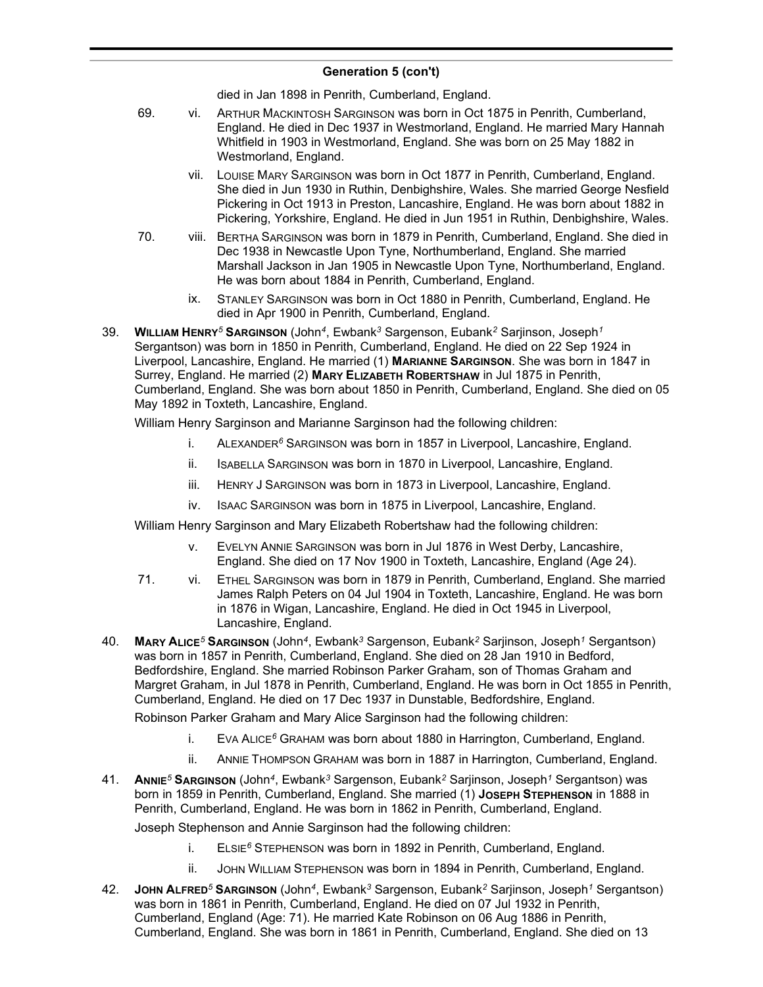#### **Generation 5 (con't)**  $\sum_{i=1}^{n}$

died in Jan 1898 in Penrith, Cumberland, England.

- 69. vi. ARTHUR MACKINTOSH SARGINSON was born in Oct 1875 in Penrith, Cumberland, England. He died in Dec 1937 in Westmorland, England. He married Mary Hannah Whitfield in 1903 in Westmorland, England. She was born on 25 May 1882 in Westmorland, England.
	- vii. LOUISE MARY SARGINSON was born in Oct 1877 in Penrith, Cumberland, England. She died in Jun 1930 in Ruthin, Denbighshire, Wales. She married George Nesfield Pickering in Oct 1913 in Preston, Lancashire, England. He was born about 1882 in Pickering, Yorkshire, England. He died in Jun 1951 in Ruthin, Denbighshire, Wales.
- 70. viii. BERTHA SARGINSON was born in 1879 in Penrith, Cumberland, England. She died in Dec 1938 in Newcastle Upon Tyne, Northumberland, England. She married Marshall Jackson in Jan 1905 in Newcastle Upon Tyne, Northumberland, England. He was born about 1884 in Penrith, Cumberland, England.
	- ix. STANLEY SARGINSON was born in Oct 1880 in Penrith, Cumberland, England. He died in Apr 1900 in Penrith, Cumberland, England.
- 39. **WILLIAM HENRY***<sup>5</sup>* **SARGINSON** (John*<sup>4</sup>* , Ewbank*<sup>3</sup>* Sargenson, Eubank*<sup>2</sup>* Sarjinson, Joseph*<sup>1</sup>* Sergantson) was born in 1850 in Penrith, Cumberland, England. He died on 22 Sep 1924 in Liverpool, Lancashire, England. He married (1) **MARIANNE SARGINSON**. She was born in 1847 in Surrey, England. He married (2) **MARY ELIZABETH ROBERTSHAW** in Jul 1875 in Penrith, Cumberland, England. She was born about 1850 in Penrith, Cumberland, England. She died on 05 May 1892 in Toxteth, Lancashire, England.

William Henry Sarginson and Marianne Sarginson had the following children:

- i. ALEXANDER*<sup>6</sup>* SARGINSON was born in 1857 in Liverpool, Lancashire, England.
- ii. ISABELLA SARGINSON was born in 1870 in Liverpool, Lancashire, England.
- iii. HENRY J SARGINSON was born in 1873 in Liverpool, Lancashire, England.
- iv. ISAAC SARGINSON was born in 1875 in Liverpool, Lancashire, England.

William Henry Sarginson and Mary Elizabeth Robertshaw had the following children:

- v. EVELYN ANNIE SARGINSON was born in Jul 1876 in West Derby, Lancashire, England. She died on 17 Nov 1900 in Toxteth, Lancashire, England (Age 24).
- 71. vi. ETHEL SARGINSON was born in 1879 in Penrith, Cumberland, England. She married James Ralph Peters on 04 Jul 1904 in Toxteth, Lancashire, England. He was born in 1876 in Wigan, Lancashire, England. He died in Oct 1945 in Liverpool, Lancashire, England.
- 40. **MARY ALICE***<sup>5</sup>* **SARGINSON** (John*<sup>4</sup>* , Ewbank*<sup>3</sup>* Sargenson, Eubank*<sup>2</sup>* Sarjinson, Joseph*<sup>1</sup>* Sergantson) was born in 1857 in Penrith, Cumberland, England. She died on 28 Jan 1910 in Bedford, Bedfordshire, England. She married Robinson Parker Graham, son of Thomas Graham and Margret Graham, in Jul 1878 in Penrith, Cumberland, England. He was born in Oct 1855 in Penrith, Cumberland, England. He died on 17 Dec 1937 in Dunstable, Bedfordshire, England.

Robinson Parker Graham and Mary Alice Sarginson had the following children:

- i. EVA ALICE*<sup>6</sup>* GRAHAM was born about 1880 in Harrington, Cumberland, England.
- ii. ANNIE THOMPSON GRAHAM was born in 1887 in Harrington, Cumberland, England.
- 41. **ANNIE***<sup>5</sup>* **SARGINSON** (John*<sup>4</sup>* , Ewbank*<sup>3</sup>* Sargenson, Eubank*<sup>2</sup>* Sarjinson, Joseph*<sup>1</sup>* Sergantson) was born in 1859 in Penrith, Cumberland, England. She married (1) **JOSEPH STEPHENSON** in 1888 in Penrith, Cumberland, England. He was born in 1862 in Penrith, Cumberland, England.

Joseph Stephenson and Annie Sarginson had the following children:

- i. ELSIE*<sup>6</sup>* STEPHENSON was born in 1892 in Penrith, Cumberland, England.
- ii. JOHN WILLIAM STEPHENSON was born in 1894 in Penrith, Cumberland, England.
- 42. **JOHN ALFRED***<sup>5</sup>* **SARGINSON** (John*<sup>4</sup>* , Ewbank*<sup>3</sup>* Sargenson, Eubank*<sup>2</sup>* Sarjinson, Joseph*<sup>1</sup>* Sergantson) was born in 1861 in Penrith, Cumberland, England. He died on 07 Jul 1932 in Penrith, Cumberland, England (Age: 71). He married Kate Robinson on 06 Aug 1886 in Penrith, Cumberland, England. She was born in 1861 in Penrith, Cumberland, England. She died on 13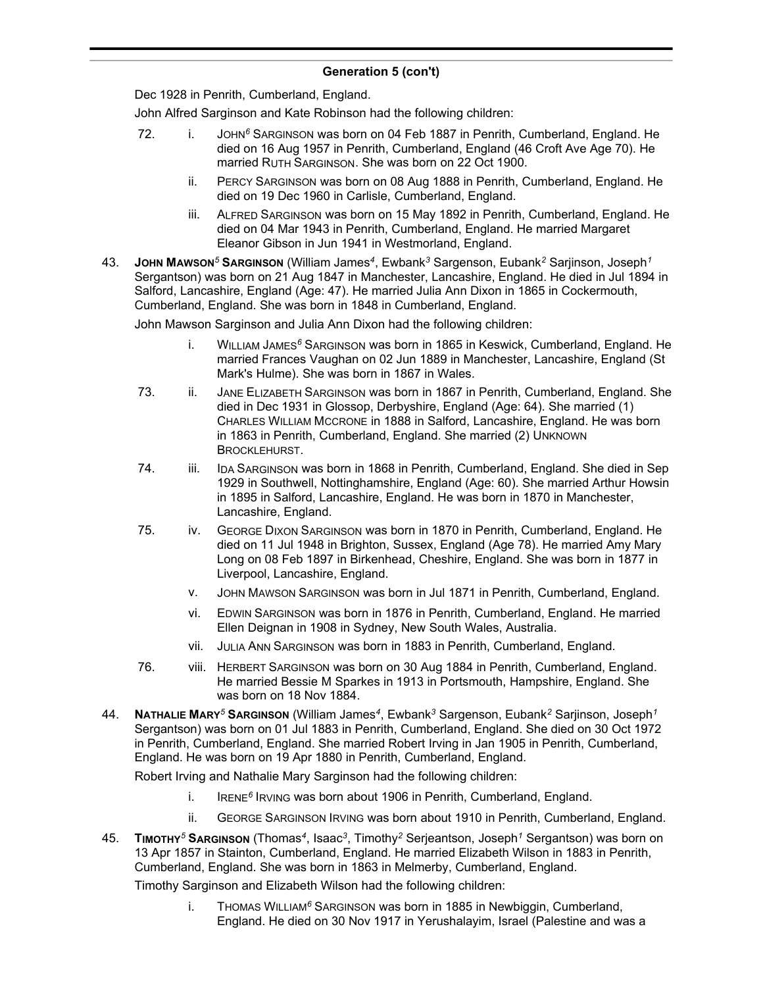Dec 1928 in Penrith, Cumberland, England.

John Alfred Sarginson and Kate Robinson had the following children:

- 72. i. JOHN*<sup>6</sup>* SARGINSON was born on 04 Feb 1887 in Penrith, Cumberland, England. He died on 16 Aug 1957 in Penrith, Cumberland, England (46 Croft Ave Age 70). He married RUTH SARGINSON. She was born on 22 Oct 1900.
	- ii. PERCY SARGINSON was born on 08 Aug 1888 in Penrith, Cumberland, England. He died on 19 Dec 1960 in Carlisle, Cumberland, England.
	- iii. ALFRED SARGINSON was born on 15 May 1892 in Penrith, Cumberland, England. He died on 04 Mar 1943 in Penrith, Cumberland, England. He married Margaret Eleanor Gibson in Jun 1941 in Westmorland, England.
- 43. **JOHN MAWSON***<sup>5</sup>* **SARGINSON** (William James*<sup>4</sup>* , Ewbank*<sup>3</sup>* Sargenson, Eubank*<sup>2</sup>* Sarjinson, Joseph*<sup>1</sup>* Sergantson) was born on 21 Aug 1847 in Manchester, Lancashire, England. He died in Jul 1894 in Salford, Lancashire, England (Age: 47). He married Julia Ann Dixon in 1865 in Cockermouth, Cumberland, England. She was born in 1848 in Cumberland, England.

John Mawson Sarginson and Julia Ann Dixon had the following children:

- i. WILLIAM JAMES*<sup>6</sup>* SARGINSON was born in 1865 in Keswick, Cumberland, England. He married Frances Vaughan on 02 Jun 1889 in Manchester, Lancashire, England (St Mark's Hulme). She was born in 1867 in Wales.
- 73. ii. JANE ELIZABETH SARGINSON was born in 1867 in Penrith, Cumberland, England. She died in Dec 1931 in Glossop, Derbyshire, England (Age: 64). She married (1) CHARLES WILLIAM MCCRONE in 1888 in Salford, Lancashire, England. He was born in 1863 in Penrith, Cumberland, England. She married (2) UNKNOWN BROCKLEHURST.
- 74. iii. IDA SARGINSON was born in 1868 in Penrith, Cumberland, England. She died in Sep 1929 in Southwell, Nottinghamshire, England (Age: 60). She married Arthur Howsin in 1895 in Salford, Lancashire, England. He was born in 1870 in Manchester, Lancashire, England.
- 75. iv. GEORGE DIXON SARGINSON was born in 1870 in Penrith, Cumberland, England. He died on 11 Jul 1948 in Brighton, Sussex, England (Age 78). He married Amy Mary Long on 08 Feb 1897 in Birkenhead, Cheshire, England. She was born in 1877 in Liverpool, Lancashire, England.
	- v. JOHN MAWSON SARGINSON was born in Jul 1871 in Penrith, Cumberland, England.
	- vi. EDWIN SARGINSON was born in 1876 in Penrith, Cumberland, England. He married Ellen Deignan in 1908 in Sydney, New South Wales, Australia.
	- vii. JULIA ANN SARGINSON was born in 1883 in Penrith, Cumberland, England.
- 76. viii. HERBERT SARGINSON was born on 30 Aug 1884 in Penrith, Cumberland, England. He married Bessie M Sparkes in 1913 in Portsmouth, Hampshire, England. She was born on 18 Nov 1884.
- 44. **NATHALIE MARY***<sup>5</sup>* **SARGINSON** (William James*<sup>4</sup>* , Ewbank*<sup>3</sup>* Sargenson, Eubank*<sup>2</sup>* Sarjinson, Joseph*<sup>1</sup>* Sergantson) was born on 01 Jul 1883 in Penrith, Cumberland, England. She died on 30 Oct 1972 in Penrith, Cumberland, England. She married Robert Irving in Jan 1905 in Penrith, Cumberland, England. He was born on 19 Apr 1880 in Penrith, Cumberland, England.

Robert Irving and Nathalie Mary Sarginson had the following children:

- i. IRENE<sup>6</sup> IRVING was born about 1906 in Penrith, Cumberland, England.
- ii. GEORGE SARGINSON IRVING was born about 1910 in Penrith, Cumberland, England.
- 45. **TIMOTHY***<sup>5</sup>* **SARGINSON** (Thomas*<sup>4</sup>* , Isaac*<sup>3</sup>* , Timothy*<sup>2</sup>* Serjeantson, Joseph*<sup>1</sup>* Sergantson) was born on 13 Apr 1857 in Stainton, Cumberland, England. He married Elizabeth Wilson in 1883 in Penrith, Cumberland, England. She was born in 1863 in Melmerby, Cumberland, England.

Timothy Sarginson and Elizabeth Wilson had the following children:

i. THOMAS WILLIAM*<sup>6</sup>* SARGINSON was born in 1885 in Newbiggin, Cumberland, England. He died on 30 Nov 1917 in Yerushalayim, Israel (Palestine and was a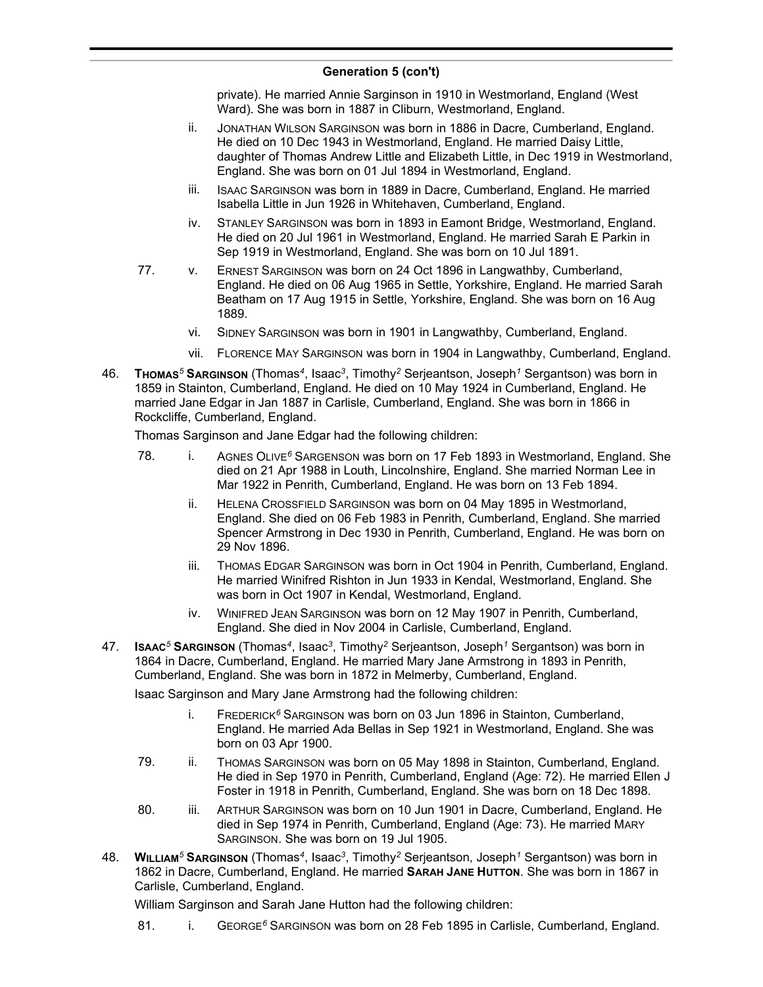private). He married Annie Sarginson in 1910 in Westmorland, England (West Ward). She was born in 1887 in Cliburn, Westmorland, England.

- ii. JONATHAN WILSON SARGINSON was born in 1886 in Dacre, Cumberland, England. He died on 10 Dec 1943 in Westmorland, England. He married Daisy Little, daughter of Thomas Andrew Little and Elizabeth Little, in Dec 1919 in Westmorland, England. She was born on 01 Jul 1894 in Westmorland, England.
- iii. ISAAC SARGINSON was born in 1889 in Dacre, Cumberland, England. He married Isabella Little in Jun 1926 in Whitehaven, Cumberland, England.
- iv. STANLEY SARGINSON was born in 1893 in Eamont Bridge, Westmorland, England. He died on 20 Jul 1961 in Westmorland, England. He married Sarah E Parkin in Sep 1919 in Westmorland, England. She was born on 10 Jul 1891.
- 77. v. ERNEST SARGINSON was born on 24 Oct 1896 in Langwathby, Cumberland, England. He died on 06 Aug 1965 in Settle, Yorkshire, England. He married Sarah Beatham on 17 Aug 1915 in Settle, Yorkshire, England. She was born on 16 Aug 1889.
	- vi. SIDNEY SARGINSON was born in 1901 in Langwathby, Cumberland, England.
	- vii. FLORENCE MAY SARGINSON was born in 1904 in Langwathby, Cumberland, England.
- 46. **THOMAS***<sup>5</sup>* **SARGINSON** (Thomas*<sup>4</sup>* , Isaac*<sup>3</sup>* , Timothy*<sup>2</sup>* Serjeantson, Joseph*<sup>1</sup>* Sergantson) was born in 1859 in Stainton, Cumberland, England. He died on 10 May 1924 in Cumberland, England. He married Jane Edgar in Jan 1887 in Carlisle, Cumberland, England. She was born in 1866 in Rockcliffe, Cumberland, England.

Thomas Sarginson and Jane Edgar had the following children:

- 78. i. AGNES OLIVE*<sup>6</sup>* SARGENSON was born on 17 Feb 1893 in Westmorland, England. She died on 21 Apr 1988 in Louth, Lincolnshire, England. She married Norman Lee in Mar 1922 in Penrith, Cumberland, England. He was born on 13 Feb 1894.
	- ii. HELENA CROSSFIELD SARGINSON was born on 04 May 1895 in Westmorland, England. She died on 06 Feb 1983 in Penrith, Cumberland, England. She married Spencer Armstrong in Dec 1930 in Penrith, Cumberland, England. He was born on 29 Nov 1896.
	- iii. THOMAS EDGAR SARGINSON was born in Oct 1904 in Penrith, Cumberland, England. He married Winifred Rishton in Jun 1933 in Kendal, Westmorland, England. She was born in Oct 1907 in Kendal, Westmorland, England.
	- iv. WINIFRED JEAN SARGINSON was born on 12 May 1907 in Penrith, Cumberland, England. She died in Nov 2004 in Carlisle, Cumberland, England.
- 47. **ISAAC***<sup>5</sup>* **SARGINSON** (Thomas*<sup>4</sup>* , Isaac*<sup>3</sup>* , Timothy*<sup>2</sup>* Serjeantson, Joseph*<sup>1</sup>* Sergantson) was born in 1864 in Dacre, Cumberland, England. He married Mary Jane Armstrong in 1893 in Penrith, Cumberland, England. She was born in 1872 in Melmerby, Cumberland, England.

Isaac Sarginson and Mary Jane Armstrong had the following children:

- i. FREDERICK*<sup>6</sup>* SARGINSON was born on 03 Jun 1896 in Stainton, Cumberland, England. He married Ada Bellas in Sep 1921 in Westmorland, England. She was born on 03 Apr 1900.
- 79. ii. THOMAS SARGINSON was born on 05 May 1898 in Stainton, Cumberland, England. He died in Sep 1970 in Penrith, Cumberland, England (Age: 72). He married Ellen J Foster in 1918 in Penrith, Cumberland, England. She was born on 18 Dec 1898.
- 80. iii. ARTHUR SARGINSON was born on 10 Jun 1901 in Dacre, Cumberland, England. He died in Sep 1974 in Penrith, Cumberland, England (Age: 73). He married MARY SARGINSON. She was born on 19 Jul 1905.
- 48. **WILLIAM***<sup>5</sup>* **SARGINSON** (Thomas*<sup>4</sup>* , Isaac*<sup>3</sup>* , Timothy*<sup>2</sup>* Serjeantson, Joseph*<sup>1</sup>* Sergantson) was born in 1862 in Dacre, Cumberland, England. He married **SARAH JANE HUTTON**. She was born in 1867 in Carlisle, Cumberland, England.

William Sarginson and Sarah Jane Hutton had the following children:

81. i. GEORGE<sup>6</sup> SARGINSON was born on 28 Feb 1895 in Carlisle, Cumberland, England.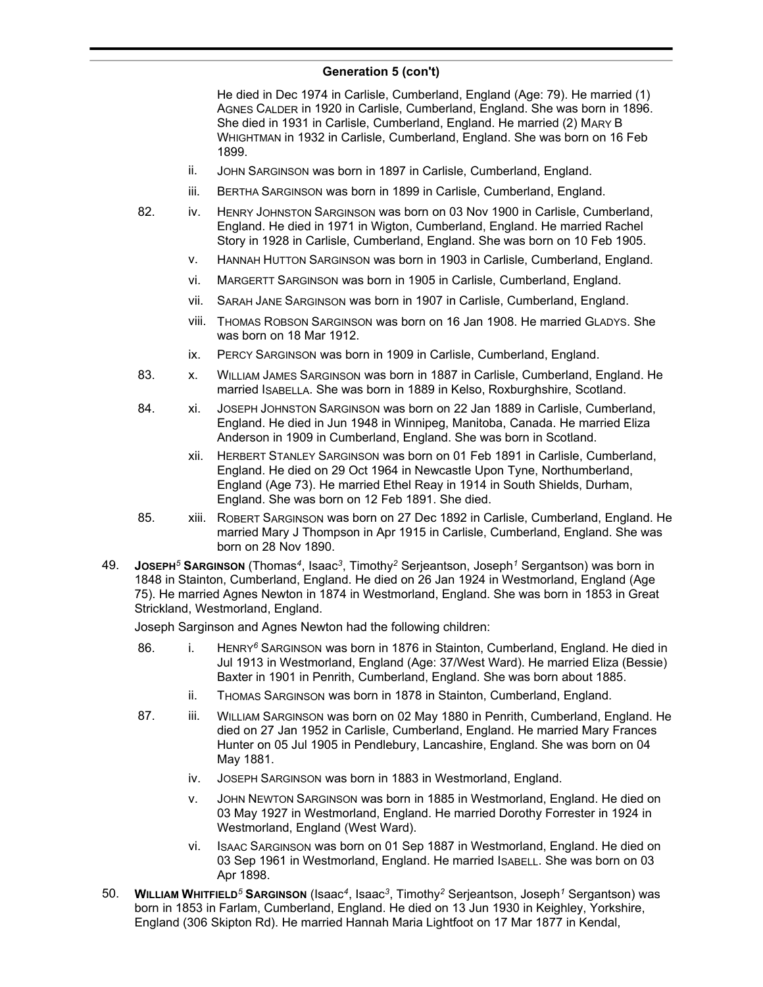He died in Dec 1974 in Carlisle, Cumberland, England (Age: 79). He married (1) AGNES CALDER in 1920 in Carlisle, Cumberland, England. She was born in 1896. She died in 1931 in Carlisle, Cumberland, England. He married (2) MARY B WHIGHTMAN in 1932 in Carlisle, Cumberland, England. She was born on 16 Feb 1899.

- ii. JOHN SARGINSON was born in 1897 in Carlisle, Cumberland, England.
- iii. BERTHA SARGINSON was born in 1899 in Carlisle, Cumberland, England.
- 82. iv. HENRY JOHNSTON SARGINSON was born on 03 Nov 1900 in Carlisle, Cumberland, England. He died in 1971 in Wigton, Cumberland, England. He married Rachel Story in 1928 in Carlisle, Cumberland, England. She was born on 10 Feb 1905.
	- v. HANNAH HUTTON SARGINSON was born in 1903 in Carlisle, Cumberland, England.
	- vi. MARGERTT SARGINSON was born in 1905 in Carlisle, Cumberland, England.
	- vii. SARAH JANE SARGINSON was born in 1907 in Carlisle, Cumberland, England.
	- viii. THOMAS ROBSON SARGINSON was born on 16 Jan 1908. He married GLADYS. She was born on 18 Mar 1912.
	- ix. PERCY SARGINSON was born in 1909 in Carlisle, Cumberland, England.
- 83. x. WILLIAM JAMES SARGINSON was born in 1887 in Carlisle, Cumberland, England. He married ISABELLA. She was born in 1889 in Kelso, Roxburghshire, Scotland.
- 84. xi. JOSEPH JOHNSTON SARGINSON was born on 22 Jan 1889 in Carlisle, Cumberland, England. He died in Jun 1948 in Winnipeg, Manitoba, Canada. He married Eliza Anderson in 1909 in Cumberland, England. She was born in Scotland.
	- xii. HERBERT STANLEY SARGINSON was born on 01 Feb 1891 in Carlisle, Cumberland, England. He died on 29 Oct 1964 in Newcastle Upon Tyne, Northumberland, England (Age 73). He married Ethel Reay in 1914 in South Shields, Durham, England. She was born on 12 Feb 1891. She died.
- 85. xiii. ROBERT SARGINSON was born on 27 Dec 1892 in Carlisle, Cumberland, England. He married Mary J Thompson in Apr 1915 in Carlisle, Cumberland, England. She was born on 28 Nov 1890.
- 49. **JOSEPH***<sup>5</sup>* **SARGINSON** (Thomas*<sup>4</sup>* , Isaac*<sup>3</sup>* , Timothy*<sup>2</sup>* Serjeantson, Joseph*<sup>1</sup>* Sergantson) was born in 1848 in Stainton, Cumberland, England. He died on 26 Jan 1924 in Westmorland, England (Age 75). He married Agnes Newton in 1874 in Westmorland, England. She was born in 1853 in Great Strickland, Westmorland, England.

Joseph Sarginson and Agnes Newton had the following children:

- 86. i. HENRY*<sup>6</sup>* SARGINSON was born in 1876 in Stainton, Cumberland, England. He died in Jul 1913 in Westmorland, England (Age: 37/West Ward). He married Eliza (Bessie) Baxter in 1901 in Penrith, Cumberland, England. She was born about 1885.
	- ii. THOMAS SARGINSON was born in 1878 in Stainton, Cumberland, England.
- 87. iii. WILLIAM SARGINSON was born on 02 May 1880 in Penrith, Cumberland, England. He died on 27 Jan 1952 in Carlisle, Cumberland, England. He married Mary Frances Hunter on 05 Jul 1905 in Pendlebury, Lancashire, England. She was born on 04 May 1881.
	- iv. JOSEPH SARGINSON was born in 1883 in Westmorland, England.
	- v. JOHN NEWTON SARGINSON was born in 1885 in Westmorland, England. He died on 03 May 1927 in Westmorland, England. He married Dorothy Forrester in 1924 in Westmorland, England (West Ward).
	- vi. ISAAC SARGINSON was born on 01 Sep 1887 in Westmorland, England. He died on 03 Sep 1961 in Westmorland, England. He married ISABELL. She was born on 03 Apr 1898.
- 50. **WILLIAM WHITFIELD***<sup>5</sup>* **SARGINSON** (Isaac*<sup>4</sup>* , Isaac*<sup>3</sup>* , Timothy*<sup>2</sup>* Serjeantson, Joseph*<sup>1</sup>* Sergantson) was born in 1853 in Farlam, Cumberland, England. He died on 13 Jun 1930 in Keighley, Yorkshire, England (306 Skipton Rd). He married Hannah Maria Lightfoot on 17 Mar 1877 in Kendal,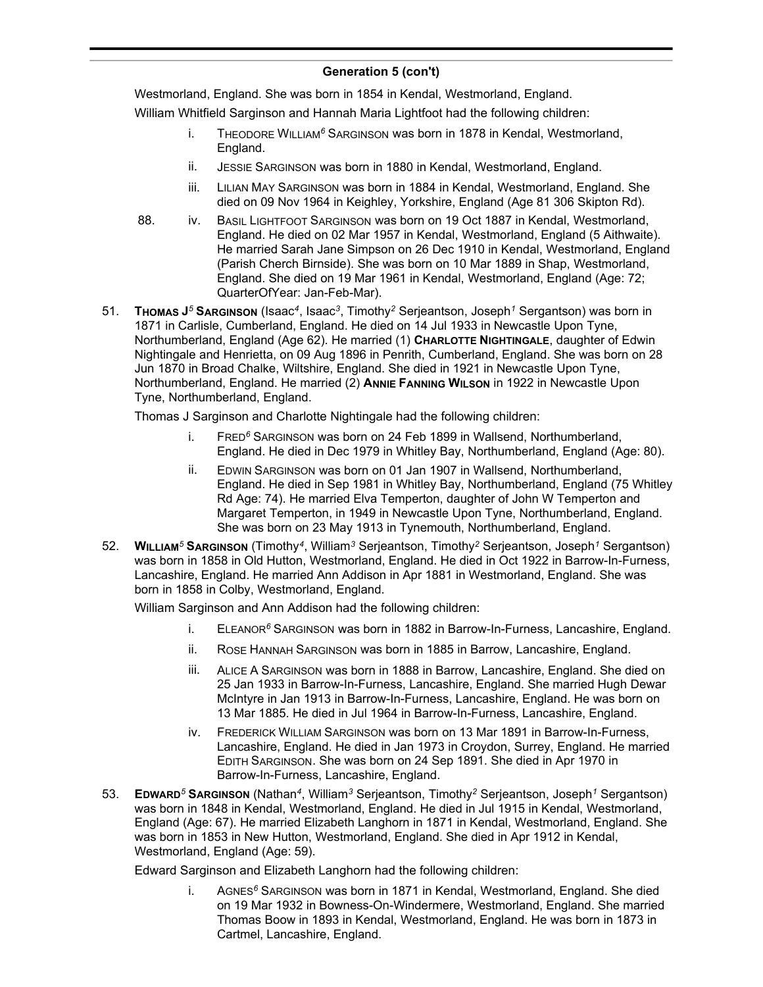Westmorland, England. She was born in 1854 in Kendal, Westmorland, England.

William Whitfield Sarginson and Hannah Maria Lightfoot had the following children:

- i. THEODORE WILLIAM*<sup>6</sup>* SARGINSON was born in 1878 in Kendal, Westmorland, England.
- ii. JESSIE SARGINSON was born in 1880 in Kendal, Westmorland, England.
- iii. LILIAN MAY SARGINSON was born in 1884 in Kendal, Westmorland, England. She died on 09 Nov 1964 in Keighley, Yorkshire, England (Age 81 306 Skipton Rd).
- 88. iv. BASIL LIGHTFOOT SARGINSON was born on 19 Oct 1887 in Kendal, Westmorland, England. He died on 02 Mar 1957 in Kendal, Westmorland, England (5 Aithwaite). He married Sarah Jane Simpson on 26 Dec 1910 in Kendal, Westmorland, England (Parish Cherch Birnside). She was born on 10 Mar 1889 in Shap, Westmorland, England. She died on 19 Mar 1961 in Kendal, Westmorland, England (Age: 72; QuarterOfYear: Jan-Feb-Mar).
- 51. **THOMAS J** *<sup>5</sup>* **SARGINSON** (Isaac*<sup>4</sup>* , Isaac*<sup>3</sup>* , Timothy*<sup>2</sup>* Serjeantson, Joseph*<sup>1</sup>* Sergantson) was born in 1871 in Carlisle, Cumberland, England. He died on 14 Jul 1933 in Newcastle Upon Tyne, Northumberland, England (Age 62). He married (1) **CHARLOTTE NIGHTINGALE**, daughter of Edwin Nightingale and Henrietta, on 09 Aug 1896 in Penrith, Cumberland, England. She was born on 28 Jun 1870 in Broad Chalke, Wiltshire, England. She died in 1921 in Newcastle Upon Tyne, Northumberland, England. He married (2) **ANNIE FANNING WILSON** in 1922 in Newcastle Upon Tyne, Northumberland, England.

Thomas J Sarginson and Charlotte Nightingale had the following children:

- i. FRED*<sup>6</sup>* SARGINSON was born on 24 Feb 1899 in Wallsend, Northumberland, England. He died in Dec 1979 in Whitley Bay, Northumberland, England (Age: 80).
- ii. EDWIN SARGINSON was born on 01 Jan 1907 in Wallsend, Northumberland, England. He died in Sep 1981 in Whitley Bay, Northumberland, England (75 Whitley Rd Age: 74). He married Elva Temperton, daughter of John W Temperton and Margaret Temperton, in 1949 in Newcastle Upon Tyne, Northumberland, England. She was born on 23 May 1913 in Tynemouth, Northumberland, England.
- 52. **WILLIAM***<sup>5</sup>* **SARGINSON** (Timothy*<sup>4</sup>* , William*<sup>3</sup>* Serjeantson, Timothy*<sup>2</sup>* Serjeantson, Joseph*<sup>1</sup>* Sergantson) was born in 1858 in Old Hutton, Westmorland, England. He died in Oct 1922 in Barrow-In-Furness, Lancashire, England. He married Ann Addison in Apr 1881 in Westmorland, England. She was born in 1858 in Colby, Westmorland, England.

William Sarginson and Ann Addison had the following children:

- i. ELEANOR*<sup>6</sup>* SARGINSON was born in 1882 in Barrow-In-Furness, Lancashire, England.
- ii. ROSE HANNAH SARGINSON was born in 1885 in Barrow, Lancashire, England.
- iii. ALICE A SARGINSON was born in 1888 in Barrow, Lancashire, England. She died on 25 Jan 1933 in Barrow-In-Furness, Lancashire, England. She married Hugh Dewar McIntyre in Jan 1913 in Barrow-In-Furness, Lancashire, England. He was born on 13 Mar 1885. He died in Jul 1964 in Barrow-In-Furness, Lancashire, England.
- iv. FREDERICK WILLIAM SARGINSON was born on 13 Mar 1891 in Barrow-In-Furness, Lancashire, England. He died in Jan 1973 in Croydon, Surrey, England. He married EDITH SARGINSON. She was born on 24 Sep 1891. She died in Apr 1970 in Barrow-In-Furness, Lancashire, England.
- 53. **EDWARD***<sup>5</sup>* **SARGINSON** (Nathan*<sup>4</sup>* , William*<sup>3</sup>* Serjeantson, Timothy*<sup>2</sup>* Serjeantson, Joseph*<sup>1</sup>* Sergantson) was born in 1848 in Kendal, Westmorland, England. He died in Jul 1915 in Kendal, Westmorland, England (Age: 67). He married Elizabeth Langhorn in 1871 in Kendal, Westmorland, England. She was born in 1853 in New Hutton, Westmorland, England. She died in Apr 1912 in Kendal, Westmorland, England (Age: 59).

Edward Sarginson and Elizabeth Langhorn had the following children:

i. AGNES*<sup>6</sup>* SARGINSON was born in 1871 in Kendal, Westmorland, England. She died on 19 Mar 1932 in Bowness-On-Windermere, Westmorland, England. She married Thomas Boow in 1893 in Kendal, Westmorland, England. He was born in 1873 in Cartmel, Lancashire, England.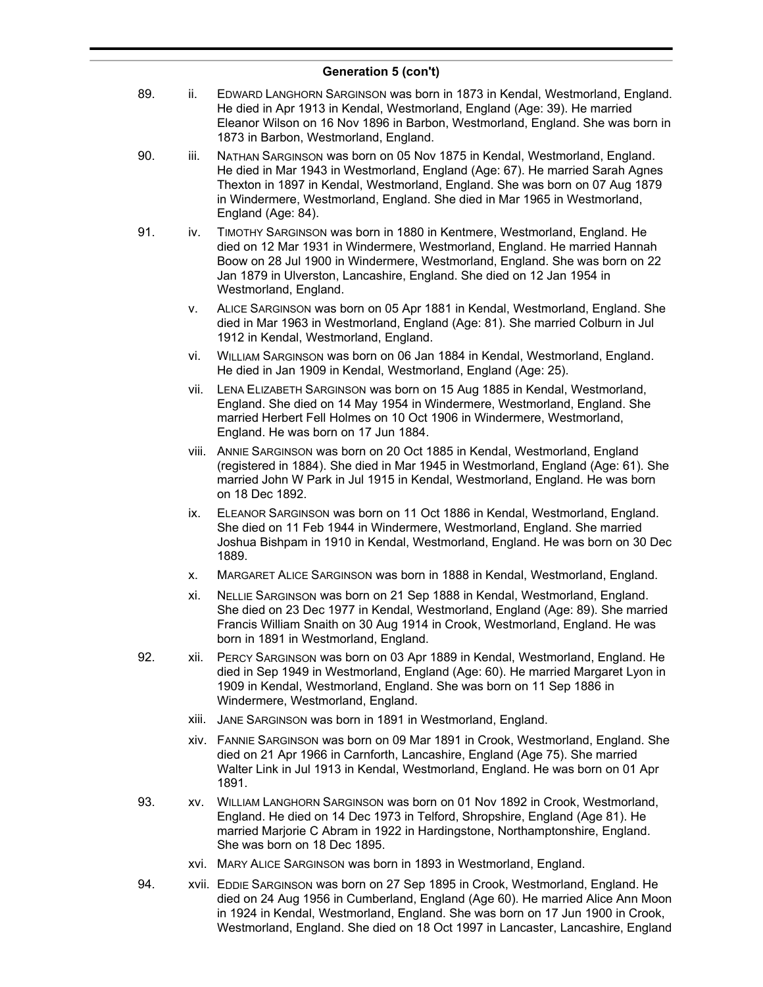- 89. ii. EDWARD LANGHORN SARGINSON was born in 1873 in Kendal, Westmorland, England. He died in Apr 1913 in Kendal, Westmorland, England (Age: 39). He married Eleanor Wilson on 16 Nov 1896 in Barbon, Westmorland, England. She was born in 1873 in Barbon, Westmorland, England.
- 90. iii. NATHAN SARGINSON was born on 05 Nov 1875 in Kendal, Westmorland, England. He died in Mar 1943 in Westmorland, England (Age: 67). He married Sarah Agnes Thexton in 1897 in Kendal, Westmorland, England. She was born on 07 Aug 1879 in Windermere, Westmorland, England. She died in Mar 1965 in Westmorland, England (Age: 84).
- 91. iv. TIMOTHY SARGINSON was born in 1880 in Kentmere, Westmorland, England. He died on 12 Mar 1931 in Windermere, Westmorland, England. He married Hannah Boow on 28 Jul 1900 in Windermere, Westmorland, England. She was born on 22 Jan 1879 in Ulverston, Lancashire, England. She died on 12 Jan 1954 in Westmorland, England.
	- v. ALICE SARGINSON was born on 05 Apr 1881 in Kendal, Westmorland, England. She died in Mar 1963 in Westmorland, England (Age: 81). She married Colburn in Jul 1912 in Kendal, Westmorland, England.
	- vi. WILLIAM SARGINSON was born on 06 Jan 1884 in Kendal, Westmorland, England. He died in Jan 1909 in Kendal, Westmorland, England (Age: 25).
	- vii. LENA ELIZABETH SARGINSON was born on 15 Aug 1885 in Kendal, Westmorland, England. She died on 14 May 1954 in Windermere, Westmorland, England. She married Herbert Fell Holmes on 10 Oct 1906 in Windermere, Westmorland, England. He was born on 17 Jun 1884.
	- viii. ANNIE SARGINSON was born on 20 Oct 1885 in Kendal, Westmorland, England (registered in 1884). She died in Mar 1945 in Westmorland, England (Age: 61). She married John W Park in Jul 1915 in Kendal, Westmorland, England. He was born on 18 Dec 1892.
	- ix. ELEANOR SARGINSON was born on 11 Oct 1886 in Kendal, Westmorland, England. She died on 11 Feb 1944 in Windermere, Westmorland, England. She married Joshua Bishpam in 1910 in Kendal, Westmorland, England. He was born on 30 Dec 1889.
	- x. MARGARET ALICE SARGINSON was born in 1888 in Kendal, Westmorland, England.
	- xi. NELLIE SARGINSON was born on 21 Sep 1888 in Kendal, Westmorland, England. She died on 23 Dec 1977 in Kendal, Westmorland, England (Age: 89). She married Francis William Snaith on 30 Aug 1914 in Crook, Westmorland, England. He was born in 1891 in Westmorland, England.
- 92. xii. PERCY SARGINSON was born on 03 Apr 1889 in Kendal, Westmorland, England. He died in Sep 1949 in Westmorland, England (Age: 60). He married Margaret Lyon in 1909 in Kendal, Westmorland, England. She was born on 11 Sep 1886 in Windermere, Westmorland, England.
	- xiii. JANE SARGINSON was born in 1891 in Westmorland, England.
	- xiv. FANNIE SARGINSON was born on 09 Mar 1891 in Crook, Westmorland, England. She died on 21 Apr 1966 in Carnforth, Lancashire, England (Age 75). She married Walter Link in Jul 1913 in Kendal, Westmorland, England. He was born on 01 Apr 1891.
- 93. xv. WILLIAM LANGHORN SARGINSON was born on 01 Nov 1892 in Crook, Westmorland, England. He died on 14 Dec 1973 in Telford, Shropshire, England (Age 81). He married Marjorie C Abram in 1922 in Hardingstone, Northamptonshire, England. She was born on 18 Dec 1895.
	- xvi. MARY ALICE SARGINSON was born in 1893 in Westmorland, England.
- 94. xvii. EDDIE SARGINSON was born on 27 Sep 1895 in Crook, Westmorland, England. He died on 24 Aug 1956 in Cumberland, England (Age 60). He married Alice Ann Moon in 1924 in Kendal, Westmorland, England. She was born on 17 Jun 1900 in Crook, Westmorland, England. She died on 18 Oct 1997 in Lancaster, Lancashire, England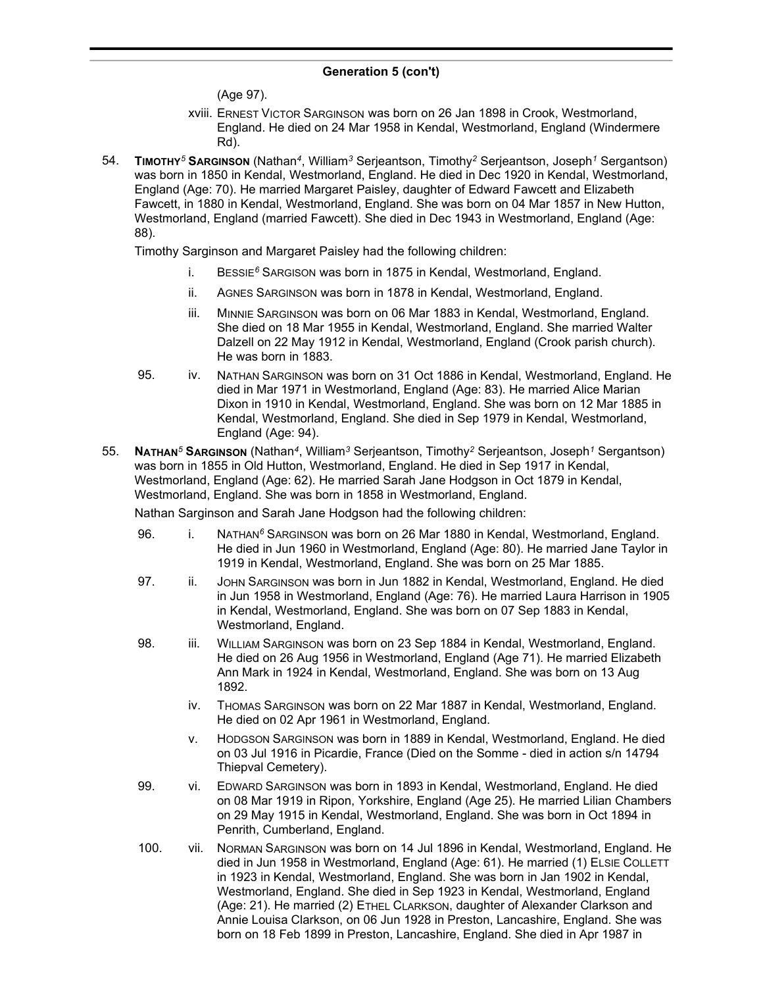(Age 97).

- xviii. ERNEST VICTOR SARGINSON was born on 26 Jan 1898 in Crook, Westmorland, England. He died on 24 Mar 1958 in Kendal, Westmorland, England (Windermere Rd).
- 54. **TIMOTHY***<sup>5</sup>* **SARGINSON** (Nathan*<sup>4</sup>* , William*<sup>3</sup>* Serjeantson, Timothy*<sup>2</sup>* Serjeantson, Joseph*<sup>1</sup>* Sergantson) was born in 1850 in Kendal, Westmorland, England. He died in Dec 1920 in Kendal, Westmorland, England (Age: 70). He married Margaret Paisley, daughter of Edward Fawcett and Elizabeth Fawcett, in 1880 in Kendal, Westmorland, England. She was born on 04 Mar 1857 in New Hutton, Westmorland, England (married Fawcett). She died in Dec 1943 in Westmorland, England (Age: 88).

Timothy Sarginson and Margaret Paisley had the following children:

- i. BESSIE*<sup>6</sup>* SARGISON was born in 1875 in Kendal, Westmorland, England.
- ii. AGNES SARGINSON was born in 1878 in Kendal, Westmorland, England.
- iii. MINNIE SARGINSON was born on 06 Mar 1883 in Kendal, Westmorland, England. She died on 18 Mar 1955 in Kendal, Westmorland, England. She married Walter Dalzell on 22 May 1912 in Kendal, Westmorland, England (Crook parish church). He was born in 1883.
- 95. iv. NATHAN SARGINSON was born on 31 Oct 1886 in Kendal, Westmorland, England. He died in Mar 1971 in Westmorland, England (Age: 83). He married Alice Marian Dixon in 1910 in Kendal, Westmorland, England. She was born on 12 Mar 1885 in Kendal, Westmorland, England. She died in Sep 1979 in Kendal, Westmorland, England (Age: 94).
- 55. **NATHAN***<sup>5</sup>* **SARGINSON** (Nathan*<sup>4</sup>* , William*<sup>3</sup>* Serjeantson, Timothy*<sup>2</sup>* Serjeantson, Joseph*<sup>1</sup>* Sergantson) was born in 1855 in Old Hutton, Westmorland, England. He died in Sep 1917 in Kendal, Westmorland, England (Age: 62). He married Sarah Jane Hodgson in Oct 1879 in Kendal, Westmorland, England. She was born in 1858 in Westmorland, England.

Nathan Sarginson and Sarah Jane Hodgson had the following children:

- 96. i. NATHAN<sup>6</sup> SARGINSON was born on 26 Mar 1880 in Kendal, Westmorland, England. He died in Jun 1960 in Westmorland, England (Age: 80). He married Jane Taylor in 1919 in Kendal, Westmorland, England. She was born on 25 Mar 1885.
- 97. ii. JOHN SARGINSON was born in Jun 1882 in Kendal, Westmorland, England. He died in Jun 1958 in Westmorland, England (Age: 76). He married Laura Harrison in 1905 in Kendal, Westmorland, England. She was born on 07 Sep 1883 in Kendal, Westmorland, England.
- 98. iii. WILLIAM SARGINSON was born on 23 Sep 1884 in Kendal, Westmorland, England. He died on 26 Aug 1956 in Westmorland, England (Age 71). He married Elizabeth Ann Mark in 1924 in Kendal, Westmorland, England. She was born on 13 Aug 1892.
	- iv. THOMAS SARGINSON was born on 22 Mar 1887 in Kendal, Westmorland, England. He died on 02 Apr 1961 in Westmorland, England.
	- v. HODGSON SARGINSON was born in 1889 in Kendal, Westmorland, England. He died on 03 Jul 1916 in Picardie, France (Died on the Somme - died in action s/n 14794 Thiepval Cemetery).
- 99. vi. EDWARD SARGINSON was born in 1893 in Kendal, Westmorland, England. He died on 08 Mar 1919 in Ripon, Yorkshire, England (Age 25). He married Lilian Chambers on 29 May 1915 in Kendal, Westmorland, England. She was born in Oct 1894 in Penrith, Cumberland, England.
- 100. vii. NORMAN SARGINSON was born on 14 Jul 1896 in Kendal, Westmorland, England. He died in Jun 1958 in Westmorland, England (Age: 61). He married (1) ELSIE COLLETT in 1923 in Kendal, Westmorland, England. She was born in Jan 1902 in Kendal, Westmorland, England. She died in Sep 1923 in Kendal, Westmorland, England (Age: 21). He married (2) ETHEL CLARKSON, daughter of Alexander Clarkson and Annie Louisa Clarkson, on 06 Jun 1928 in Preston, Lancashire, England. She was born on 18 Feb 1899 in Preston, Lancashire, England. She died in Apr 1987 in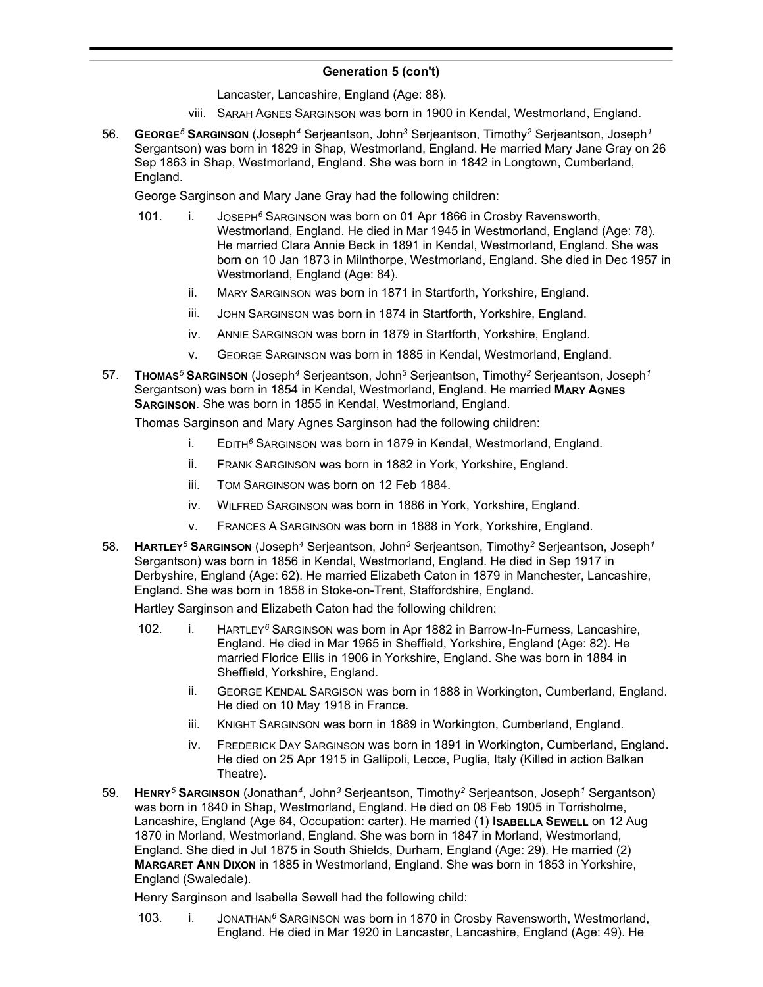Lancaster, Lancashire, England (Age: 88).

- viii. SARAH AGNES SARGINSON was born in 1900 in Kendal, Westmorland, England.
- 56. **GEORGE***<sup>5</sup>* **SARGINSON** (Joseph*<sup>4</sup>* Serjeantson, John*<sup>3</sup>* Serjeantson, Timothy*<sup>2</sup>* Serjeantson, Joseph*<sup>1</sup>* Sergantson) was born in 1829 in Shap, Westmorland, England. He married Mary Jane Gray on 26 Sep 1863 in Shap, Westmorland, England. She was born in 1842 in Longtown, Cumberland, England.

George Sarginson and Mary Jane Gray had the following children:

- 101. i. JOSEPH*<sup>6</sup>* SARGINSON was born on 01 Apr 1866 in Crosby Ravensworth, Westmorland, England. He died in Mar 1945 in Westmorland, England (Age: 78). He married Clara Annie Beck in 1891 in Kendal, Westmorland, England. She was born on 10 Jan 1873 in Milnthorpe, Westmorland, England. She died in Dec 1957 in Westmorland, England (Age: 84).
	- ii. MARY SARGINSON was born in 1871 in Startforth, Yorkshire, England.
	- iii. JOHN SARGINSON was born in 1874 in Startforth, Yorkshire, England.
	- iv. ANNIE SARGINSON was born in 1879 in Startforth, Yorkshire, England.
	- v. GEORGE SARGINSON was born in 1885 in Kendal, Westmorland, England.
- 57. **THOMAS***<sup>5</sup>* **SARGINSON** (Joseph*<sup>4</sup>* Serjeantson, John*<sup>3</sup>* Serjeantson, Timothy*<sup>2</sup>* Serjeantson, Joseph*<sup>1</sup>* Sergantson) was born in 1854 in Kendal, Westmorland, England. He married **MARY AGNES SARGINSON**. She was born in 1855 in Kendal, Westmorland, England.

Thomas Sarginson and Mary Agnes Sarginson had the following children:

- i. EDITH*<sup>6</sup>* SARGINSON was born in 1879 in Kendal, Westmorland, England.
- ii. FRANK SARGINSON was born in 1882 in York, Yorkshire, England.
- iii. TOM SARGINSON was born on 12 Feb 1884.
- iv. WILFRED SARGINSON was born in 1886 in York, Yorkshire, England.
- v. FRANCES A SARGINSON was born in 1888 in York, Yorkshire, England.
- 58. **HARTLEY***<sup>5</sup>* **SARGINSON** (Joseph*<sup>4</sup>* Serjeantson, John*<sup>3</sup>* Serjeantson, Timothy*<sup>2</sup>* Serjeantson, Joseph*<sup>1</sup>* Sergantson) was born in 1856 in Kendal, Westmorland, England. He died in Sep 1917 in Derbyshire, England (Age: 62). He married Elizabeth Caton in 1879 in Manchester, Lancashire, England. She was born in 1858 in Stoke-on-Trent, Staffordshire, England.

Hartley Sarginson and Elizabeth Caton had the following children:

- 102. i. HARTLEY*<sup>6</sup>* SARGINSON was born in Apr 1882 in Barrow-In-Furness, Lancashire, England. He died in Mar 1965 in Sheffield, Yorkshire, England (Age: 82). He married Florice Ellis in 1906 in Yorkshire, England. She was born in 1884 in Sheffield, Yorkshire, England.
	- ii. GEORGE KENDAL SARGISON was born in 1888 in Workington, Cumberland, England. He died on 10 May 1918 in France.
	- iii. KNIGHT SARGINSON was born in 1889 in Workington, Cumberland, England.
	- iv. FREDERICK DAY SARGINSON was born in 1891 in Workington, Cumberland, England. He died on 25 Apr 1915 in Gallipoli, Lecce, Puglia, Italy (Killed in action Balkan Theatre).
- 59. **HENRY***<sup>5</sup>* **SARGINSON** (Jonathan*<sup>4</sup>* , John*<sup>3</sup>* Serjeantson, Timothy*<sup>2</sup>* Serjeantson, Joseph*<sup>1</sup>* Sergantson) was born in 1840 in Shap, Westmorland, England. He died on 08 Feb 1905 in Torrisholme, Lancashire, England (Age 64, Occupation: carter). He married (1) **ISABELLA SEWELL** on 12 Aug 1870 in Morland, Westmorland, England. She was born in 1847 in Morland, Westmorland, England. She died in Jul 1875 in South Shields, Durham, England (Age: 29). He married (2) **MARGARET ANN DIXON** in 1885 in Westmorland, England. She was born in 1853 in Yorkshire, England (Swaledale).

Henry Sarginson and Isabella Sewell had the following child:

103. i. JONATHAN*<sup>6</sup>* SARGINSON was born in 1870 in Crosby Ravensworth, Westmorland, England. He died in Mar 1920 in Lancaster, Lancashire, England (Age: 49). He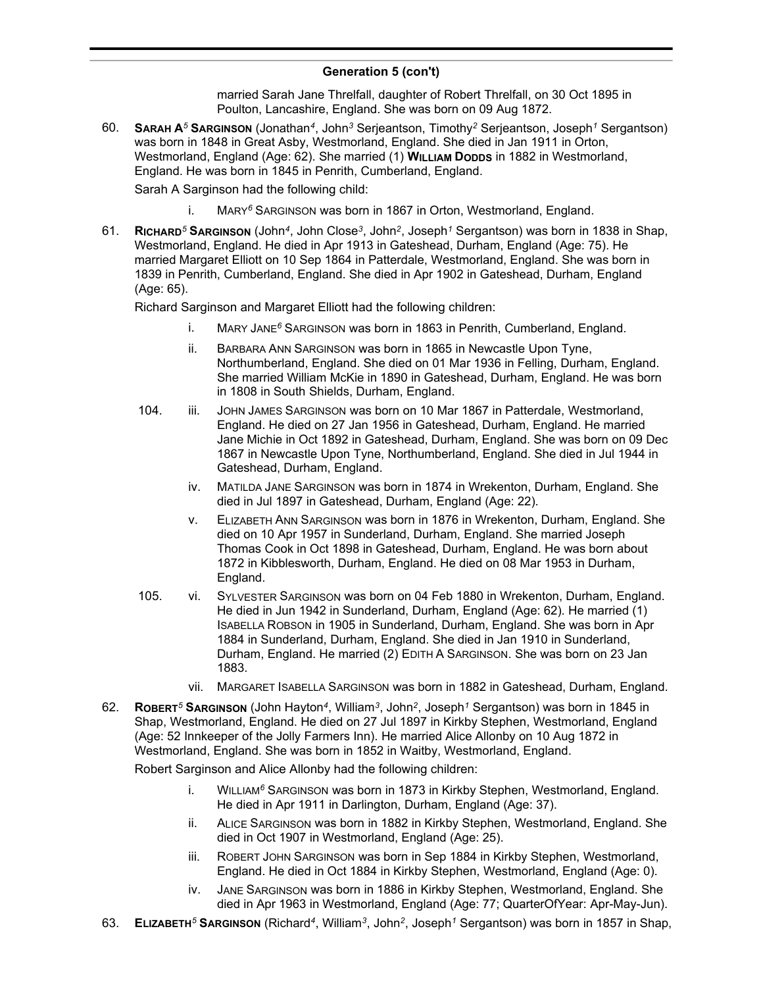married Sarah Jane Threlfall, daughter of Robert Threlfall, on 30 Oct 1895 in Poulton, Lancashire, England. She was born on 09 Aug 1872.

60. **SARAH A***<sup>5</sup>* **SARGINSON** (Jonathan*<sup>4</sup>* , John*<sup>3</sup>* Serjeantson, Timothy*<sup>2</sup>* Serjeantson, Joseph*<sup>1</sup>* Sergantson) was born in 1848 in Great Asby, Westmorland, England. She died in Jan 1911 in Orton, Westmorland, England (Age: 62). She married (1) **WILLIAM DODDS** in 1882 in Westmorland, England. He was born in 1845 in Penrith, Cumberland, England.

Sarah A Sarginson had the following child:

- i. MARY*<sup>6</sup>* SARGINSON was born in 1867 in Orton, Westmorland, England.
- 61. **RICHARD***<sup>5</sup>* **SARGINSON** (John*<sup>4</sup>* , John Close*<sup>3</sup>* , John*<sup>2</sup>* , Joseph*<sup>1</sup>* Sergantson) was born in 1838 in Shap, Westmorland, England. He died in Apr 1913 in Gateshead, Durham, England (Age: 75). He married Margaret Elliott on 10 Sep 1864 in Patterdale, Westmorland, England. She was born in 1839 in Penrith, Cumberland, England. She died in Apr 1902 in Gateshead, Durham, England (Age: 65).

Richard Sarginson and Margaret Elliott had the following children:

- i. MARY JANE*<sup>6</sup>* SARGINSON was born in 1863 in Penrith, Cumberland, England.
- ii. BARBARA ANN SARGINSON was born in 1865 in Newcastle Upon Tyne, Northumberland, England. She died on 01 Mar 1936 in Felling, Durham, England. She married William McKie in 1890 in Gateshead, Durham, England. He was born in 1808 in South Shields, Durham, England.
- 104. iii. JOHN JAMES SARGINSON was born on 10 Mar 1867 in Patterdale, Westmorland, England. He died on 27 Jan 1956 in Gateshead, Durham, England. He married Jane Michie in Oct 1892 in Gateshead, Durham, England. She was born on 09 Dec 1867 in Newcastle Upon Tyne, Northumberland, England. She died in Jul 1944 in Gateshead, Durham, England.
	- iv. MATILDA JANE SARGINSON was born in 1874 in Wrekenton, Durham, England. She died in Jul 1897 in Gateshead, Durham, England (Age: 22).
	- v. ELIZABETH ANN SARGINSON was born in 1876 in Wrekenton, Durham, England. She died on 10 Apr 1957 in Sunderland, Durham, England. She married Joseph Thomas Cook in Oct 1898 in Gateshead, Durham, England. He was born about 1872 in Kibblesworth, Durham, England. He died on 08 Mar 1953 in Durham, England.
- 105. vi. SYLVESTER SARGINSON was born on 04 Feb 1880 in Wrekenton, Durham, England. He died in Jun 1942 in Sunderland, Durham, England (Age: 62). He married (1) ISABELLA ROBSON in 1905 in Sunderland, Durham, England. She was born in Apr 1884 in Sunderland, Durham, England. She died in Jan 1910 in Sunderland, Durham, England. He married (2) EDITH A SARGINSON. She was born on 23 Jan 1883.
	- vii. MARGARET ISABELLA SARGINSON was born in 1882 in Gateshead, Durham, England.
- 62. **ROBERT***<sup>5</sup>* **SARGINSON** (John Hayton*<sup>4</sup>* , William*<sup>3</sup>* , John*<sup>2</sup>* , Joseph*<sup>1</sup>* Sergantson) was born in 1845 in Shap, Westmorland, England. He died on 27 Jul 1897 in Kirkby Stephen, Westmorland, England (Age: 52 Innkeeper of the Jolly Farmers Inn). He married Alice Allonby on 10 Aug 1872 in Westmorland, England. She was born in 1852 in Waitby, Westmorland, England.

Robert Sarginson and Alice Allonby had the following children:

- i. WILLIAM*<sup>6</sup>* SARGINSON was born in 1873 in Kirkby Stephen, Westmorland, England. He died in Apr 1911 in Darlington, Durham, England (Age: 37).
- ii. ALICE SARGINSON was born in 1882 in Kirkby Stephen, Westmorland, England. She died in Oct 1907 in Westmorland, England (Age: 25).
- iii. ROBERT JOHN SARGINSON was born in Sep 1884 in Kirkby Stephen, Westmorland, England. He died in Oct 1884 in Kirkby Stephen, Westmorland, England (Age: 0).
- iv. JANE SARGINSON was born in 1886 in Kirkby Stephen, Westmorland, England. She died in Apr 1963 in Westmorland, England (Age: 77; QuarterOfYear: Apr-May-Jun).
- 63. **ELIZABETH***<sup>5</sup>* **SARGINSON** (Richard*<sup>4</sup>* , William*<sup>3</sup>* , John*<sup>2</sup>* , Joseph*<sup>1</sup>* Sergantson) was born in 1857 in Shap,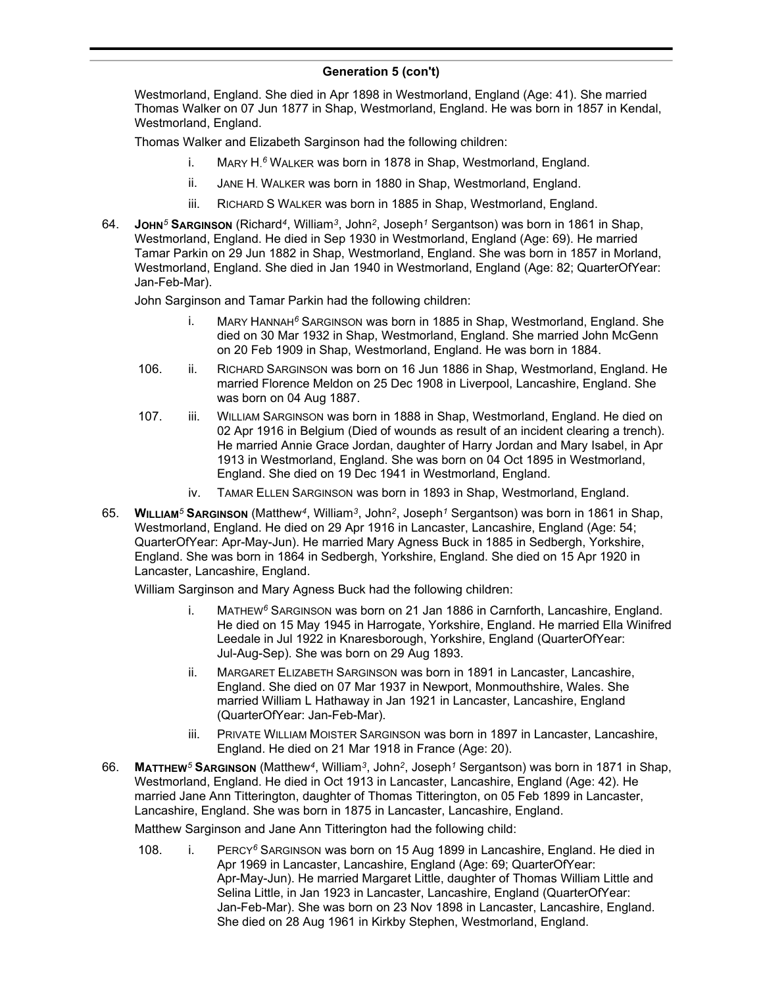#### **Generation 5 (con't)** , Joseph 1957 in Shape, Shape, Shap, Shap, Shap, Shap, Shap, Shap, Shap, Shap, Shap, Shap, Shap, Shap, Shap, Shap, Shap, Shap, Shap, Shap, Shap, Shap, Shap, Shap, Shap, Shap, Shap, Shap, Shap, Shap, Shap, Shap, Shap, Shap,

Westmorland, England. She died in Apr 1898 in Westmorland, England (Age: 41). She married Thomas Walker on 07 Jun 1877 in Shap, Westmorland, England. He was born in 1857 in Kendal, Westmorland, England.

Thomas Walker and Elizabeth Sarginson had the following children:

- i. MARY H. *<sup>6</sup>* WALKER was born in 1878 in Shap, Westmorland, England.
- ii. JANE H. WALKER was born in 1880 in Shap, Westmorland, England.
- iii. RICHARD S WALKER was born in 1885 in Shap, Westmorland, England.
- 64. **JOHN***<sup>5</sup>* **SARGINSON** (Richard*<sup>4</sup>* , William*<sup>3</sup>* , John*<sup>2</sup>* , Joseph*<sup>1</sup>* Sergantson) was born in 1861 in Shap, Westmorland, England. He died in Sep 1930 in Westmorland, England (Age: 69). He married Tamar Parkin on 29 Jun 1882 in Shap, Westmorland, England. She was born in 1857 in Morland, Westmorland, England. She died in Jan 1940 in Westmorland, England (Age: 82; QuarterOfYear: Jan-Feb-Mar).

John Sarginson and Tamar Parkin had the following children:

- i. MARY HANNAH*<sup>6</sup>* SARGINSON was born in 1885 in Shap, Westmorland, England. She died on 30 Mar 1932 in Shap, Westmorland, England. She married John McGenn on 20 Feb 1909 in Shap, Westmorland, England. He was born in 1884.
- 106. ii. RICHARD SARGINSON was born on 16 Jun 1886 in Shap, Westmorland, England. He married Florence Meldon on 25 Dec 1908 in Liverpool, Lancashire, England. She was born on 04 Aug 1887.
- 107. iii. WILLIAM SARGINSON was born in 1888 in Shap, Westmorland, England. He died on 02 Apr 1916 in Belgium (Died of wounds as result of an incident clearing a trench). He married Annie Grace Jordan, daughter of Harry Jordan and Mary Isabel, in Apr 1913 in Westmorland, England. She was born on 04 Oct 1895 in Westmorland, England. She died on 19 Dec 1941 in Westmorland, England.
	- iv. TAMAR ELLEN SARGINSON was born in 1893 in Shap, Westmorland, England.
- 65. **WILLIAM***<sup>5</sup>* **SARGINSON** (Matthew*<sup>4</sup>* , William*<sup>3</sup>* , John*<sup>2</sup>* , Joseph*<sup>1</sup>* Sergantson) was born in 1861 in Shap, Westmorland, England. He died on 29 Apr 1916 in Lancaster, Lancashire, England (Age: 54; QuarterOfYear: Apr-May-Jun). He married Mary Agness Buck in 1885 in Sedbergh, Yorkshire, England. She was born in 1864 in Sedbergh, Yorkshire, England. She died on 15 Apr 1920 in Lancaster, Lancashire, England.

William Sarginson and Mary Agness Buck had the following children:

- i. MATHEW*<sup>6</sup>* SARGINSON was born on 21 Jan 1886 in Carnforth, Lancashire, England. He died on 15 May 1945 in Harrogate, Yorkshire, England. He married Ella Winifred Leedale in Jul 1922 in Knaresborough, Yorkshire, England (QuarterOfYear: Jul-Aug-Sep). She was born on 29 Aug 1893.
- ii. MARGARET ELIZABETH SARGINSON was born in 1891 in Lancaster, Lancashire, England. She died on 07 Mar 1937 in Newport, Monmouthshire, Wales. She married William L Hathaway in Jan 1921 in Lancaster, Lancashire, England (QuarterOfYear: Jan-Feb-Mar).
- iii. PRIVATE WILLIAM MOISTER SARGINSON was born in 1897 in Lancaster, Lancashire, England. He died on 21 Mar 1918 in France (Age: 20).
- 66. **MATTHEW***<sup>5</sup>* **SARGINSON** (Matthew*<sup>4</sup>* , William*<sup>3</sup>* , John*<sup>2</sup>* , Joseph*<sup>1</sup>* Sergantson) was born in 1871 in Shap, Westmorland, England. He died in Oct 1913 in Lancaster, Lancashire, England (Age: 42). He married Jane Ann Titterington, daughter of Thomas Titterington, on 05 Feb 1899 in Lancaster, Lancashire, England. She was born in 1875 in Lancaster, Lancashire, England.

Matthew Sarginson and Jane Ann Titterington had the following child:

108. i. PERCY*<sup>6</sup>* SARGINSON was born on 15 Aug 1899 in Lancashire, England. He died in Apr 1969 in Lancaster, Lancashire, England (Age: 69; QuarterOfYear: Apr-May-Jun). He married Margaret Little, daughter of Thomas William Little and Selina Little, in Jan 1923 in Lancaster, Lancashire, England (QuarterOfYear: Jan-Feb-Mar). She was born on 23 Nov 1898 in Lancaster, Lancashire, England. She died on 28 Aug 1961 in Kirkby Stephen, Westmorland, England.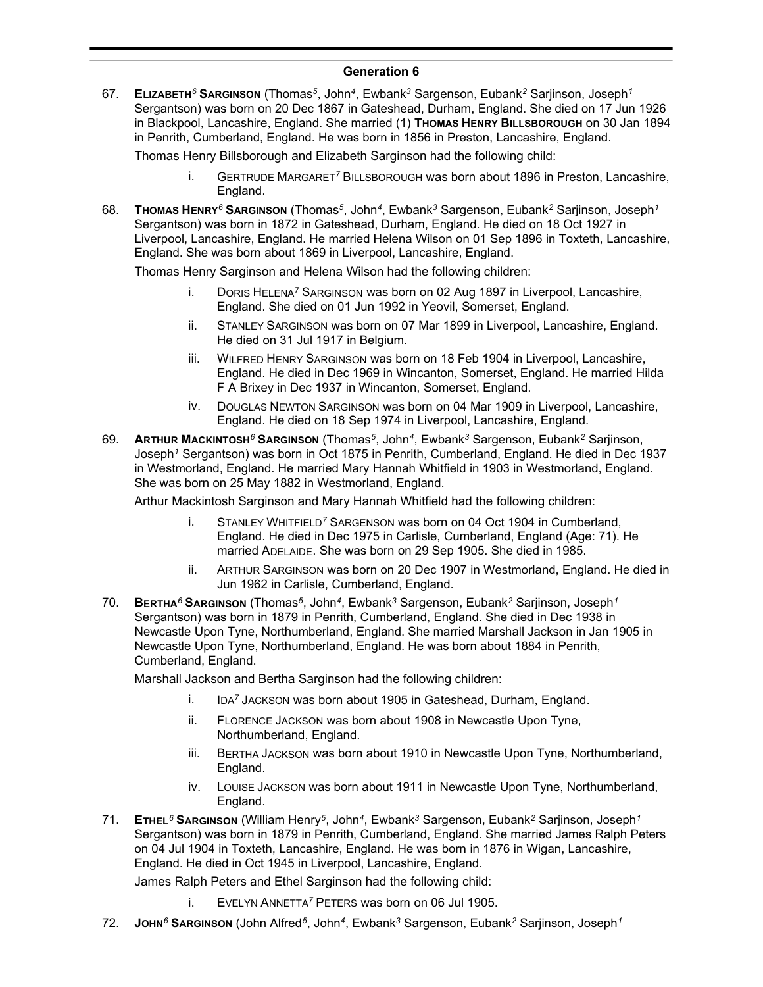#### **Generation 6**

67. **ELIZABETH***<sup>6</sup>* **SARGINSON** (Thomas*<sup>5</sup>* , John*<sup>4</sup>* , Ewbank*<sup>3</sup>* Sargenson, Eubank*<sup>2</sup>* Sarjinson, Joseph*<sup>1</sup>* Sergantson) was born on 20 Dec 1867 in Gateshead, Durham, England. She died on 17 Jun 1926 in Blackpool, Lancashire, England. She married (1) **THOMAS HENRY BILLSBOROUGH** on 30 Jan 1894 in Penrith, Cumberland, England. He was born in 1856 in Preston, Lancashire, England.

Thomas Henry Billsborough and Elizabeth Sarginson had the following child:

- i. GERTRUDE MARGARET*<sup>7</sup>* BILLSBOROUGH was born about 1896 in Preston, Lancashire, England.
- 68. **THOMAS HENRY***<sup>6</sup>* **SARGINSON** (Thomas*<sup>5</sup>* , John*<sup>4</sup>* , Ewbank*<sup>3</sup>* Sargenson, Eubank*<sup>2</sup>* Sarjinson, Joseph*<sup>1</sup>* Sergantson) was born in 1872 in Gateshead, Durham, England. He died on 18 Oct 1927 in Liverpool, Lancashire, England. He married Helena Wilson on 01 Sep 1896 in Toxteth, Lancashire, England. She was born about 1869 in Liverpool, Lancashire, England.

Thomas Henry Sarginson and Helena Wilson had the following children:

- i. DORIS HELENA*<sup>7</sup>* SARGINSON was born on 02 Aug 1897 in Liverpool, Lancashire, England. She died on 01 Jun 1992 in Yeovil, Somerset, England.
- ii. STANLEY SARGINSON was born on 07 Mar 1899 in Liverpool, Lancashire, England. He died on 31 Jul 1917 in Belgium.
- iii. WILFRED HENRY SARGINSON was born on 18 Feb 1904 in Liverpool, Lancashire, England. He died in Dec 1969 in Wincanton, Somerset, England. He married Hilda F A Brixey in Dec 1937 in Wincanton, Somerset, England.
- iv. DOUGLAS NEWTON SARGINSON was born on 04 Mar 1909 in Liverpool, Lancashire, England. He died on 18 Sep 1974 in Liverpool, Lancashire, England.
- 69. **ARTHUR MACKINTOSH***<sup>6</sup>* **SARGINSON** (Thomas*<sup>5</sup>* , John*<sup>4</sup>* , Ewbank*<sup>3</sup>* Sargenson, Eubank*<sup>2</sup>* Sarjinson, Joseph*<sup>1</sup>* Sergantson) was born in Oct 1875 in Penrith, Cumberland, England. He died in Dec 1937 in Westmorland, England. He married Mary Hannah Whitfield in 1903 in Westmorland, England. She was born on 25 May 1882 in Westmorland, England.

Arthur Mackintosh Sarginson and Mary Hannah Whitfield had the following children:

- i. STANLEY WHITFIELD*<sup>7</sup>* SARGENSON was born on 04 Oct 1904 in Cumberland, England. He died in Dec 1975 in Carlisle, Cumberland, England (Age: 71). He married ADELAIDE. She was born on 29 Sep 1905. She died in 1985.
- ii. ARTHUR SARGINSON was born on 20 Dec 1907 in Westmorland, England. He died in Jun 1962 in Carlisle, Cumberland, England.
- 70. **BERTHA***<sup>6</sup>* **SARGINSON** (Thomas*<sup>5</sup>* , John*<sup>4</sup>* , Ewbank*<sup>3</sup>* Sargenson, Eubank*<sup>2</sup>* Sarjinson, Joseph*<sup>1</sup>* Sergantson) was born in 1879 in Penrith, Cumberland, England. She died in Dec 1938 in Newcastle Upon Tyne, Northumberland, England. She married Marshall Jackson in Jan 1905 in Newcastle Upon Tyne, Northumberland, England. He was born about 1884 in Penrith, Cumberland, England.

Marshall Jackson and Bertha Sarginson had the following children:

- i. IDA*<sup>7</sup>* JACKSON was born about 1905 in Gateshead, Durham, England.
- ii. FLORENCE JACKSON was born about 1908 in Newcastle Upon Tyne, Northumberland, England.
- iii. BERTHA JACKSON was born about 1910 in Newcastle Upon Tyne, Northumberland, England.
- iv. LOUISE JACKSON was born about 1911 in Newcastle Upon Tyne, Northumberland, England.
- 71. **ETHEL***<sup>6</sup>* **SARGINSON** (William Henry*<sup>5</sup>* , John*<sup>4</sup>* , Ewbank*<sup>3</sup>* Sargenson, Eubank*<sup>2</sup>* Sarjinson, Joseph*<sup>1</sup>* Sergantson) was born in 1879 in Penrith, Cumberland, England. She married James Ralph Peters on 04 Jul 1904 in Toxteth, Lancashire, England. He was born in 1876 in Wigan, Lancashire, England. He died in Oct 1945 in Liverpool, Lancashire, England.

James Ralph Peters and Ethel Sarginson had the following child:

- i. EVELYN ANNETTA*<sup>7</sup>* PETERS was born on 06 Jul 1905.
- 72. **JOHN***<sup>6</sup>* **SARGINSON** (John Alfred*<sup>5</sup>* , John*<sup>4</sup>* , Ewbank*<sup>3</sup>* Sargenson, Eubank*<sup>2</sup>* Sarjinson, Joseph*<sup>1</sup>*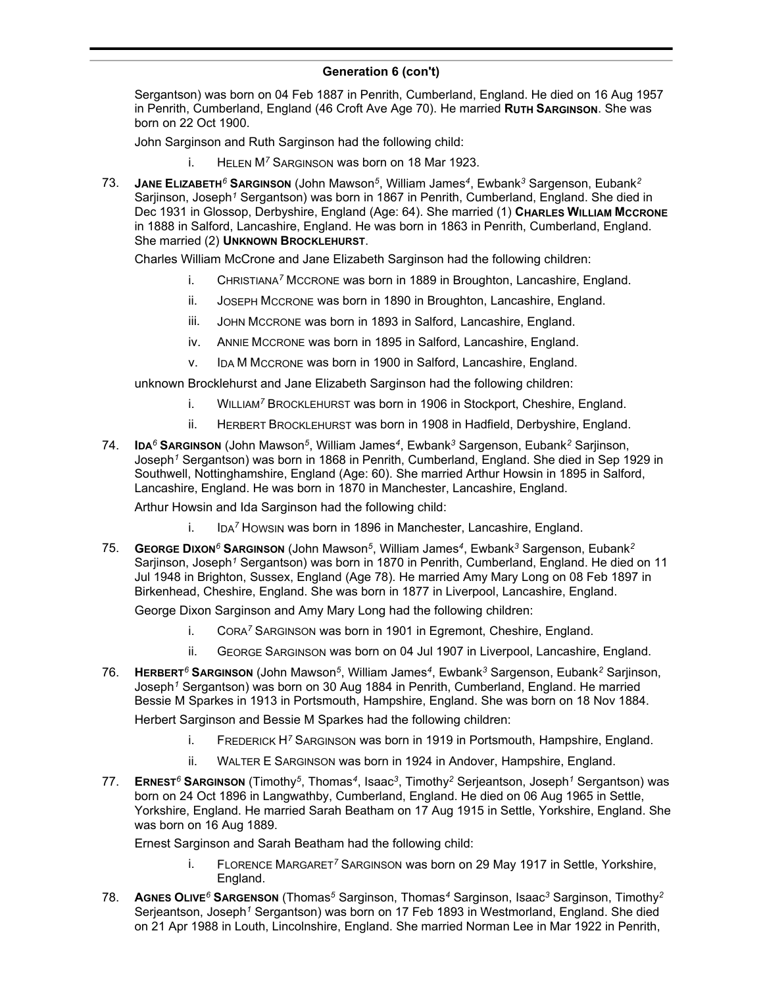#### **Generation 6 (con't)** , Ewbank*<sup>3</sup>* Sargenson, Eubank*<sup>2</sup>* Sarjinson, Joseph*<sup>1</sup>*

Sergantson) was born on 04 Feb 1887 in Penrith, Cumberland, England. He died on 16 Aug 1957 in Penrith, Cumberland, England (46 Croft Ave Age 70). He married **RUTH SARGINSON**. She was born on 22 Oct 1900.

John Sarginson and Ruth Sarginson had the following child:

- i. HELEN M*<sup>7</sup>* SARGINSON was born on 18 Mar 1923.
- 73. **JANE ELIZABETH***<sup>6</sup>* **SARGINSON** (John Mawson*<sup>5</sup>* , William James*<sup>4</sup>* , Ewbank*<sup>3</sup>* Sargenson, Eubank*<sup>2</sup>* Sarjinson, Joseph*<sup>1</sup>* Sergantson) was born in 1867 in Penrith, Cumberland, England. She died in Dec 1931 in Glossop, Derbyshire, England (Age: 64). She married (1) **CHARLES WILLIAM MCCRONE** in 1888 in Salford, Lancashire, England. He was born in 1863 in Penrith, Cumberland, England. She married (2) **UNKNOWN BROCKLEHURST**.

Charles William McCrone and Jane Elizabeth Sarginson had the following children:

- i. CHRISTIANA*<sup>7</sup>* MCCRONE was born in 1889 in Broughton, Lancashire, England.
- ii. JOSEPH MCCRONE was born in 1890 in Broughton, Lancashire, England.
- iii. JOHN MCCRONE was born in 1893 in Salford, Lancashire, England.
- iv. ANNIE MCCRONE was born in 1895 in Salford, Lancashire, England.
- v. IDA M MCCRONE was born in 1900 in Salford, Lancashire, England.

unknown Brocklehurst and Jane Elizabeth Sarginson had the following children:

- i. WILLIAM*<sup>7</sup>* BROCKLEHURST was born in 1906 in Stockport, Cheshire, England.
- ii. HERBERT BROCKLEHURST was born in 1908 in Hadfield, Derbyshire, England.
- 74. **IDA***<sup>6</sup>* **SARGINSON** (John Mawson*<sup>5</sup>* , William James*<sup>4</sup>* , Ewbank*<sup>3</sup>* Sargenson, Eubank*<sup>2</sup>* Sarjinson, Joseph*<sup>1</sup>* Sergantson) was born in 1868 in Penrith, Cumberland, England. She died in Sep 1929 in Southwell, Nottinghamshire, England (Age: 60). She married Arthur Howsin in 1895 in Salford, Lancashire, England. He was born in 1870 in Manchester, Lancashire, England.

Arthur Howsin and Ida Sarginson had the following child:

- i. IDA*<sup>7</sup>* HOWSIN was born in 1896 in Manchester, Lancashire, England.
- 75. **GEORGE DIXON***<sup>6</sup>* **SARGINSON** (John Mawson*<sup>5</sup>* , William James*<sup>4</sup>* , Ewbank*<sup>3</sup>* Sargenson, Eubank*<sup>2</sup>* Sarjinson, Joseph*<sup>1</sup>* Sergantson) was born in 1870 in Penrith, Cumberland, England. He died on 11 Jul 1948 in Brighton, Sussex, England (Age 78). He married Amy Mary Long on 08 Feb 1897 in Birkenhead, Cheshire, England. She was born in 1877 in Liverpool, Lancashire, England.

George Dixon Sarginson and Amy Mary Long had the following children:

- i. CORA*<sup>7</sup>* SARGINSON was born in 1901 in Egremont, Cheshire, England.
- ii. GEORGE SARGINSON was born on 04 Jul 1907 in Liverpool, Lancashire, England.
- 76. **HERBERT***<sup>6</sup>* **SARGINSON** (John Mawson*<sup>5</sup>* , William James*<sup>4</sup>* , Ewbank*<sup>3</sup>* Sargenson, Eubank*<sup>2</sup>* Sarjinson, Joseph*<sup>1</sup>* Sergantson) was born on 30 Aug 1884 in Penrith, Cumberland, England. He married Bessie M Sparkes in 1913 in Portsmouth, Hampshire, England. She was born on 18 Nov 1884.

Herbert Sarginson and Bessie M Sparkes had the following children:

- i. FREDERICK H*<sup>7</sup>* SARGINSON was born in 1919 in Portsmouth, Hampshire, England.
- ii. WALTER E SARGINSON was born in 1924 in Andover, Hampshire, England.
- 77. **ERNEST***<sup>6</sup>* **SARGINSON** (Timothy*<sup>5</sup>* , Thomas*<sup>4</sup>* , Isaac*<sup>3</sup>* , Timothy*<sup>2</sup>* Serjeantson, Joseph*<sup>1</sup>* Sergantson) was born on 24 Oct 1896 in Langwathby, Cumberland, England. He died on 06 Aug 1965 in Settle, Yorkshire, England. He married Sarah Beatham on 17 Aug 1915 in Settle, Yorkshire, England. She was born on 16 Aug 1889.

Ernest Sarginson and Sarah Beatham had the following child:

- i. FLORENCE MARGARET*<sup>7</sup>* SARGINSON was born on 29 May 1917 in Settle, Yorkshire, England.
- 78. **AGNES OLIVE***<sup>6</sup>* **SARGENSON** (Thomas*<sup>5</sup>* Sarginson, Thomas*<sup>4</sup>* Sarginson, Isaac*<sup>3</sup>* Sarginson, Timothy*<sup>2</sup>* Serjeantson, Joseph*<sup>1</sup>* Sergantson) was born on 17 Feb 1893 in Westmorland, England. She died on 21 Apr 1988 in Louth, Lincolnshire, England. She married Norman Lee in Mar 1922 in Penrith,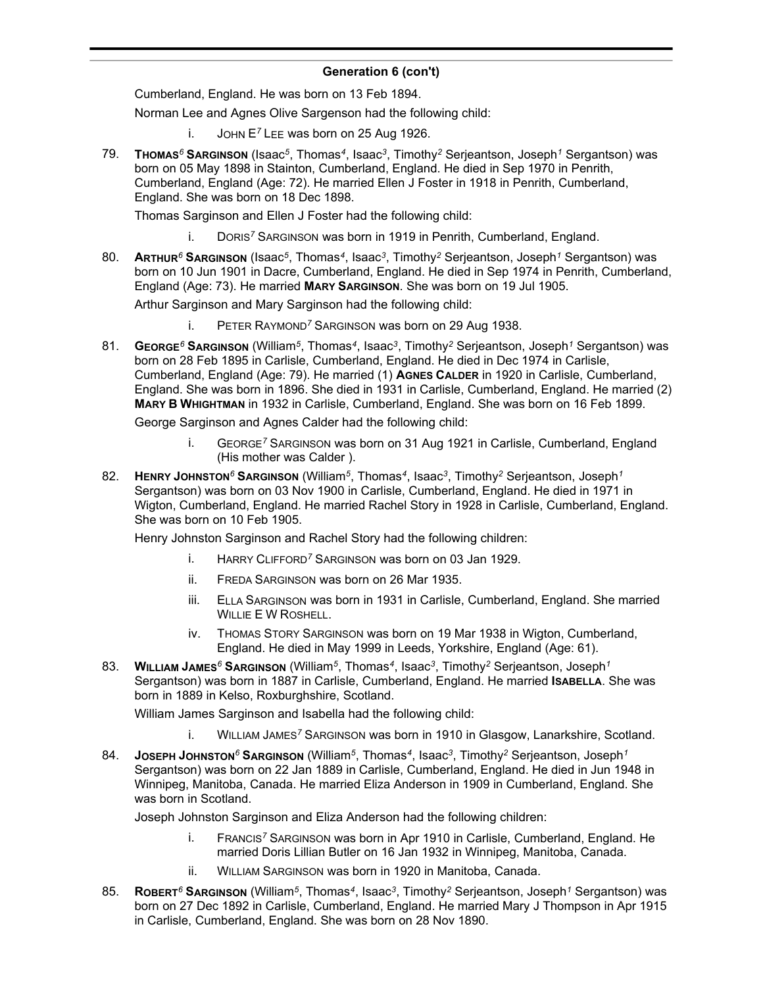#### **Generation 6 (con't)**  $S<sub>1</sub>$  and  $S<sub>1</sub>$  (see in  $S<sub>1</sub>$ )

Cumberland, England. He was born on 13 Feb 1894.

Norman Lee and Agnes Olive Sargenson had the following child:

- i. JOHN E*<sup>7</sup>* LEE was born on 25 Aug 1926.
- 79. **THOMAS***<sup>6</sup>* **SARGINSON** (Isaac*<sup>5</sup>* , Thomas*<sup>4</sup>* , Isaac*<sup>3</sup>* , Timothy*<sup>2</sup>* Serjeantson, Joseph*<sup>1</sup>* Sergantson) was born on 05 May 1898 in Stainton, Cumberland, England. He died in Sep 1970 in Penrith, Cumberland, England (Age: 72). He married Ellen J Foster in 1918 in Penrith, Cumberland, England. She was born on 18 Dec 1898.

Thomas Sarginson and Ellen J Foster had the following child:

- i. DORIS*<sup>7</sup>* SARGINSON was born in 1919 in Penrith, Cumberland, England.
- 80. **ARTHUR***<sup>6</sup>* **SARGINSON** (Isaac*<sup>5</sup>* , Thomas*<sup>4</sup>* , Isaac*<sup>3</sup>* , Timothy*<sup>2</sup>* Serjeantson, Joseph*<sup>1</sup>* Sergantson) was born on 10 Jun 1901 in Dacre, Cumberland, England. He died in Sep 1974 in Penrith, Cumberland, England (Age: 73). He married **MARY SARGINSON**. She was born on 19 Jul 1905.

Arthur Sarginson and Mary Sarginson had the following child:

- i. PETER RAYMOND*<sup>7</sup>* SARGINSON was born on 29 Aug 1938.
- 81. **GEORGE***<sup>6</sup>* **SARGINSON** (William*<sup>5</sup>* , Thomas*<sup>4</sup>* , Isaac*<sup>3</sup>* , Timothy*<sup>2</sup>* Serjeantson, Joseph*<sup>1</sup>* Sergantson) was born on 28 Feb 1895 in Carlisle, Cumberland, England. He died in Dec 1974 in Carlisle, Cumberland, England (Age: 79). He married (1) **AGNES CALDER** in 1920 in Carlisle, Cumberland, England. She was born in 1896. She died in 1931 in Carlisle, Cumberland, England. He married (2) **MARY B WHIGHTMAN** in 1932 in Carlisle, Cumberland, England. She was born on 16 Feb 1899.

George Sarginson and Agnes Calder had the following child:

- i. GEORGE*<sup>7</sup>* SARGINSON was born on 31 Aug 1921 in Carlisle, Cumberland, England (His mother was Calder ).
- 82. **HENRY JOHNSTON***<sup>6</sup>* **SARGINSON** (William*<sup>5</sup>* , Thomas*<sup>4</sup>* , Isaac*<sup>3</sup>* , Timothy*<sup>2</sup>* Serjeantson, Joseph*<sup>1</sup>* Sergantson) was born on 03 Nov 1900 in Carlisle, Cumberland, England. He died in 1971 in Wigton, Cumberland, England. He married Rachel Story in 1928 in Carlisle, Cumberland, England. She was born on 10 Feb 1905.

Henry Johnston Sarginson and Rachel Story had the following children:

- i. HARRY CLIFFORD*<sup>7</sup>* SARGINSON was born on 03 Jan 1929.
- ii. FREDA SARGINSON was born on 26 Mar 1935.
- iii. ELLA SARGINSON was born in 1931 in Carlisle, Cumberland, England. She married WILLIE E W ROSHELL.
- iv. THOMAS STORY SARGINSON was born on 19 Mar 1938 in Wigton, Cumberland, England. He died in May 1999 in Leeds, Yorkshire, England (Age: 61).
- 83. **WILLIAM JAMES***<sup>6</sup>* **SARGINSON** (William*<sup>5</sup>* , Thomas*<sup>4</sup>* , Isaac*<sup>3</sup>* , Timothy*<sup>2</sup>* Serjeantson, Joseph*<sup>1</sup>* Sergantson) was born in 1887 in Carlisle, Cumberland, England. He married **ISABELLA**. She was born in 1889 in Kelso, Roxburghshire, Scotland.

William James Sarginson and Isabella had the following child:

- i. WILLIAM JAMES*<sup>7</sup>* SARGINSON was born in 1910 in Glasgow, Lanarkshire, Scotland.
- 84. **JOSEPH JOHNSTON***<sup>6</sup>* **SARGINSON** (William*<sup>5</sup>* , Thomas*<sup>4</sup>* , Isaac*<sup>3</sup>* , Timothy*<sup>2</sup>* Serjeantson, Joseph*<sup>1</sup>* Sergantson) was born on 22 Jan 1889 in Carlisle, Cumberland, England. He died in Jun 1948 in Winnipeg, Manitoba, Canada. He married Eliza Anderson in 1909 in Cumberland, England. She was born in Scotland.

Joseph Johnston Sarginson and Eliza Anderson had the following children:

- i. FRANCIS*<sup>7</sup>* SARGINSON was born in Apr 1910 in Carlisle, Cumberland, England. He married Doris Lillian Butler on 16 Jan 1932 in Winnipeg, Manitoba, Canada.
- ii. WILLIAM SARGINSON was born in 1920 in Manitoba, Canada.
- 85. **ROBERT***<sup>6</sup>* **SARGINSON** (William*<sup>5</sup>* , Thomas*<sup>4</sup>* , Isaac*<sup>3</sup>* , Timothy*<sup>2</sup>* Serjeantson, Joseph*<sup>1</sup>* Sergantson) was born on 27 Dec 1892 in Carlisle, Cumberland, England. He married Mary J Thompson in Apr 1915 in Carlisle, Cumberland, England. She was born on 28 Nov 1890.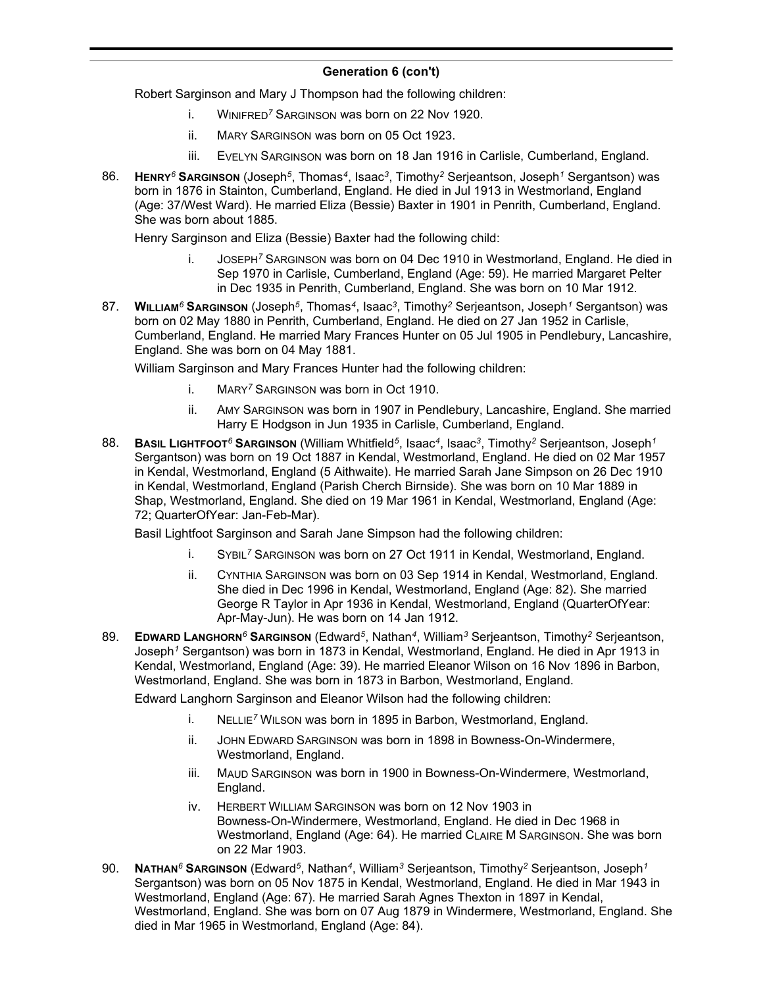Robert Sarginson and Mary J Thompson had the following children:

- i. WINIFRED*<sup>7</sup>* SARGINSON was born on 22 Nov 1920.
- ii. MARY SARGINSON was born on 05 Oct 1923.
- iii. EVELYN SARGINSON was born on 18 Jan 1916 in Carlisle, Cumberland, England.
- 86. **HENRY***<sup>6</sup>* **SARGINSON** (Joseph*<sup>5</sup>* , Thomas*<sup>4</sup>* , Isaac*<sup>3</sup>* , Timothy*<sup>2</sup>* Serjeantson, Joseph*<sup>1</sup>* Sergantson) was born in 1876 in Stainton, Cumberland, England. He died in Jul 1913 in Westmorland, England (Age: 37/West Ward). He married Eliza (Bessie) Baxter in 1901 in Penrith, Cumberland, England. She was born about 1885.

Henry Sarginson and Eliza (Bessie) Baxter had the following child:

- i. JOSEPH*<sup>7</sup>* SARGINSON was born on 04 Dec 1910 in Westmorland, England. He died in Sep 1970 in Carlisle, Cumberland, England (Age: 59). He married Margaret Pelter in Dec 1935 in Penrith, Cumberland, England. She was born on 10 Mar 1912.
- 87. **WILLIAM***<sup>6</sup>* **SARGINSON** (Joseph*<sup>5</sup>* , Thomas*<sup>4</sup>* , Isaac*<sup>3</sup>* , Timothy*<sup>2</sup>* Serjeantson, Joseph*<sup>1</sup>* Sergantson) was born on 02 May 1880 in Penrith, Cumberland, England. He died on 27 Jan 1952 in Carlisle, Cumberland, England. He married Mary Frances Hunter on 05 Jul 1905 in Pendlebury, Lancashire, England. She was born on 04 May 1881.

William Sarginson and Mary Frances Hunter had the following children:

- i. MARY*<sup>7</sup>* SARGINSON was born in Oct 1910.
- ii. AMY SARGINSON was born in 1907 in Pendlebury, Lancashire, England. She married Harry E Hodgson in Jun 1935 in Carlisle, Cumberland, England.
- 88. **BASIL LIGHTFOOT***<sup>6</sup>* **SARGINSON** (William Whitfield*<sup>5</sup>* , Isaac*<sup>4</sup>* , Isaac*<sup>3</sup>* , Timothy*<sup>2</sup>* Serjeantson, Joseph*<sup>1</sup>* Sergantson) was born on 19 Oct 1887 in Kendal, Westmorland, England. He died on 02 Mar 1957 in Kendal, Westmorland, England (5 Aithwaite). He married Sarah Jane Simpson on 26 Dec 1910 in Kendal, Westmorland, England (Parish Cherch Birnside). She was born on 10 Mar 1889 in Shap, Westmorland, England. She died on 19 Mar 1961 in Kendal, Westmorland, England (Age: 72; QuarterOfYear: Jan-Feb-Mar).

Basil Lightfoot Sarginson and Sarah Jane Simpson had the following children:

- i. SYBIL*<sup>7</sup>* SARGINSON was born on 27 Oct 1911 in Kendal, Westmorland, England.
- ii. CYNTHIA SARGINSON was born on 03 Sep 1914 in Kendal, Westmorland, England. She died in Dec 1996 in Kendal, Westmorland, England (Age: 82). She married George R Taylor in Apr 1936 in Kendal, Westmorland, England (QuarterOfYear: Apr-May-Jun). He was born on 14 Jan 1912.
- 89. **EDWARD LANGHORN***<sup>6</sup>* **SARGINSON** (Edward*<sup>5</sup>* , Nathan*<sup>4</sup>* , William*<sup>3</sup>* Serjeantson, Timothy*<sup>2</sup>* Serjeantson, Joseph*<sup>1</sup>* Sergantson) was born in 1873 in Kendal, Westmorland, England. He died in Apr 1913 in Kendal, Westmorland, England (Age: 39). He married Eleanor Wilson on 16 Nov 1896 in Barbon, Westmorland, England. She was born in 1873 in Barbon, Westmorland, England.

Edward Langhorn Sarginson and Eleanor Wilson had the following children:

- i. NELLIE*<sup>7</sup>* WILSON was born in 1895 in Barbon, Westmorland, England.
- ii. JOHN EDWARD SARGINSON was born in 1898 in Bowness-On-Windermere, Westmorland, England.
- iii. MAUD SARGINSON was born in 1900 in Bowness-On-Windermere, Westmorland, England.
- iv. HERBERT WILLIAM SARGINSON was born on 12 Nov 1903 in Bowness-On-Windermere, Westmorland, England. He died in Dec 1968 in Westmorland, England (Age: 64). He married CLAIRE M SARGINSON. She was born on 22 Mar 1903.
- 90. **NATHAN***<sup>6</sup>* **SARGINSON** (Edward*<sup>5</sup>* , Nathan*<sup>4</sup>* , William*<sup>3</sup>* Serjeantson, Timothy*<sup>2</sup>* Serjeantson, Joseph*<sup>1</sup>* Sergantson) was born on 05 Nov 1875 in Kendal, Westmorland, England. He died in Mar 1943 in Westmorland, England (Age: 67). He married Sarah Agnes Thexton in 1897 in Kendal, Westmorland, England. She was born on 07 Aug 1879 in Windermere, Westmorland, England. She died in Mar 1965 in Westmorland, England (Age: 84).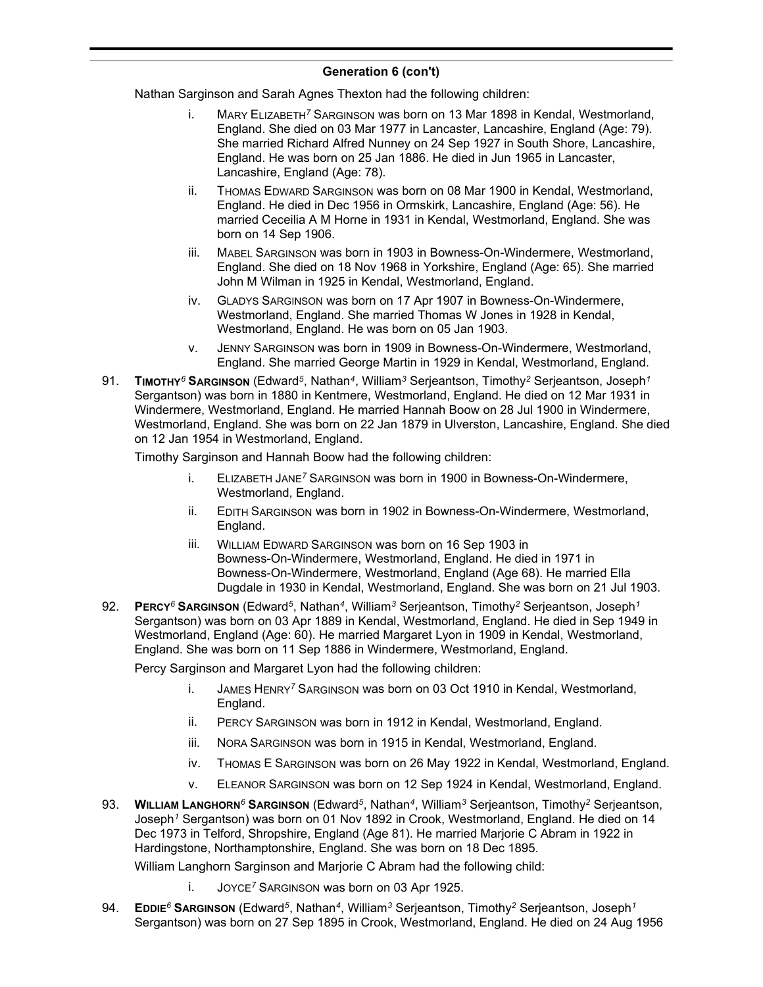Nathan Sarginson and Sarah Agnes Thexton had the following children:

- i. MARY ELIZABETH*<sup>7</sup>* SARGINSON was born on 13 Mar 1898 in Kendal, Westmorland, England. She died on 03 Mar 1977 in Lancaster, Lancashire, England (Age: 79). She married Richard Alfred Nunney on 24 Sep 1927 in South Shore, Lancashire, England. He was born on 25 Jan 1886. He died in Jun 1965 in Lancaster, Lancashire, England (Age: 78).
- ii. THOMAS EDWARD SARGINSON was born on 08 Mar 1900 in Kendal, Westmorland, England. He died in Dec 1956 in Ormskirk, Lancashire, England (Age: 56). He married Ceceilia A M Horne in 1931 in Kendal, Westmorland, England. She was born on 14 Sep 1906.
- iii. MABEL SARGINSON was born in 1903 in Bowness-On-Windermere, Westmorland, England. She died on 18 Nov 1968 in Yorkshire, England (Age: 65). She married John M Wilman in 1925 in Kendal, Westmorland, England.
- iv. GLADYS SARGINSON was born on 17 Apr 1907 in Bowness-On-Windermere, Westmorland, England. She married Thomas W Jones in 1928 in Kendal, Westmorland, England. He was born on 05 Jan 1903.
- v. JENNY SARGINSON was born in 1909 in Bowness-On-Windermere, Westmorland, England. She married George Martin in 1929 in Kendal, Westmorland, England.
- 91. **TIMOTHY***<sup>6</sup>* **SARGINSON** (Edward*<sup>5</sup>* , Nathan*<sup>4</sup>* , William*<sup>3</sup>* Serjeantson, Timothy*<sup>2</sup>* Serjeantson, Joseph*<sup>1</sup>* Sergantson) was born in 1880 in Kentmere, Westmorland, England. He died on 12 Mar 1931 in Windermere, Westmorland, England. He married Hannah Boow on 28 Jul 1900 in Windermere, Westmorland, England. She was born on 22 Jan 1879 in Ulverston, Lancashire, England. She died on 12 Jan 1954 in Westmorland, England.

Timothy Sarginson and Hannah Boow had the following children:

- i. ELIZABETH JANE*<sup>7</sup>* SARGINSON was born in 1900 in Bowness-On-Windermere, Westmorland, England.
- ii. EDITH SARGINSON was born in 1902 in Bowness-On-Windermere, Westmorland, England.
- iii. WILLIAM EDWARD SARGINSON was born on 16 Sep 1903 in Bowness-On-Windermere, Westmorland, England. He died in 1971 in Bowness-On-Windermere, Westmorland, England (Age 68). He married Ella Dugdale in 1930 in Kendal, Westmorland, England. She was born on 21 Jul 1903.
- 92. **PERCY***<sup>6</sup>* **SARGINSON** (Edward*<sup>5</sup>* , Nathan*<sup>4</sup>* , William*<sup>3</sup>* Serjeantson, Timothy*<sup>2</sup>* Serjeantson, Joseph*<sup>1</sup>* Sergantson) was born on 03 Apr 1889 in Kendal, Westmorland, England. He died in Sep 1949 in Westmorland, England (Age: 60). He married Margaret Lyon in 1909 in Kendal, Westmorland, England. She was born on 11 Sep 1886 in Windermere, Westmorland, England.

Percy Sarginson and Margaret Lyon had the following children:

- i. JAMES HENRY*<sup>7</sup>* SARGINSON was born on 03 Oct 1910 in Kendal, Westmorland, England.
- ii. PERCY SARGINSON was born in 1912 in Kendal, Westmorland, England.
- iii. NORA SARGINSON was born in 1915 in Kendal, Westmorland, England.
- iv. THOMAS E SARGINSON was born on 26 May 1922 in Kendal, Westmorland, England.
- v. ELEANOR SARGINSON was born on 12 Sep 1924 in Kendal, Westmorland, England.
- 93. **WILLIAM LANGHORN***<sup>6</sup>* **SARGINSON** (Edward*<sup>5</sup>* , Nathan*<sup>4</sup>* , William*<sup>3</sup>* Serjeantson, Timothy*<sup>2</sup>* Serjeantson, Joseph*<sup>1</sup>* Sergantson) was born on 01 Nov 1892 in Crook, Westmorland, England. He died on 14 Dec 1973 in Telford, Shropshire, England (Age 81). He married Marjorie C Abram in 1922 in Hardingstone, Northamptonshire, England. She was born on 18 Dec 1895.

William Langhorn Sarginson and Marjorie C Abram had the following child:

- i. JOYCE*<sup>7</sup>* SARGINSON was born on 03 Apr 1925.
- 94. **EDDIE***<sup>6</sup>* **SARGINSON** (Edward*<sup>5</sup>* , Nathan*<sup>4</sup>* , William*<sup>3</sup>* Serjeantson, Timothy*<sup>2</sup>* Serjeantson, Joseph*<sup>1</sup>* Sergantson) was born on 27 Sep 1895 in Crook, Westmorland, England. He died on 24 Aug 1956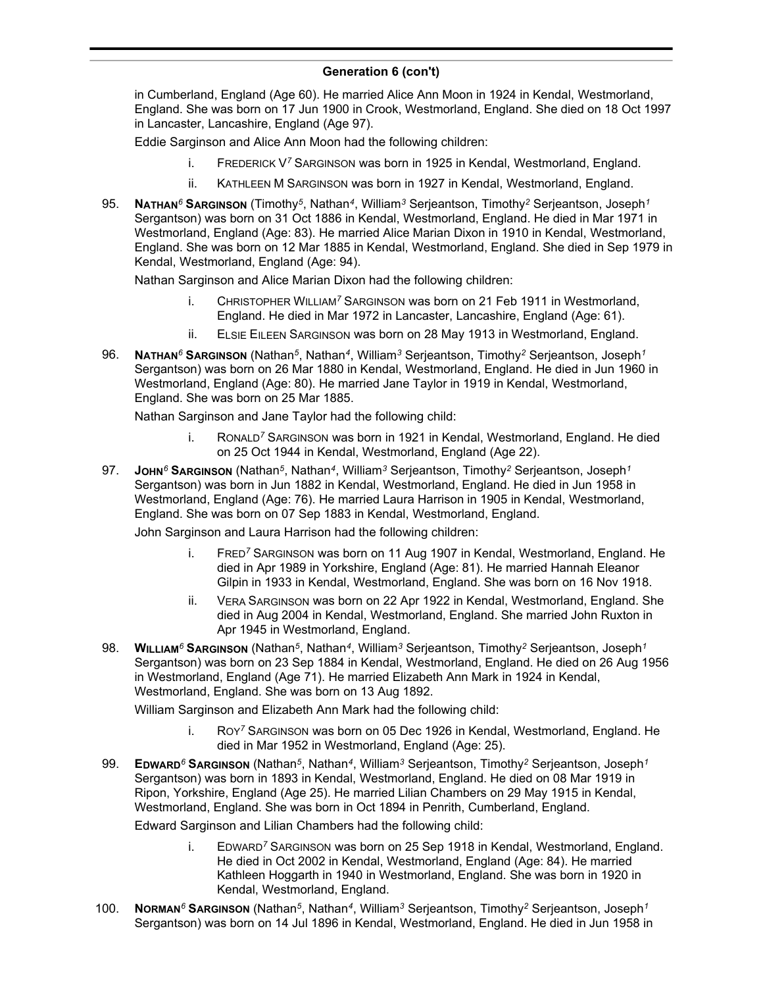in Cumberland, England (Age 60). He married Alice Ann Moon in 1924 in Kendal, Westmorland, England. She was born on 17 Jun 1900 in Crook, Westmorland, England. She died on 18 Oct 1997 in Lancaster, Lancashire, England (Age 97).

Eddie Sarginson and Alice Ann Moon had the following children:

- i. FREDERICK V*<sup>7</sup>* SARGINSON was born in 1925 in Kendal, Westmorland, England.
- ii. KATHLEEN M SARGINSON was born in 1927 in Kendal, Westmorland, England.
- 95. **NATHAN***<sup>6</sup>* **SARGINSON** (Timothy*<sup>5</sup>* , Nathan*<sup>4</sup>* , William*<sup>3</sup>* Serjeantson, Timothy*<sup>2</sup>* Serjeantson, Joseph*<sup>1</sup>* Sergantson) was born on 31 Oct 1886 in Kendal, Westmorland, England. He died in Mar 1971 in Westmorland, England (Age: 83). He married Alice Marian Dixon in 1910 in Kendal, Westmorland, England. She was born on 12 Mar 1885 in Kendal, Westmorland, England. She died in Sep 1979 in Kendal, Westmorland, England (Age: 94).

Nathan Sarginson and Alice Marian Dixon had the following children:

- i. CHRISTOPHER WILLIAM*<sup>7</sup>* SARGINSON was born on 21 Feb 1911 in Westmorland, England. He died in Mar 1972 in Lancaster, Lancashire, England (Age: 61).
- ii. ELSIE EILEEN SARGINSON was born on 28 May 1913 in Westmorland, England.
- 96. **NATHAN***<sup>6</sup>* **SARGINSON** (Nathan*<sup>5</sup>* , Nathan*<sup>4</sup>* , William*<sup>3</sup>* Serjeantson, Timothy*<sup>2</sup>* Serjeantson, Joseph*<sup>1</sup>* Sergantson) was born on 26 Mar 1880 in Kendal, Westmorland, England. He died in Jun 1960 in Westmorland, England (Age: 80). He married Jane Taylor in 1919 in Kendal, Westmorland, England. She was born on 25 Mar 1885.

Nathan Sarginson and Jane Taylor had the following child:

- i. RONALD*<sup>7</sup>* SARGINSON was born in 1921 in Kendal, Westmorland, England. He died on 25 Oct 1944 in Kendal, Westmorland, England (Age 22).
- 97. **JOHN***<sup>6</sup>* **SARGINSON** (Nathan*<sup>5</sup>* , Nathan*<sup>4</sup>* , William*<sup>3</sup>* Serjeantson, Timothy*<sup>2</sup>* Serjeantson, Joseph*<sup>1</sup>* Sergantson) was born in Jun 1882 in Kendal, Westmorland, England. He died in Jun 1958 in Westmorland, England (Age: 76). He married Laura Harrison in 1905 in Kendal, Westmorland, England. She was born on 07 Sep 1883 in Kendal, Westmorland, England.

John Sarginson and Laura Harrison had the following children:

- i. FRED*<sup>7</sup>* SARGINSON was born on 11 Aug 1907 in Kendal, Westmorland, England. He died in Apr 1989 in Yorkshire, England (Age: 81). He married Hannah Eleanor Gilpin in 1933 in Kendal, Westmorland, England. She was born on 16 Nov 1918.
- ii. VERA SARGINSON was born on 22 Apr 1922 in Kendal, Westmorland, England. She died in Aug 2004 in Kendal, Westmorland, England. She married John Ruxton in Apr 1945 in Westmorland, England.
- 98. **WILLIAM***<sup>6</sup>* **SARGINSON** (Nathan*<sup>5</sup>* , Nathan*<sup>4</sup>* , William*<sup>3</sup>* Serjeantson, Timothy*<sup>2</sup>* Serjeantson, Joseph*<sup>1</sup>* Sergantson) was born on 23 Sep 1884 in Kendal, Westmorland, England. He died on 26 Aug 1956 in Westmorland, England (Age 71). He married Elizabeth Ann Mark in 1924 in Kendal, Westmorland, England. She was born on 13 Aug 1892.

William Sarginson and Elizabeth Ann Mark had the following child:

- i. ROY*<sup>7</sup>* SARGINSON was born on 05 Dec 1926 in Kendal, Westmorland, England. He died in Mar 1952 in Westmorland, England (Age: 25).
- 99. **EDWARD***<sup>6</sup>* **SARGINSON** (Nathan*<sup>5</sup>* , Nathan*<sup>4</sup>* , William*<sup>3</sup>* Serjeantson, Timothy*<sup>2</sup>* Serjeantson, Joseph*<sup>1</sup>* Sergantson) was born in 1893 in Kendal, Westmorland, England. He died on 08 Mar 1919 in Ripon, Yorkshire, England (Age 25). He married Lilian Chambers on 29 May 1915 in Kendal, Westmorland, England. She was born in Oct 1894 in Penrith, Cumberland, England.

Edward Sarginson and Lilian Chambers had the following child:

- i. EDWARD*<sup>7</sup>* SARGINSON was born on 25 Sep 1918 in Kendal, Westmorland, England. He died in Oct 2002 in Kendal, Westmorland, England (Age: 84). He married Kathleen Hoggarth in 1940 in Westmorland, England. She was born in 1920 in Kendal, Westmorland, England.
- 100. **NORMAN***<sup>6</sup>* **SARGINSON** (Nathan*<sup>5</sup>* , Nathan*<sup>4</sup>* , William*<sup>3</sup>* Serjeantson, Timothy*<sup>2</sup>* Serjeantson, Joseph*<sup>1</sup>* Sergantson) was born on 14 Jul 1896 in Kendal, Westmorland, England. He died in Jun 1958 in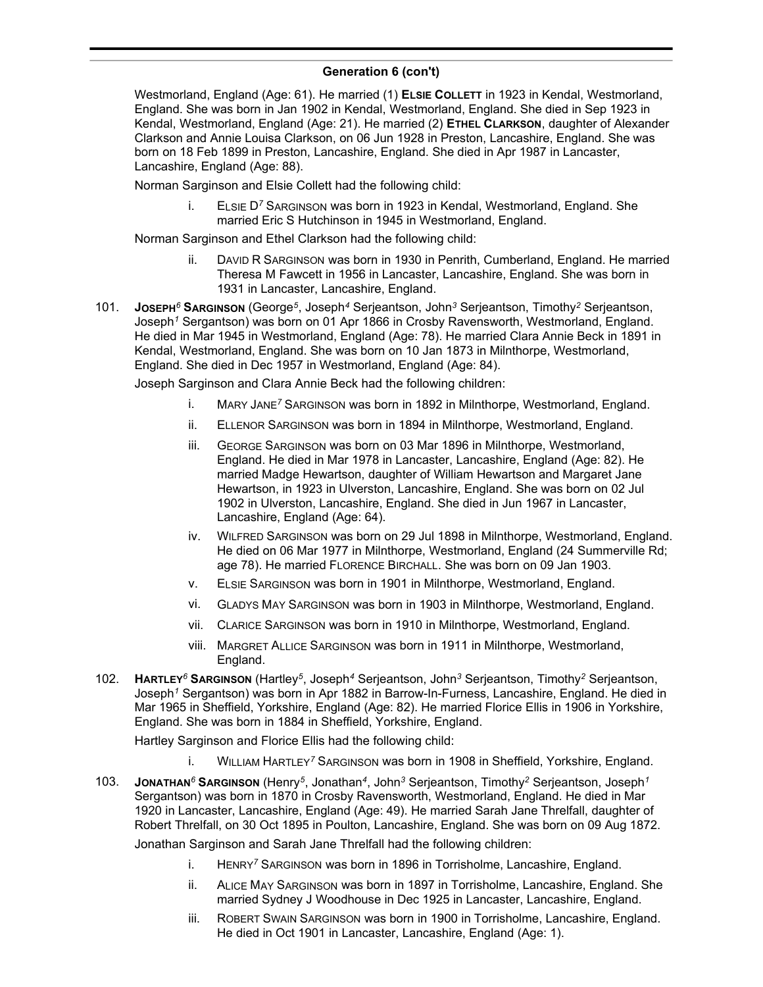Westmorland, England (Age: 61). He married (1) **ELSIE COLLETT** in 1923 in Kendal, Westmorland, England. She was born in Jan 1902 in Kendal, Westmorland, England. She died in Sep 1923 in Kendal, Westmorland, England (Age: 21). He married (2) **ETHEL CLARKSON**, daughter of Alexander Clarkson and Annie Louisa Clarkson, on 06 Jun 1928 in Preston, Lancashire, England. She was born on 18 Feb 1899 in Preston, Lancashire, England. She died in Apr 1987 in Lancaster, Lancashire, England (Age: 88).

Norman Sarginson and Elsie Collett had the following child:

i. ELSIE D*<sup>7</sup>* SARGINSON was born in 1923 in Kendal, Westmorland, England. She married Eric S Hutchinson in 1945 in Westmorland, England.

Norman Sarginson and Ethel Clarkson had the following child:

- ii. DAVID R SARGINSON was born in 1930 in Penrith, Cumberland, England. He married Theresa M Fawcett in 1956 in Lancaster, Lancashire, England. She was born in 1931 in Lancaster, Lancashire, England.
- 101. **JOSEPH***<sup>6</sup>* **SARGINSON** (George*<sup>5</sup>* , Joseph*<sup>4</sup>* Serjeantson, John*<sup>3</sup>* Serjeantson, Timothy*<sup>2</sup>* Serjeantson, Joseph*<sup>1</sup>* Sergantson) was born on 01 Apr 1866 in Crosby Ravensworth, Westmorland, England. He died in Mar 1945 in Westmorland, England (Age: 78). He married Clara Annie Beck in 1891 in Kendal, Westmorland, England. She was born on 10 Jan 1873 in Milnthorpe, Westmorland, England. She died in Dec 1957 in Westmorland, England (Age: 84).

Joseph Sarginson and Clara Annie Beck had the following children:

- i. MARY JANE*<sup>7</sup>* SARGINSON was born in 1892 in Milnthorpe, Westmorland, England.
- ii. ELLENOR SARGINSON was born in 1894 in Milnthorpe, Westmorland, England.
- iii. GEORGE SARGINSON was born on 03 Mar 1896 in Milnthorpe, Westmorland, England. He died in Mar 1978 in Lancaster, Lancashire, England (Age: 82). He married Madge Hewartson, daughter of William Hewartson and Margaret Jane Hewartson, in 1923 in Ulverston, Lancashire, England. She was born on 02 Jul 1902 in Ulverston, Lancashire, England. She died in Jun 1967 in Lancaster, Lancashire, England (Age: 64).
- iv. WILFRED SARGINSON was born on 29 Jul 1898 in Milnthorpe, Westmorland, England. He died on 06 Mar 1977 in Milnthorpe, Westmorland, England (24 Summerville Rd; age 78). He married FLORENCE BIRCHALL. She was born on 09 Jan 1903.
- v. ELSIE SARGINSON was born in 1901 in Milnthorpe, Westmorland, England.
- vi. GLADYS MAY SARGINSON was born in 1903 in Milnthorpe, Westmorland, England.
- vii. CLARICE SARGINSON was born in 1910 in Milnthorpe, Westmorland, England.
- viii. MARGRET ALLICE SARGINSON was born in 1911 in Milnthorpe, Westmorland, England.
- 102. **HARTLEY***<sup>6</sup>* **SARGINSON** (Hartley*<sup>5</sup>* , Joseph*<sup>4</sup>* Serjeantson, John*<sup>3</sup>* Serjeantson, Timothy*<sup>2</sup>* Serjeantson, Joseph*<sup>1</sup>* Sergantson) was born in Apr 1882 in Barrow-In-Furness, Lancashire, England. He died in Mar 1965 in Sheffield, Yorkshire, England (Age: 82). He married Florice Ellis in 1906 in Yorkshire, England. She was born in 1884 in Sheffield, Yorkshire, England.

Hartley Sarginson and Florice Ellis had the following child:

- i. WILLIAM HARTLEY*<sup>7</sup>* SARGINSON was born in 1908 in Sheffield, Yorkshire, England.
- 103. **JONATHAN***<sup>6</sup>* **SARGINSON** (Henry*<sup>5</sup>* , Jonathan*<sup>4</sup>* , John*<sup>3</sup>* Serjeantson, Timothy*<sup>2</sup>* Serjeantson, Joseph*<sup>1</sup>* Sergantson) was born in 1870 in Crosby Ravensworth, Westmorland, England. He died in Mar 1920 in Lancaster, Lancashire, England (Age: 49). He married Sarah Jane Threlfall, daughter of Robert Threlfall, on 30 Oct 1895 in Poulton, Lancashire, England. She was born on 09 Aug 1872.

Jonathan Sarginson and Sarah Jane Threlfall had the following children:

- i. HENRY*<sup>7</sup>* SARGINSON was born in 1896 in Torrisholme, Lancashire, England.
- ii. ALICE MAY SARGINSON was born in 1897 in Torrisholme, Lancashire, England. She married Sydney J Woodhouse in Dec 1925 in Lancaster, Lancashire, England.
- iii. ROBERT SWAIN SARGINSON was born in 1900 in Torrisholme, Lancashire, England. He died in Oct 1901 in Lancaster, Lancashire, England (Age: 1).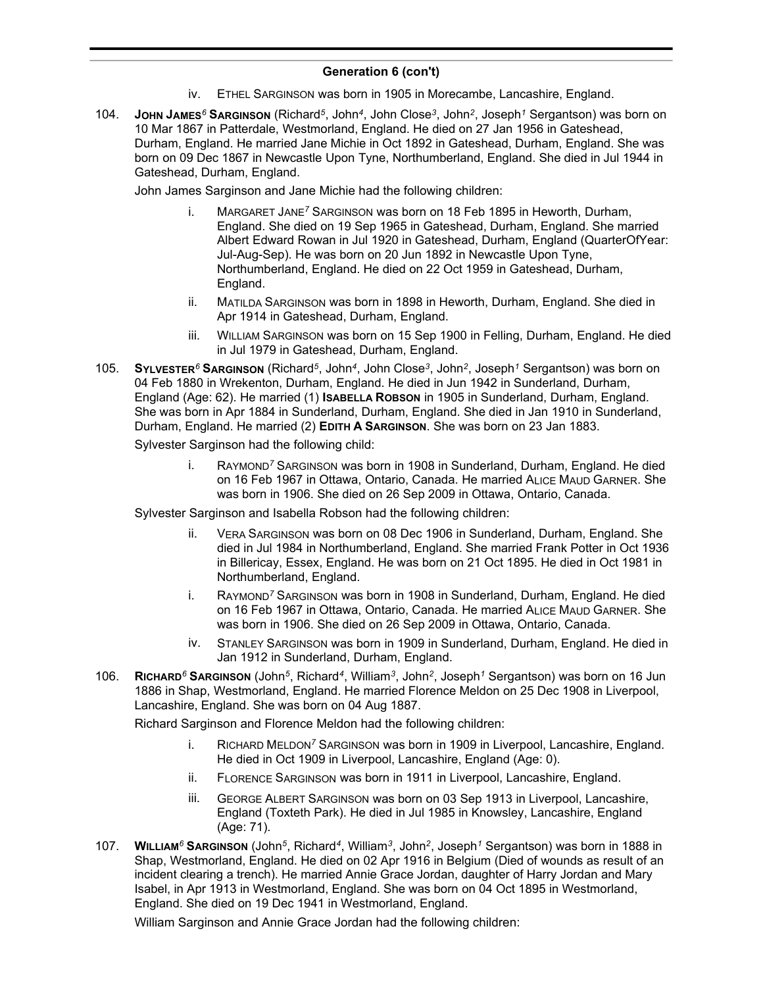- iv. ETHEL SARGINSON was born in 1905 in Morecambe, Lancashire, England.
- 104. **JOHN JAMES***<sup>6</sup>* **SARGINSON** (Richard*<sup>5</sup>* , John*<sup>4</sup>* , John Close*<sup>3</sup>* , John*<sup>2</sup>* , Joseph*<sup>1</sup>* Sergantson) was born on 10 Mar 1867 in Patterdale, Westmorland, England. He died on 27 Jan 1956 in Gateshead, Durham, England. He married Jane Michie in Oct 1892 in Gateshead, Durham, England. She was born on 09 Dec 1867 in Newcastle Upon Tyne, Northumberland, England. She died in Jul 1944 in Gateshead, Durham, England.

John James Sarginson and Jane Michie had the following children:

- i. MARGARET JANE*<sup>7</sup>* SARGINSON was born on 18 Feb 1895 in Heworth, Durham, England. She died on 19 Sep 1965 in Gateshead, Durham, England. She married Albert Edward Rowan in Jul 1920 in Gateshead, Durham, England (QuarterOfYear: Jul-Aug-Sep). He was born on 20 Jun 1892 in Newcastle Upon Tyne, Northumberland, England. He died on 22 Oct 1959 in Gateshead, Durham, England.
- ii. MATILDA SARGINSON was born in 1898 in Heworth, Durham, England. She died in Apr 1914 in Gateshead, Durham, England.
- iii. WILLIAM SARGINSON was born on 15 Sep 1900 in Felling, Durham, England. He died in Jul 1979 in Gateshead, Durham, England.
- 105. **SYLVESTER***<sup>6</sup>* **SARGINSON** (Richard*<sup>5</sup>* , John*<sup>4</sup>* , John Close*<sup>3</sup>* , John*<sup>2</sup>* , Joseph*<sup>1</sup>* Sergantson) was born on 04 Feb 1880 in Wrekenton, Durham, England. He died in Jun 1942 in Sunderland, Durham, England (Age: 62). He married (1) **ISABELLA ROBSON** in 1905 in Sunderland, Durham, England. She was born in Apr 1884 in Sunderland, Durham, England. She died in Jan 1910 in Sunderland, Durham, England. He married (2) **EDITH A SARGINSON**. She was born on 23 Jan 1883.

Sylvester Sarginson had the following child:

i. RAYMOND*<sup>7</sup>* SARGINSON was born in 1908 in Sunderland, Durham, England. He died on 16 Feb 1967 in Ottawa, Ontario, Canada. He married ALICE MAUD GARNER. She was born in 1906. She died on 26 Sep 2009 in Ottawa, Ontario, Canada.

Sylvester Sarginson and Isabella Robson had the following children:

- ii. VERA SARGINSON was born on 08 Dec 1906 in Sunderland, Durham, England. She died in Jul 1984 in Northumberland, England. She married Frank Potter in Oct 1936 in Billericay, Essex, England. He was born on 21 Oct 1895. He died in Oct 1981 in Northumberland, England.
- i. RAYMOND*<sup>7</sup>* SARGINSON was born in 1908 in Sunderland, Durham, England. He died on 16 Feb 1967 in Ottawa, Ontario, Canada. He married ALICE MAUD GARNER. She was born in 1906. She died on 26 Sep 2009 in Ottawa, Ontario, Canada.
- iv. STANLEY SARGINSON was born in 1909 in Sunderland, Durham, England. He died in Jan 1912 in Sunderland, Durham, England.
- 106. **RICHARD***<sup>6</sup>* **SARGINSON** (John*<sup>5</sup>* , Richard*<sup>4</sup>* , William*<sup>3</sup>* , John*<sup>2</sup>* , Joseph*<sup>1</sup>* Sergantson) was born on 16 Jun 1886 in Shap, Westmorland, England. He married Florence Meldon on 25 Dec 1908 in Liverpool, Lancashire, England. She was born on 04 Aug 1887.

Richard Sarginson and Florence Meldon had the following children:

- i. RICHARD MELDON*<sup>7</sup>* SARGINSON was born in 1909 in Liverpool, Lancashire, England. He died in Oct 1909 in Liverpool, Lancashire, England (Age: 0).
- ii. FLORENCE SARGINSON was born in 1911 in Liverpool, Lancashire, England.
- iii. GEORGE ALBERT SARGINSON was born on 03 Sep 1913 in Liverpool, Lancashire, England (Toxteth Park). He died in Jul 1985 in Knowsley, Lancashire, England (Age: 71).
- 107. **WILLIAM***<sup>6</sup>* **SARGINSON** (John*<sup>5</sup>* , Richard*<sup>4</sup>* , William*<sup>3</sup>* , John*<sup>2</sup>* , Joseph*<sup>1</sup>* Sergantson) was born in 1888 in Shap, Westmorland, England. He died on 02 Apr 1916 in Belgium (Died of wounds as result of an incident clearing a trench). He married Annie Grace Jordan, daughter of Harry Jordan and Mary Isabel, in Apr 1913 in Westmorland, England. She was born on 04 Oct 1895 in Westmorland, England. She died on 19 Dec 1941 in Westmorland, England.

William Sarginson and Annie Grace Jordan had the following children: